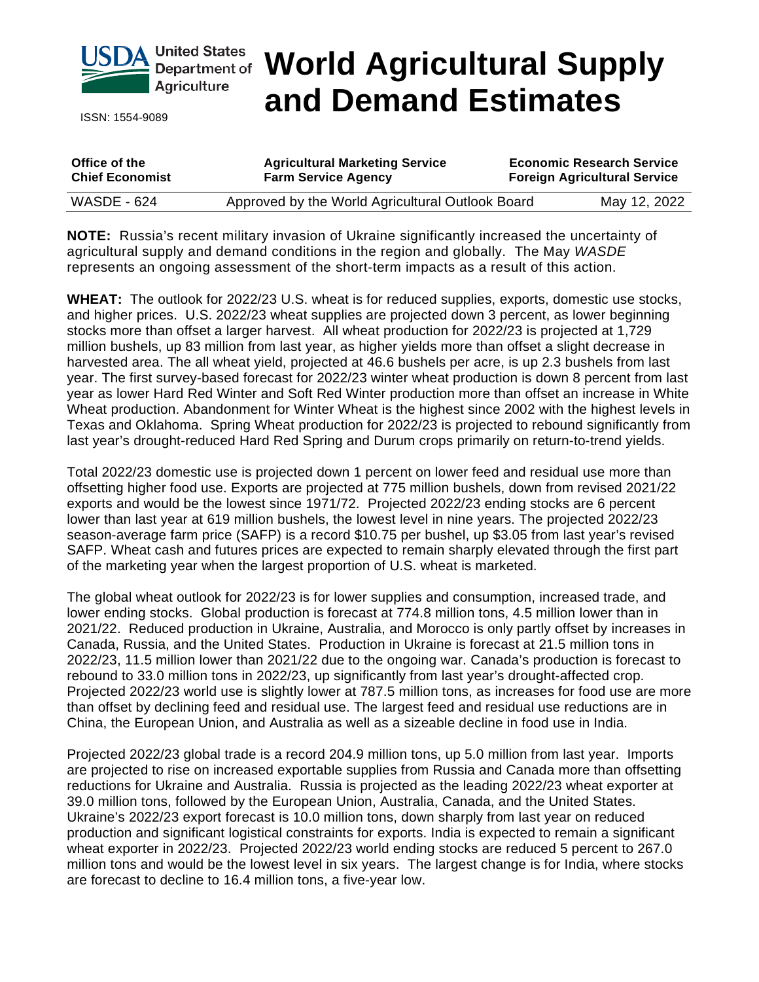

ISSN: 1554-9089

# **Department of World Agricultural Supply and Demand Estimates**

| Office of the          | <b>Agricultural Marketing Service</b>            | <b>Economic Research Service</b>    |              |
|------------------------|--------------------------------------------------|-------------------------------------|--------------|
| <b>Chief Economist</b> | <b>Farm Service Agency</b>                       | <b>Foreign Agricultural Service</b> |              |
| <b>WASDE - 624</b>     | Approved by the World Agricultural Outlook Board |                                     | May 12, 2022 |

**NOTE:** Russia's recent military invasion of Ukraine significantly increased the uncertainty of agricultural supply and demand conditions in the region and globally. The May *WASDE* represents an ongoing assessment of the short-term impacts as a result of this action.

**WHEAT:** The outlook for 2022/23 U.S. wheat is for reduced supplies, exports, domestic use stocks, and higher prices. U.S. 2022/23 wheat supplies are projected down 3 percent, as lower beginning stocks more than offset a larger harvest. All wheat production for 2022/23 is projected at 1,729 million bushels, up 83 million from last year, as higher yields more than offset a slight decrease in harvested area. The all wheat yield, projected at 46.6 bushels per acre, is up 2.3 bushels from last year. The first survey-based forecast for 2022/23 winter wheat production is down 8 percent from last year as lower Hard Red Winter and Soft Red Winter production more than offset an increase in White Wheat production. Abandonment for Winter Wheat is the highest since 2002 with the highest levels in Texas and Oklahoma. Spring Wheat production for 2022/23 is projected to rebound significantly from last year's drought-reduced Hard Red Spring and Durum crops primarily on return-to-trend yields.

Total 2022/23 domestic use is projected down 1 percent on lower feed and residual use more than offsetting higher food use. Exports are projected at 775 million bushels, down from revised 2021/22 exports and would be the lowest since 1971/72. Projected 2022/23 ending stocks are 6 percent lower than last year at 619 million bushels, the lowest level in nine years. The projected 2022/23 season-average farm price (SAFP) is a record \$10.75 per bushel, up \$3.05 from last year's revised SAFP. Wheat cash and futures prices are expected to remain sharply elevated through the first part of the marketing year when the largest proportion of U.S. wheat is marketed.

The global wheat outlook for 2022/23 is for lower supplies and consumption, increased trade, and lower ending stocks. Global production is forecast at 774.8 million tons, 4.5 million lower than in 2021/22. Reduced production in Ukraine, Australia, and Morocco is only partly offset by increases in Canada, Russia, and the United States. Production in Ukraine is forecast at 21.5 million tons in 2022/23, 11.5 million lower than 2021/22 due to the ongoing war. Canada's production is forecast to rebound to 33.0 million tons in 2022/23, up significantly from last year's drought-affected crop. Projected 2022/23 world use is slightly lower at 787.5 million tons, as increases for food use are more than offset by declining feed and residual use. The largest feed and residual use reductions are in China, the European Union, and Australia as well as a sizeable decline in food use in India.

Projected 2022/23 global trade is a record 204.9 million tons, up 5.0 million from last year. Imports are projected to rise on increased exportable supplies from Russia and Canada more than offsetting reductions for Ukraine and Australia. Russia is projected as the leading 2022/23 wheat exporter at 39.0 million tons, followed by the European Union, Australia, Canada, and the United States. Ukraine's 2022/23 export forecast is 10.0 million tons, down sharply from last year on reduced production and significant logistical constraints for exports. India is expected to remain a significant wheat exporter in 2022/23. Projected 2022/23 world ending stocks are reduced 5 percent to 267.0 million tons and would be the lowest level in six years. The largest change is for India, where stocks are forecast to decline to 16.4 million tons, a five-year low.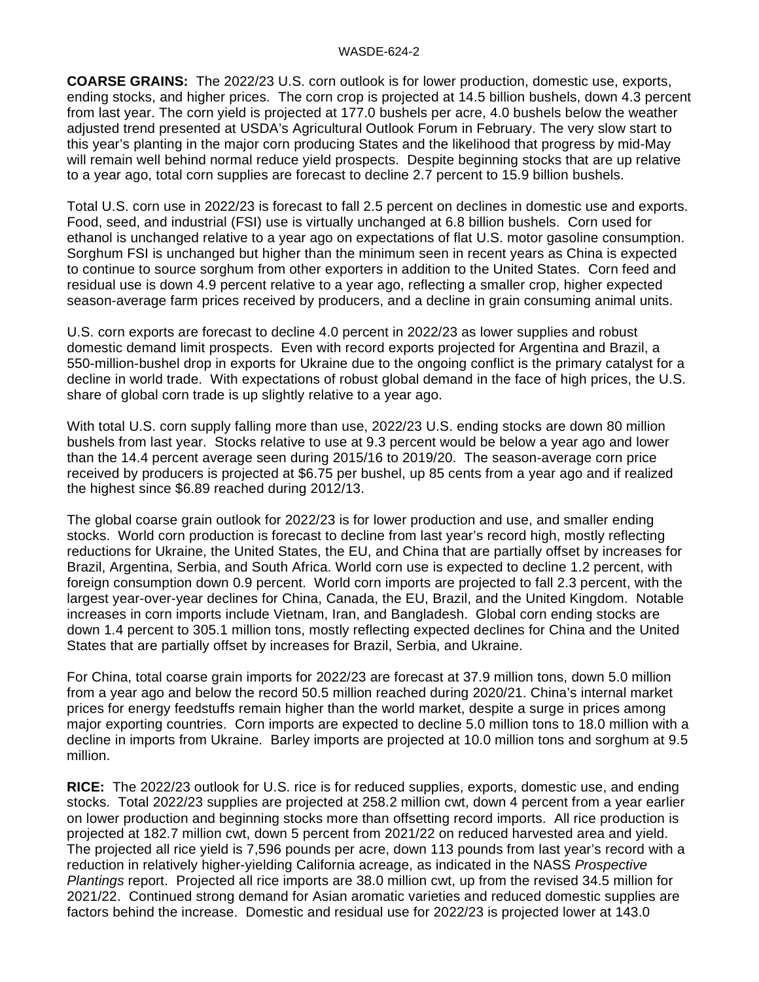**COARSE GRAINS:** The 2022/23 U.S. corn outlook is for lower production, domestic use, exports, ending stocks, and higher prices. The corn crop is projected at 14.5 billion bushels, down 4.3 percent from last year. The corn yield is projected at 177.0 bushels per acre, 4.0 bushels below the weather adjusted trend presented at USDA's Agricultural Outlook Forum in February. The very slow start to this year's planting in the major corn producing States and the likelihood that progress by mid-May will remain well behind normal reduce yield prospects. Despite beginning stocks that are up relative to a year ago, total corn supplies are forecast to decline 2.7 percent to 15.9 billion bushels.

Total U.S. corn use in 2022/23 is forecast to fall 2.5 percent on declines in domestic use and exports. Food, seed, and industrial (FSI) use is virtually unchanged at 6.8 billion bushels. Corn used for ethanol is unchanged relative to a year ago on expectations of flat U.S. motor gasoline consumption. Sorghum FSI is unchanged but higher than the minimum seen in recent years as China is expected to continue to source sorghum from other exporters in addition to the United States. Corn feed and residual use is down 4.9 percent relative to a year ago, reflecting a smaller crop, higher expected season-average farm prices received by producers, and a decline in grain consuming animal units.

U.S. corn exports are forecast to decline 4.0 percent in 2022/23 as lower supplies and robust domestic demand limit prospects. Even with record exports projected for Argentina and Brazil, a 550-million-bushel drop in exports for Ukraine due to the ongoing conflict is the primary catalyst for a decline in world trade. With expectations of robust global demand in the face of high prices, the U.S. share of global corn trade is up slightly relative to a year ago.

With total U.S. corn supply falling more than use, 2022/23 U.S. ending stocks are down 80 million bushels from last year. Stocks relative to use at 9.3 percent would be below a year ago and lower than the 14.4 percent average seen during 2015/16 to 2019/20. The season-average corn price received by producers is projected at \$6.75 per bushel, up 85 cents from a year ago and if realized the highest since \$6.89 reached during 2012/13.

The global coarse grain outlook for 2022/23 is for lower production and use, and smaller ending stocks. World corn production is forecast to decline from last year's record high, mostly reflecting reductions for Ukraine, the United States, the EU, and China that are partially offset by increases for Brazil, Argentina, Serbia, and South Africa. World corn use is expected to decline 1.2 percent, with foreign consumption down 0.9 percent. World corn imports are projected to fall 2.3 percent, with the largest year-over-year declines for China, Canada, the EU, Brazil, and the United Kingdom. Notable increases in corn imports include Vietnam, Iran, and Bangladesh. Global corn ending stocks are down 1.4 percent to 305.1 million tons, mostly reflecting expected declines for China and the United States that are partially offset by increases for Brazil, Serbia, and Ukraine.

For China, total coarse grain imports for 2022/23 are forecast at 37.9 million tons, down 5.0 million from a year ago and below the record 50.5 million reached during 2020/21. China's internal market prices for energy feedstuffs remain higher than the world market, despite a surge in prices among major exporting countries. Corn imports are expected to decline 5.0 million tons to 18.0 million with a decline in imports from Ukraine. Barley imports are projected at 10.0 million tons and sorghum at 9.5 million.

**RICE:** The 2022/23 outlook for U.S. rice is for reduced supplies, exports, domestic use, and ending stocks. Total 2022/23 supplies are projected at 258.2 million cwt, down 4 percent from a year earlier on lower production and beginning stocks more than offsetting record imports. All rice production is projected at 182.7 million cwt, down 5 percent from 2021/22 on reduced harvested area and yield. The projected all rice yield is 7,596 pounds per acre, down 113 pounds from last year's record with a reduction in relatively higher-yielding California acreage, as indicated in the NASS *Prospective Plantings* report. Projected all rice imports are 38.0 million cwt, up from the revised 34.5 million for 2021/22. Continued strong demand for Asian aromatic varieties and reduced domestic supplies are factors behind the increase. Domestic and residual use for 2022/23 is projected lower at 143.0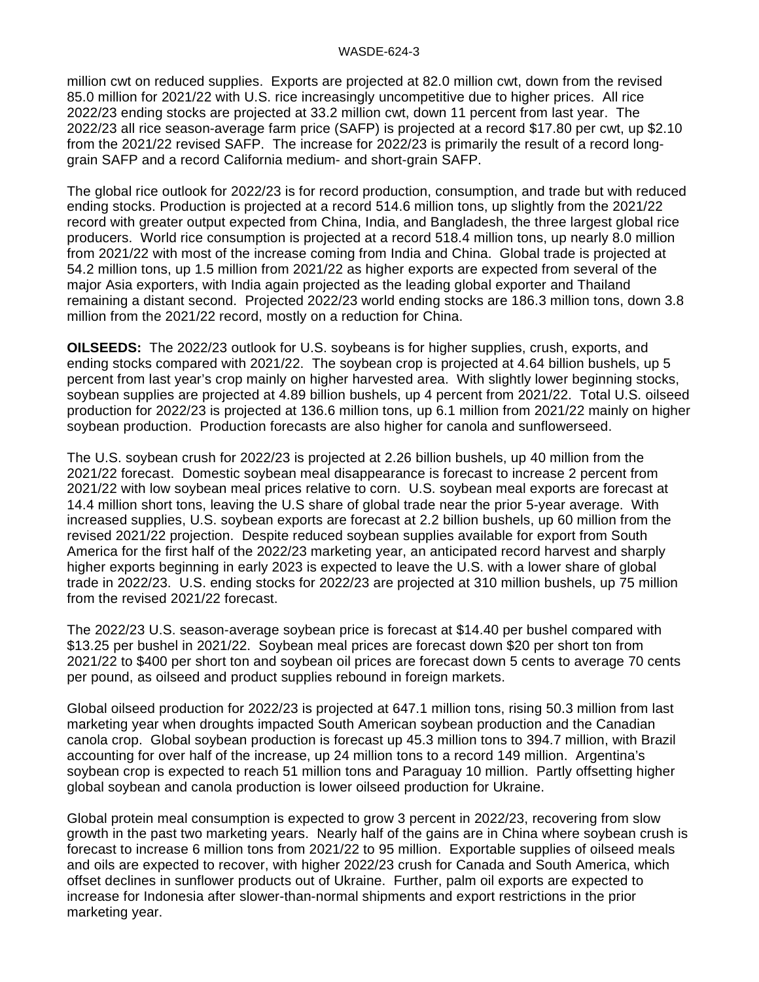million cwt on reduced supplies. Exports are projected at 82.0 million cwt, down from the revised 85.0 million for 2021/22 with U.S. rice increasingly uncompetitive due to higher prices. All rice 2022/23 ending stocks are projected at 33.2 million cwt, down 11 percent from last year. The 2022/23 all rice season-average farm price (SAFP) is projected at a record \$17.80 per cwt, up \$2.10 from the 2021/22 revised SAFP. The increase for 2022/23 is primarily the result of a record longgrain SAFP and a record California medium- and short-grain SAFP.

The global rice outlook for 2022/23 is for record production, consumption, and trade but with reduced ending stocks. Production is projected at a record 514.6 million tons, up slightly from the 2021/22 record with greater output expected from China, India, and Bangladesh, the three largest global rice producers. World rice consumption is projected at a record 518.4 million tons, up nearly 8.0 million from 2021/22 with most of the increase coming from India and China. Global trade is projected at 54.2 million tons, up 1.5 million from 2021/22 as higher exports are expected from several of the major Asia exporters, with India again projected as the leading global exporter and Thailand remaining a distant second. Projected 2022/23 world ending stocks are 186.3 million tons, down 3.8 million from the 2021/22 record, mostly on a reduction for China.

**OILSEEDS:** The 2022/23 outlook for U.S. soybeans is for higher supplies, crush, exports, and ending stocks compared with 2021/22. The soybean crop is projected at 4.64 billion bushels, up 5 percent from last year's crop mainly on higher harvested area. With slightly lower beginning stocks, soybean supplies are projected at 4.89 billion bushels, up 4 percent from 2021/22. Total U.S. oilseed production for 2022/23 is projected at 136.6 million tons, up 6.1 million from 2021/22 mainly on higher soybean production. Production forecasts are also higher for canola and sunflowerseed.

The U.S. soybean crush for 2022/23 is projected at 2.26 billion bushels, up 40 million from the 2021/22 forecast. Domestic soybean meal disappearance is forecast to increase 2 percent from 2021/22 with low soybean meal prices relative to corn. U.S. soybean meal exports are forecast at 14.4 million short tons, leaving the U.S share of global trade near the prior 5-year average. With increased supplies, U.S. soybean exports are forecast at 2.2 billion bushels, up 60 million from the revised 2021/22 projection. Despite reduced soybean supplies available for export from South America for the first half of the 2022/23 marketing year, an anticipated record harvest and sharply higher exports beginning in early 2023 is expected to leave the U.S. with a lower share of global trade in 2022/23. U.S. ending stocks for 2022/23 are projected at 310 million bushels, up 75 million from the revised 2021/22 forecast.

The 2022/23 U.S. season-average soybean price is forecast at \$14.40 per bushel compared with \$13.25 per bushel in 2021/22. Soybean meal prices are forecast down \$20 per short ton from 2021/22 to \$400 per short ton and soybean oil prices are forecast down 5 cents to average 70 cents per pound, as oilseed and product supplies rebound in foreign markets.

Global oilseed production for 2022/23 is projected at 647.1 million tons, rising 50.3 million from last marketing year when droughts impacted South American soybean production and the Canadian canola crop. Global soybean production is forecast up 45.3 million tons to 394.7 million, with Brazil accounting for over half of the increase, up 24 million tons to a record 149 million. Argentina's soybean crop is expected to reach 51 million tons and Paraguay 10 million. Partly offsetting higher global soybean and canola production is lower oilseed production for Ukraine.

Global protein meal consumption is expected to grow 3 percent in 2022/23, recovering from slow growth in the past two marketing years. Nearly half of the gains are in China where soybean crush is forecast to increase 6 million tons from 2021/22 to 95 million. Exportable supplies of oilseed meals and oils are expected to recover, with higher 2022/23 crush for Canada and South America, which offset declines in sunflower products out of Ukraine. Further, palm oil exports are expected to increase for Indonesia after slower-than-normal shipments and export restrictions in the prior marketing year.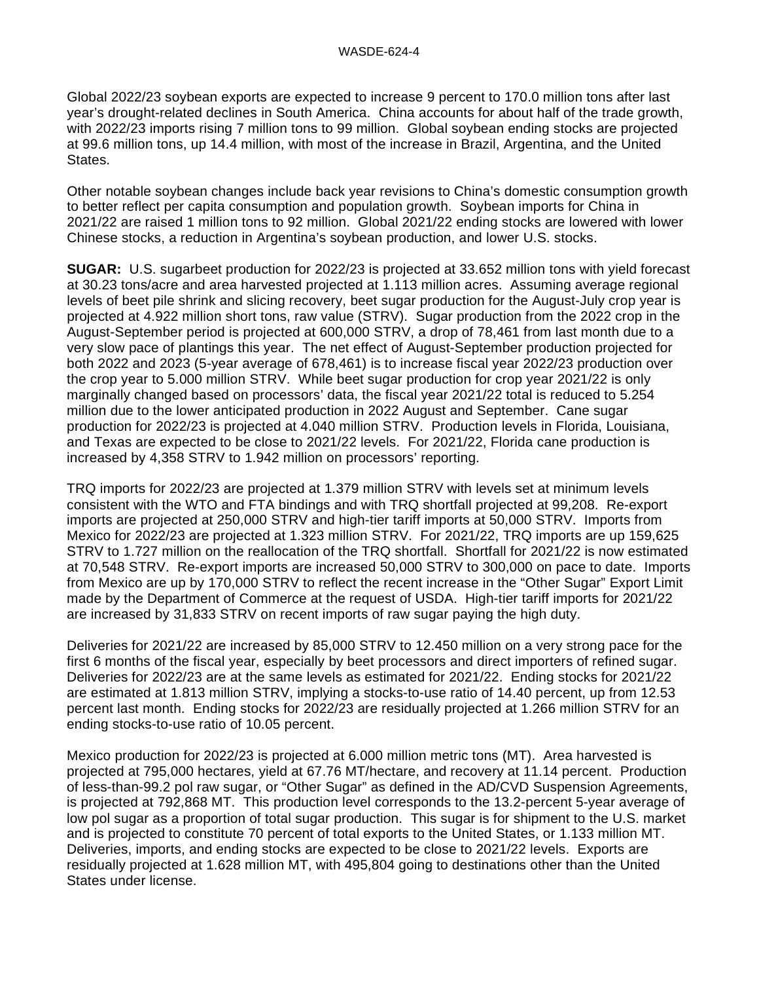Global 2022/23 soybean exports are expected to increase 9 percent to 170.0 million tons after last year's drought-related declines in South America. China accounts for about half of the trade growth, with 2022/23 imports rising 7 million tons to 99 million. Global soybean ending stocks are projected at 99.6 million tons, up 14.4 million, with most of the increase in Brazil, Argentina, and the United States.

Other notable soybean changes include back year revisions to China's domestic consumption growth to better reflect per capita consumption and population growth. Soybean imports for China in 2021/22 are raised 1 million tons to 92 million. Global 2021/22 ending stocks are lowered with lower Chinese stocks, a reduction in Argentina's soybean production, and lower U.S. stocks.

**SUGAR:** U.S. sugarbeet production for 2022/23 is projected at 33.652 million tons with yield forecast at 30.23 tons/acre and area harvested projected at 1.113 million acres. Assuming average regional levels of beet pile shrink and slicing recovery, beet sugar production for the August-July crop year is projected at 4.922 million short tons, raw value (STRV). Sugar production from the 2022 crop in the August-September period is projected at 600,000 STRV, a drop of 78,461 from last month due to a very slow pace of plantings this year. The net effect of August-September production projected for both 2022 and 2023 (5-year average of 678,461) is to increase fiscal year 2022/23 production over the crop year to 5.000 million STRV. While beet sugar production for crop year 2021/22 is only marginally changed based on processors' data, the fiscal year 2021/22 total is reduced to 5.254 million due to the lower anticipated production in 2022 August and September. Cane sugar production for 2022/23 is projected at 4.040 million STRV. Production levels in Florida, Louisiana, and Texas are expected to be close to 2021/22 levels. For 2021/22, Florida cane production is increased by 4,358 STRV to 1.942 million on processors' reporting.

TRQ imports for 2022/23 are projected at 1.379 million STRV with levels set at minimum levels consistent with the WTO and FTA bindings and with TRQ shortfall projected at 99,208. Re-export imports are projected at 250,000 STRV and high-tier tariff imports at 50,000 STRV. Imports from Mexico for 2022/23 are projected at 1.323 million STRV. For 2021/22, TRQ imports are up 159,625 STRV to 1.727 million on the reallocation of the TRQ shortfall. Shortfall for 2021/22 is now estimated at 70,548 STRV. Re-export imports are increased 50,000 STRV to 300,000 on pace to date. Imports from Mexico are up by 170,000 STRV to reflect the recent increase in the "Other Sugar" Export Limit made by the Department of Commerce at the request of USDA. High-tier tariff imports for 2021/22 are increased by 31,833 STRV on recent imports of raw sugar paying the high duty.

Deliveries for 2021/22 are increased by 85,000 STRV to 12.450 million on a very strong pace for the first 6 months of the fiscal year, especially by beet processors and direct importers of refined sugar. Deliveries for 2022/23 are at the same levels as estimated for 2021/22. Ending stocks for 2021/22 are estimated at 1.813 million STRV, implying a stocks-to-use ratio of 14.40 percent, up from 12.53 percent last month. Ending stocks for 2022/23 are residually projected at 1.266 million STRV for an ending stocks-to-use ratio of 10.05 percent.

Mexico production for 2022/23 is projected at 6.000 million metric tons (MT). Area harvested is projected at 795,000 hectares, yield at 67.76 MT/hectare, and recovery at 11.14 percent. Production of less-than-99.2 pol raw sugar, or "Other Sugar" as defined in the AD/CVD Suspension Agreements, is projected at 792,868 MT. This production level corresponds to the 13.2-percent 5-year average of low pol sugar as a proportion of total sugar production. This sugar is for shipment to the U.S. market and is projected to constitute 70 percent of total exports to the United States, or 1.133 million MT. Deliveries, imports, and ending stocks are expected to be close to 2021/22 levels. Exports are residually projected at 1.628 million MT, with 495,804 going to destinations other than the United States under license.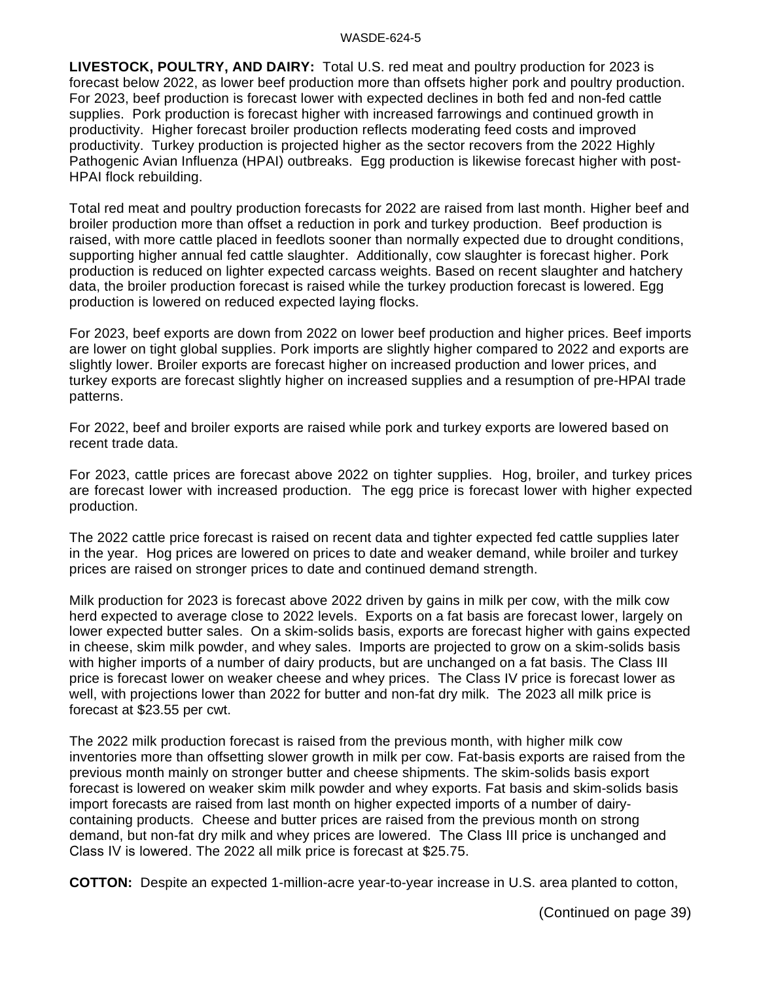#### WASDE-624-5

**LIVESTOCK, POULTRY, AND DAIRY:** Total U.S. red meat and poultry production for 2023 is forecast below 2022, as lower beef production more than offsets higher pork and poultry production. For 2023, beef production is forecast lower with expected declines in both fed and non-fed cattle supplies. Pork production is forecast higher with increased farrowings and continued growth in productivity. Higher forecast broiler production reflects moderating feed costs and improved productivity. Turkey production is projected higher as the sector recovers from the 2022 Highly Pathogenic Avian Influenza (HPAI) outbreaks. Egg production is likewise forecast higher with post-HPAI flock rebuilding.

Total red meat and poultry production forecasts for 2022 are raised from last month. Higher beef and broiler production more than offset a reduction in pork and turkey production. Beef production is raised, with more cattle placed in feedlots sooner than normally expected due to drought conditions, supporting higher annual fed cattle slaughter. Additionally, cow slaughter is forecast higher. Pork production is reduced on lighter expected carcass weights. Based on recent slaughter and hatchery data, the broiler production forecast is raised while the turkey production forecast is lowered. Egg production is lowered on reduced expected laying flocks.

For 2023, beef exports are down from 2022 on lower beef production and higher prices. Beef imports are lower on tight global supplies. Pork imports are slightly higher compared to 2022 and exports are slightly lower. Broiler exports are forecast higher on increased production and lower prices, and turkey exports are forecast slightly higher on increased supplies and a resumption of pre-HPAI trade patterns.

For 2022, beef and broiler exports are raised while pork and turkey exports are lowered based on recent trade data.

For 2023, cattle prices are forecast above 2022 on tighter supplies. Hog, broiler, and turkey prices are forecast lower with increased production. The egg price is forecast lower with higher expected production.

The 2022 cattle price forecast is raised on recent data and tighter expected fed cattle supplies later in the year. Hog prices are lowered on prices to date and weaker demand, while broiler and turkey prices are raised on stronger prices to date and continued demand strength.

Milk production for 2023 is forecast above 2022 driven by gains in milk per cow, with the milk cow herd expected to average close to 2022 levels. Exports on a fat basis are forecast lower, largely on lower expected butter sales. On a skim-solids basis, exports are forecast higher with gains expected in cheese, skim milk powder, and whey sales. Imports are projected to grow on a skim-solids basis with higher imports of a number of dairy products, but are unchanged on a fat basis. The Class III price is forecast lower on weaker cheese and whey prices. The Class IV price is forecast lower as well, with projections lower than 2022 for butter and non-fat dry milk. The 2023 all milk price is forecast at \$23.55 per cwt.

The 2022 milk production forecast is raised from the previous month, with higher milk cow inventories more than offsetting slower growth in milk per cow. Fat-basis exports are raised from the previous month mainly on stronger butter and cheese shipments. The skim-solids basis export forecast is lowered on weaker skim milk powder and whey exports. Fat basis and skim-solids basis import forecasts are raised from last month on higher expected imports of a number of dairycontaining products. Cheese and butter prices are raised from the previous month on strong demand, but non-fat dry milk and whey prices are lowered. The Class III price is unchanged and Class IV is lowered. The 2022 all milk price is forecast at \$25.75.

**COTTON:** Despite an expected 1-million-acre year-to-year increase in U.S. area planted to cotton,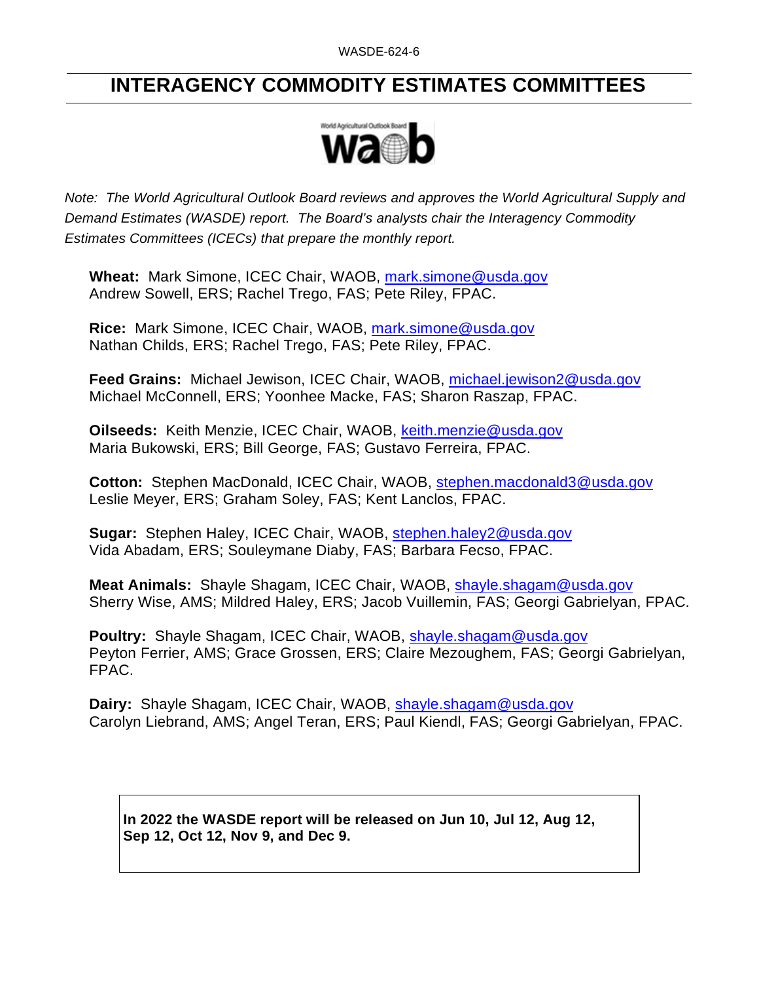## **INTERAGENCY COMMODITY ESTIMATES COMMITTEES**



*Note: The World Agricultural Outlook Board reviews and approves the World Agricultural Supply and Demand Estimates (WASDE) report. The Board's analysts chair the Interagency Commodity Estimates Committees (ICECs) that prepare the monthly report.* 

**Wheat:** Mark Simone, ICEC Chair, WAOB, [mark.simone@usda.gov](mailto:mark.simone@usda.gov) Andrew Sowell, ERS; Rachel Trego, FAS; Pete Riley, FPAC.

**Rice:** Mark Simone, ICEC Chair, WAOB, [mark.simone@usda.gov](mailto:mark.simone@usda.gov) Nathan Childs, ERS; Rachel Trego, FAS; Pete Riley, FPAC.

**Feed Grains:** Michael Jewison, ICEC Chair, WAOB, [michael.jewison2@usda.gov](mailto:michael.jewison2@usda.gov) Michael McConnell, ERS; Yoonhee Macke, FAS; Sharon Raszap, FPAC.

**Oilseeds:** Keith Menzie, ICEC Chair, WAOB, [keith.menzie@usda.gov](mailto:keith.menzie@usda.gov) Maria Bukowski, ERS; Bill George, FAS; Gustavo Ferreira, FPAC.

**Cotton:** Stephen MacDonald, ICEC Chair, WAOB, [stephen.macdonald3@usda.gov](mailto:stephen.macdonald3@usda.gov) Leslie Meyer, ERS; Graham Soley, FAS; Kent Lanclos, FPAC.

**Sugar:** Stephen Haley, ICEC Chair, WAOB, [stephen.haley2@usda.gov](mailto:stephen.haley2@usda.gov)  Vida Abadam, ERS; Souleymane Diaby, FAS; Barbara Fecso, FPAC.

**Meat Animals:** Shayle Shagam, ICEC Chair, WAOB, [shayle.shagam@usda.gov](mailto:shayle.shagam@usda.gov) Sherry Wise, AMS; Mildred Haley, ERS; Jacob Vuillemin, FAS; Georgi Gabrielyan, FPAC.

**Poultry:** Shayle Shagam, ICEC Chair, WAOB, [shayle.shagam@usda.gov](mailto:shayle.shagam@usda.gov) Peyton Ferrier, AMS; Grace Grossen, ERS; Claire Mezoughem, FAS; Georgi Gabrielyan, FPAC.

**Dairy:** Shayle Shagam, ICEC Chair, WAOB, [shayle.shagam@usda.gov](mailto:shayle.shagam@usda.gov) Carolyn Liebrand, AMS; Angel Teran, ERS; Paul Kiendl, FAS; Georgi Gabrielyan, FPAC.

**In 2022 the WASDE report will be released on Jun 10, Jul 12, Aug 12, Sep 12, Oct 12, Nov 9, and Dec 9.**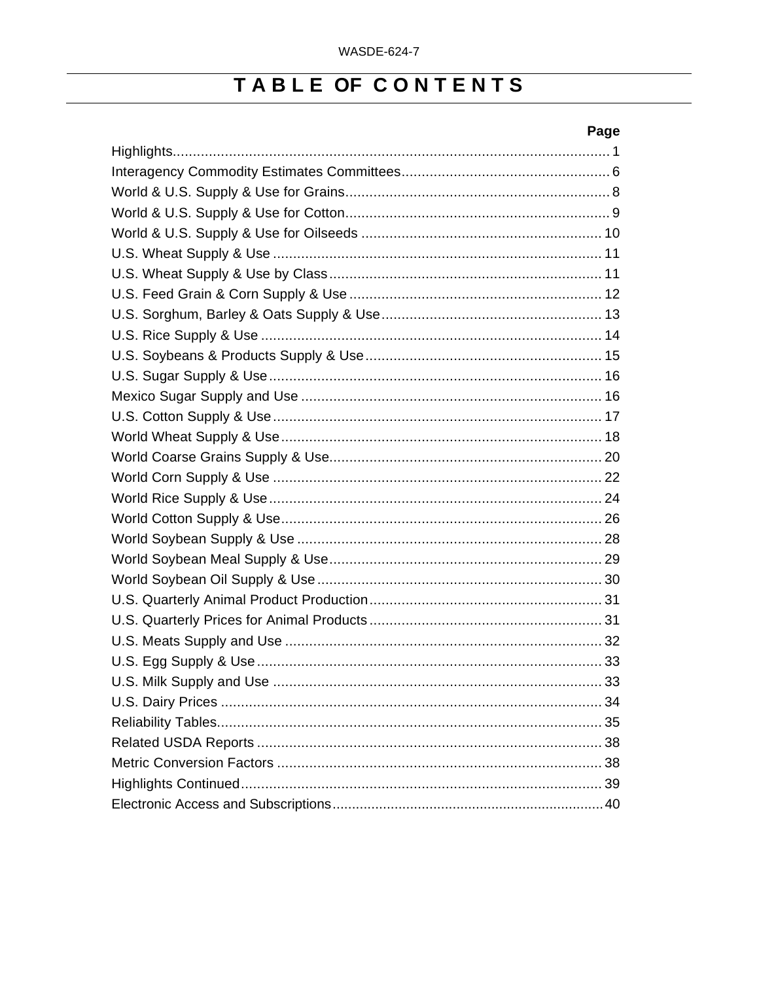## TABLE OF CONTENTS

## Page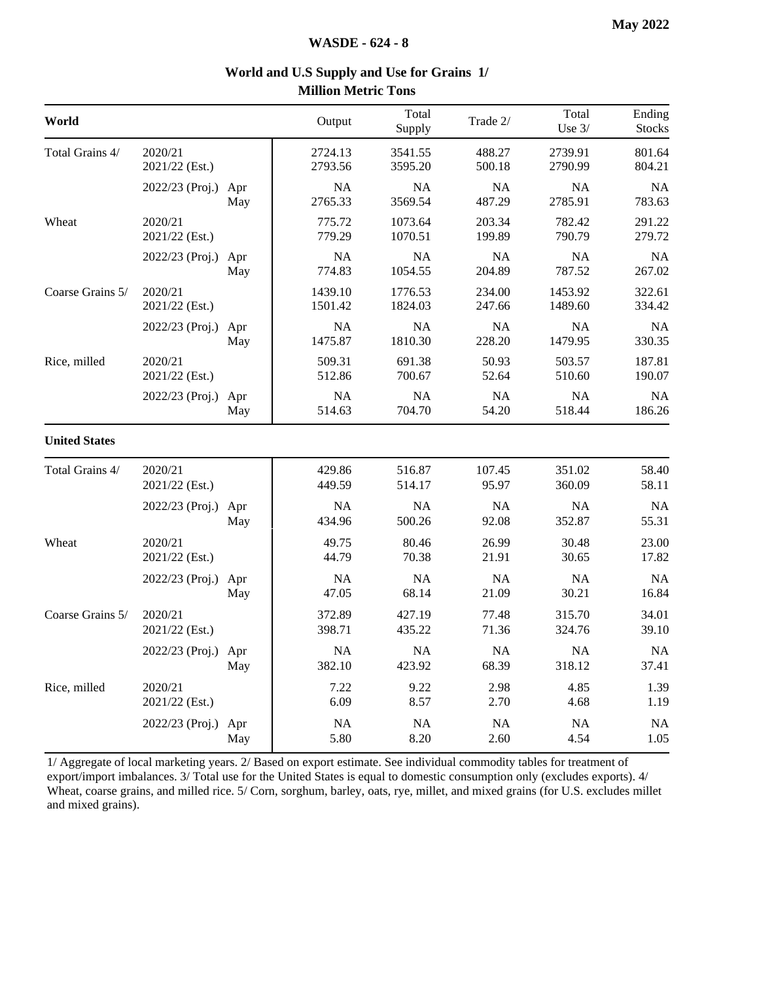| World                |                           |            | Output               | Total<br>Supply      | Trade 2/            | Total<br>Use $3/$    | Ending<br><b>Stocks</b> |
|----------------------|---------------------------|------------|----------------------|----------------------|---------------------|----------------------|-------------------------|
| Total Grains 4/      | 2020/21<br>2021/22 (Est.) |            | 2724.13<br>2793.56   | 3541.55<br>3595.20   | 488.27<br>500.18    | 2739.91<br>2790.99   | 801.64<br>804.21        |
|                      | 2022/23 (Proj.)           | Apr<br>May | <b>NA</b><br>2765.33 | <b>NA</b><br>3569.54 | <b>NA</b><br>487.29 | <b>NA</b><br>2785.91 | <b>NA</b><br>783.63     |
| Wheat                | 2020/21<br>2021/22 (Est.) |            | 775.72<br>779.29     | 1073.64<br>1070.51   | 203.34<br>199.89    | 782.42<br>790.79     | 291.22<br>279.72        |
|                      | 2022/23 (Proj.)           | Apr<br>May | <b>NA</b><br>774.83  | <b>NA</b><br>1054.55 | NA<br>204.89        | <b>NA</b><br>787.52  | <b>NA</b><br>267.02     |
| Coarse Grains 5/     | 2020/21<br>2021/22 (Est.) |            | 1439.10<br>1501.42   | 1776.53<br>1824.03   | 234.00<br>247.66    | 1453.92<br>1489.60   | 322.61<br>334.42        |
|                      | 2022/23 (Proj.) Apr       | May        | <b>NA</b><br>1475.87 | NA<br>1810.30        | <b>NA</b><br>228.20 | NA<br>1479.95        | <b>NA</b><br>330.35     |
| Rice, milled         | 2020/21<br>2021/22 (Est.) |            | 509.31<br>512.86     | 691.38<br>700.67     | 50.93<br>52.64      | 503.57<br>510.60     | 187.81<br>190.07        |
|                      | 2022/23 (Proj.)           | Apr<br>May | <b>NA</b><br>514.63  | NA<br>704.70         | <b>NA</b><br>54.20  | <b>NA</b><br>518.44  | <b>NA</b><br>186.26     |
| <b>United States</b> |                           |            |                      |                      |                     |                      |                         |
| Total Grains 4/      | 2020/21<br>2021/22 (Est.) |            | 429.86<br>449.59     | 516.87<br>514.17     | 107.45<br>95.97     | 351.02<br>360.09     | 58.40<br>58.11          |
|                      | 2022/23 (Proj.)           | Apr<br>May | <b>NA</b><br>434.96  | <b>NA</b><br>500.26  | <b>NA</b><br>92.08  | <b>NA</b><br>352.87  | <b>NA</b><br>55.31      |
| Wheat                | 2020/21<br>2021/22 (Est.) |            | 49.75<br>44.79       | 80.46<br>70.38       | 26.99<br>21.91      | 30.48<br>30.65       | 23.00<br>17.82          |
|                      | 2022/23 (Proj.)           | Apr<br>May | <b>NA</b><br>47.05   | NA<br>68.14          | NA<br>21.09         | NA<br>30.21          | <b>NA</b><br>16.84      |
| Coarse Grains 5/     | 2020/21<br>2021/22 (Est.) |            | 372.89<br>398.71     | 427.19<br>435.22     | 77.48<br>71.36      | 315.70<br>324.76     | 34.01<br>39.10          |
|                      | 2022/23 (Proj.) Apr       | May        | <b>NA</b><br>382.10  | <b>NA</b><br>423.92  | NA<br>68.39         | <b>NA</b><br>318.12  | <b>NA</b><br>37.41      |
| Rice, milled         | 2020/21<br>2021/22 (Est.) |            | 7.22<br>6.09         | 9.22<br>8.57         | 2.98<br>2.70        | 4.85<br>4.68         | 1.39<br>1.19            |
|                      | 2022/23 (Proj.)           | Apr<br>May | <b>NA</b><br>5.80    | $\rm NA$<br>8.20     | NA<br>2.60          | NA<br>4.54           | <b>NA</b><br>1.05       |

#### **World and U.S Supply and Use for Grains 1/ Million Metric Tons**

1/ Aggregate of local marketing years. 2/ Based on export estimate. See individual commodity tables for treatment of export/import imbalances. 3/ Total use for the United States is equal to domestic consumption only (excludes exports). 4/ Wheat, coarse grains, and milled rice. 5/ Corn, sorghum, barley, oats, rye, millet, and mixed grains (for U.S. excludes millet and mixed grains).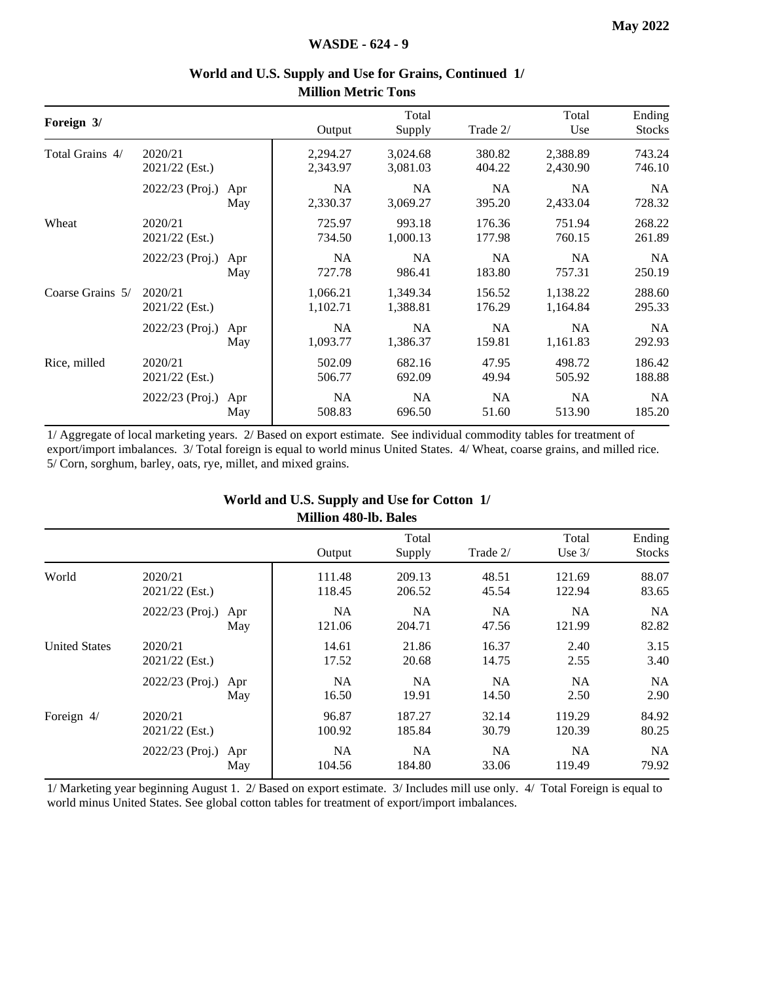|                 |         | Output               | Total                |                  | Total                | Ending           |
|-----------------|---------|----------------------|----------------------|------------------|----------------------|------------------|
|                 |         |                      | Supply               | Trade 2/         | Use                  | <b>Stocks</b>    |
| 2021/22 (Est.)  |         | 2,294.27<br>2,343.97 | 3,024.68<br>3,081.03 | 380.82<br>404.22 | 2,388.89<br>2,430.90 | 743.24<br>746.10 |
| 2022/23 (Proj.) | Apr     | <b>NA</b>            | <b>NA</b>            | <b>NA</b>        | <b>NA</b>            | <b>NA</b>        |
|                 | May     | 2,330.37             | 3,069.27             | 395.20           | 2,433.04             | 728.32           |
| 2020/21         |         | 725.97               | 993.18               | 176.36           | 751.94               | 268.22           |
| 2021/22 (Est.)  |         | 734.50               | 1,000.13             | 177.98           | 760.15               | 261.89           |
| 2022/23 (Proj.) | Apr     | <b>NA</b>            | <b>NA</b>            | <b>NA</b>        | NA                   | <b>NA</b>        |
|                 | May     | 727.78               | 986.41               | 183.80           | 757.31               | 250.19           |
| 2020/21         |         | 1,066.21             | 1,349.34             | 156.52           | 1,138.22             | 288.60           |
| 2021/22 (Est.)  |         | 1,102.71             | 1,388.81             | 176.29           | 1,164.84             | 295.33           |
| 2022/23 (Proj.) | Apr     | <b>NA</b>            | <b>NA</b>            | <b>NA</b>        | NA                   | <b>NA</b>        |
|                 | May     | 1,093.77             | 1,386.37             | 159.81           | 1,161.83             | 292.93           |
| 2020/21         |         | 502.09               | 682.16               | 47.95            | 498.72               | 186.42           |
| 2021/22 (Est.)  |         | 506.77               | 692.09               | 49.94            | 505.92               | 188.88           |
| 2022/23 (Proj.) | Apr     | <b>NA</b>            | <b>NA</b>            | <b>NA</b>        | NA                   | <b>NA</b>        |
|                 | May     | 508.83               | 696.50               | 51.60            | 513.90               | 185.20           |
|                 | 2020/21 |                      |                      |                  |                      |                  |

#### **World and U.S. Supply and Use for Grains, Continued 1/ Million Metric Tons**

1/ Aggregate of local marketing years. 2/ Based on export estimate. See individual commodity tables for treatment of export/import imbalances. 3/ Total foreign is equal to world minus United States. 4/ Wheat, coarse grains, and milled rice. 5/ Corn, sorghum, barley, oats, rye, millet, and mixed grains.

#### **World and U.S. Supply and Use for Cotton 1/ Million 480-lb. Bales**

|                      |                           |            |                     | Total               |                    | Total               | Ending             |
|----------------------|---------------------------|------------|---------------------|---------------------|--------------------|---------------------|--------------------|
|                      |                           |            | Output              | Supply              | Trade 2/           | Use $3/$            | <b>Stocks</b>      |
| World                | 2020/21<br>2021/22 (Est.) |            | 111.48<br>118.45    | 209.13<br>206.52    | 48.51<br>45.54     | 121.69<br>122.94    | 88.07<br>83.65     |
|                      | 2022/23 (Proj.)           | Apr<br>May | <b>NA</b><br>121.06 | <b>NA</b><br>204.71 | <b>NA</b><br>47.56 | <b>NA</b><br>121.99 | <b>NA</b><br>82.82 |
| <b>United States</b> | 2020/21<br>2021/22 (Est.) |            | 14.61<br>17.52      | 21.86<br>20.68      | 16.37<br>14.75     | 2.40<br>2.55        | 3.15<br>3.40       |
|                      | 2022/23 (Proj.)           | Apr<br>May | <b>NA</b><br>16.50  | <b>NA</b><br>19.91  | NA.<br>14.50       | <b>NA</b><br>2.50   | <b>NA</b><br>2.90  |
| Foreign 4/           | 2020/21<br>2021/22 (Est.) |            | 96.87<br>100.92     | 187.27<br>185.84    | 32.14<br>30.79     | 119.29<br>120.39    | 84.92<br>80.25     |
|                      | 2022/23 (Proj.)           | Apr<br>May | <b>NA</b><br>104.56 | <b>NA</b><br>184.80 | <b>NA</b><br>33.06 | <b>NA</b><br>119.49 | <b>NA</b><br>79.92 |

1/ Marketing year beginning August 1. 2/ Based on export estimate. 3/ Includes mill use only. 4/ Total Foreign is equal to world minus United States. See global cotton tables for treatment of export/import imbalances.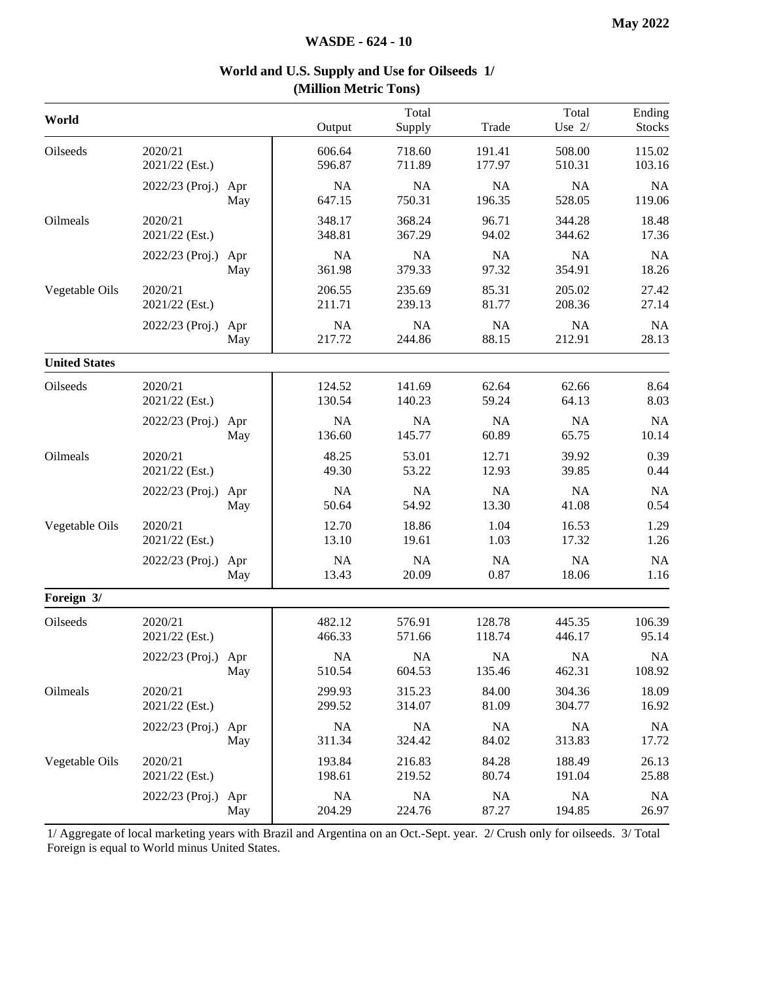| World                |                           |            | Output              | Total<br>Supply     | Trade               | Total<br>Use $2/$   | Ending<br><b>Stocks</b> |
|----------------------|---------------------------|------------|---------------------|---------------------|---------------------|---------------------|-------------------------|
| Oilseeds             | 2020/21<br>2021/22 (Est.) |            | 606.64<br>596.87    | 718.60<br>711.89    | 191.41<br>177.97    | 508.00<br>510.31    | 115.02<br>103.16        |
|                      | 2022/23 (Proj.)           | Apr<br>May | <b>NA</b><br>647.15 | NA<br>750.31        | <b>NA</b><br>196.35 | NA<br>528.05        | <b>NA</b><br>119.06     |
| Oilmeals             | 2020/21<br>2021/22 (Est.) |            | 348.17<br>348.81    | 368.24<br>367.29    | 96.71<br>94.02      | 344.28<br>344.62    | 18.48<br>17.36          |
|                      | 2022/23 (Proj.)           | Apr<br>May | <b>NA</b><br>361.98 | NA<br>379.33        | NA<br>97.32         | NA<br>354.91        | <b>NA</b><br>18.26      |
| Vegetable Oils       | 2020/21<br>2021/22 (Est.) |            | 206.55<br>211.71    | 235.69<br>239.13    | 85.31<br>81.77      | 205.02<br>208.36    | 27.42<br>27.14          |
|                      | 2022/23 (Proj.)           | Apr<br>May | <b>NA</b><br>217.72 | NA<br>244.86        | NA<br>88.15         | <b>NA</b><br>212.91 | <b>NA</b><br>28.13      |
| <b>United States</b> |                           |            |                     |                     |                     |                     |                         |
| Oilseeds             | 2020/21<br>2021/22 (Est.) |            | 124.52<br>130.54    | 141.69<br>140.23    | 62.64<br>59.24      | 62.66<br>64.13      | 8.64<br>8.03            |
|                      | 2022/23 (Proj.)           | Apr<br>May | <b>NA</b><br>136.60 | NA<br>145.77        | NA<br>60.89         | NA<br>65.75         | <b>NA</b><br>10.14      |
| Oilmeals             | 2020/21<br>2021/22 (Est.) |            | 48.25<br>49.30      | 53.01<br>53.22      | 12.71<br>12.93      | 39.92<br>39.85      | 0.39<br>0.44            |
|                      | 2022/23 (Proj.)           | Apr<br>May | NA<br>50.64         | NA<br>54.92         | NA<br>13.30         | NA<br>41.08         | <b>NA</b><br>0.54       |
| Vegetable Oils       | 2020/21<br>2021/22 (Est.) |            | 12.70<br>13.10      | 18.86<br>19.61      | 1.04<br>1.03        | 16.53<br>17.32      | 1.29<br>1.26            |
|                      | 2022/23 (Proj.) Apr       | May        | <b>NA</b><br>13.43  | NA<br>20.09         | <b>NA</b><br>0.87   | NA<br>18.06         | <b>NA</b><br>1.16       |
| Foreign 3/           |                           |            |                     |                     |                     |                     |                         |
| Oilseeds             | 2020/21<br>2021/22 (Est.) |            | 482.12<br>466.33    | 576.91<br>571.66    | 128.78<br>118.74    | 445.35<br>446.17    | 106.39<br>95.14         |
|                      | 2022/23 (Proj.) Apr       | May        | NA<br>510.54        | NA<br>604.53        | NA<br>135.46        | NA<br>462.31        | <b>NA</b><br>108.92     |
| Oilmeals             | 2020/21<br>2021/22 (Est.) |            | 299.93<br>299.52    | 315.23<br>314.07    | 84.00<br>81.09      | 304.36<br>304.77    | 18.09<br>16.92          |
|                      | 2022/23 (Proj.)           | Apr<br>May | <b>NA</b><br>311.34 | <b>NA</b><br>324.42 | <b>NA</b><br>84.02  | <b>NA</b><br>313.83 | <b>NA</b><br>17.72      |
| Vegetable Oils       | 2020/21<br>2021/22 (Est.) |            | 193.84<br>198.61    | 216.83<br>219.52    | 84.28<br>80.74      | 188.49<br>191.04    | 26.13<br>25.88          |
|                      | 2022/23 (Proj.)           | Apr<br>May | NA<br>204.29        | $\rm NA$<br>224.76  | NA<br>87.27         | NA<br>194.85        | <b>NA</b><br>26.97      |

#### **World and U.S. Supply and Use for Oilseeds 1/ (Million Metric Tons)**

1/ Aggregate of local marketing years with Brazil and Argentina on an Oct.-Sept. year. 2/ Crush only for oilseeds. 3/ Total Foreign is equal to World minus United States.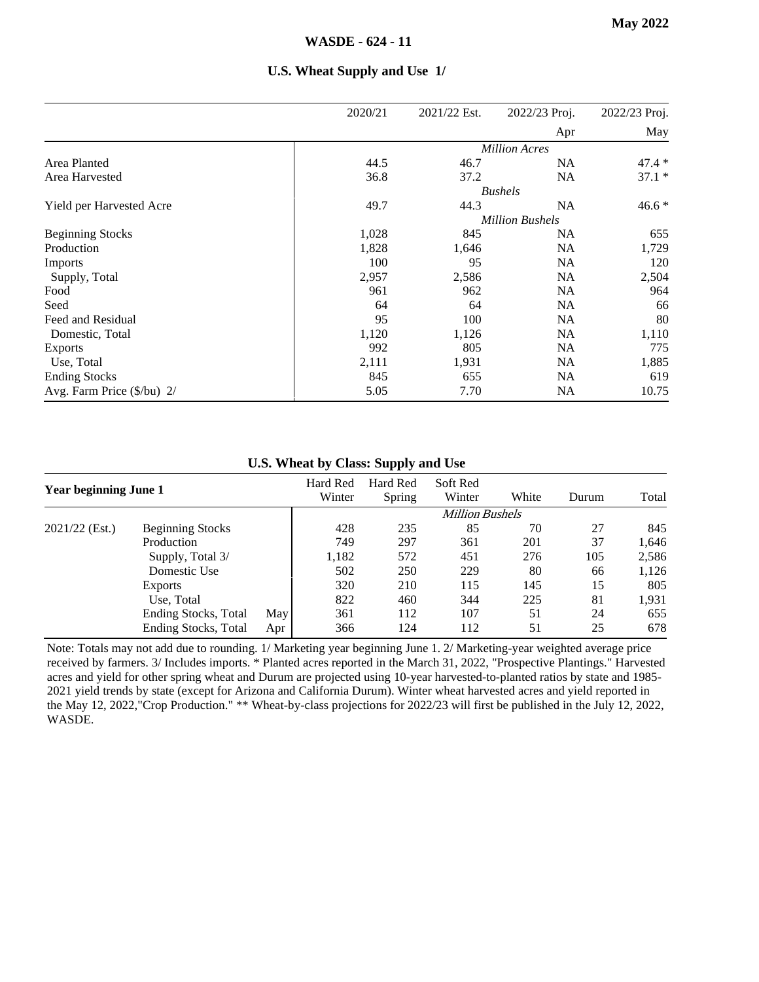|                                     | 2020/21 | 2021/22 Est. | 2022/23 Proj.          | 2022/23 Proj. |
|-------------------------------------|---------|--------------|------------------------|---------------|
|                                     |         |              | Apr                    | May           |
|                                     |         |              | <b>Million Acres</b>   |               |
| Area Planted                        | 44.5    | 46.7         | <b>NA</b>              | $47.4*$       |
| Area Harvested                      | 36.8    | 37.2         | <b>NA</b>              | $37.1*$       |
|                                     |         |              | <b>Bushels</b>         |               |
| Yield per Harvested Acre            | 49.7    | 44.3         | NA                     | $46.6*$       |
|                                     |         |              | <b>Million Bushels</b> |               |
| <b>Beginning Stocks</b>             | 1,028   | 845          | <b>NA</b>              | 655           |
| Production                          | 1,828   | 1,646        | <b>NA</b>              | 1,729         |
| <b>Imports</b>                      | 100     | 95           | <b>NA</b>              | 120           |
| Supply, Total                       | 2,957   | 2,586        | <b>NA</b>              | 2,504         |
| Food                                | 961     | 962          | <b>NA</b>              | 964           |
| Seed                                | 64      | 64           | <b>NA</b>              | 66            |
| Feed and Residual                   | 95      | 100          | <b>NA</b>              | 80            |
| Domestic, Total                     | 1,120   | 1,126        | <b>NA</b>              | 1,110         |
| <b>Exports</b>                      | 992     | 805          | <b>NA</b>              | 775           |
| Use, Total                          | 2,111   | 1,931        | <b>NA</b>              | 1,885         |
| <b>Ending Stocks</b>                | 845     | 655          | <b>NA</b>              | 619           |
| Avg. Farm Price $(\frac{5}{bu})$ 2/ | 5.05    | 7.70         | <b>NA</b>              | 10.75         |

#### **U.S. Wheat Supply and Use 1/**

**U.S. Wheat by Class: Supply and Use**

| Year beginning June 1 |                         | Hard Red<br>Winter | Hard Red<br>Spring | Soft Red<br>Winter | White                  | Durum | Total |       |
|-----------------------|-------------------------|--------------------|--------------------|--------------------|------------------------|-------|-------|-------|
|                       |                         |                    |                    |                    | <b>Million Bushels</b> |       |       |       |
| $2021/22$ (Est.)      | <b>Beginning Stocks</b> |                    | 428                | 235                | 85                     | 70    | 27    | 845   |
|                       | Production              |                    | 749                | 297                | 361                    | 201   | 37    | 1,646 |
|                       | Supply, Total 3/        |                    | 1,182              | 572                | 451                    | 276   | 105   | 2,586 |
|                       | Domestic Use            |                    | 502                | 250                | 229                    | 80    | 66    | 1,126 |
|                       | <b>Exports</b>          |                    | 320                | 210                | 115                    | 145   | 15    | 805   |
|                       | Use, Total              |                    | 822                | 460                | 344                    | 225   | 81    | 1,931 |
|                       | Ending Stocks, Total    | May                | 361                | 112                | 107                    | 51    | 24    | 655   |
|                       | Ending Stocks, Total    | Apr                | 366                | 124                | 112                    | 51    | 25    | 678   |

Note: Totals may not add due to rounding. 1/ Marketing year beginning June 1. 2/ Marketing-year weighted average price received by farmers. 3/ Includes imports. \* Planted acres reported in the March 31, 2022, "Prospective Plantings." Harvested acres and yield for other spring wheat and Durum are projected using 10-year harvested-to-planted ratios by state and 1985- 2021 yield trends by state (except for Arizona and California Durum). Winter wheat harvested acres and yield reported in the May 12, 2022,"Crop Production." \*\* Wheat-by-class projections for 2022/23 will first be published in the July 12, 2022, WASDE.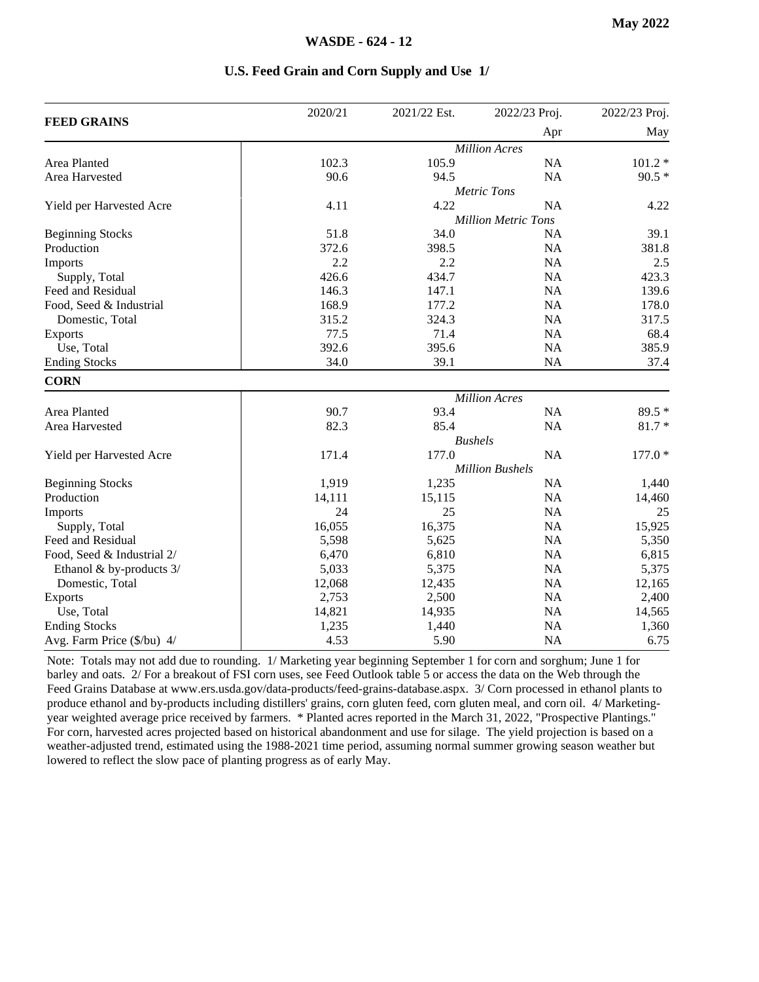|                            | 2020/21 | 2021/22 Est.         | 2022/23 Proj.              | 2022/23 Proj. |  |  |
|----------------------------|---------|----------------------|----------------------------|---------------|--|--|
| <b>FEED GRAINS</b>         |         |                      | Apr                        | May           |  |  |
|                            |         |                      | <b>Million Acres</b>       |               |  |  |
| Area Planted               | 102.3   | 105.9                | <b>NA</b>                  | $101.2*$      |  |  |
| Area Harvested             | 90.6    | 94.5                 | <b>NA</b>                  | $90.5*$       |  |  |
|                            |         |                      | <b>Metric Tons</b>         |               |  |  |
| Yield per Harvested Acre   | 4.11    | 4.22                 | <b>NA</b>                  | 4.22          |  |  |
|                            |         |                      | <b>Million Metric Tons</b> |               |  |  |
| <b>Beginning Stocks</b>    | 51.8    | 34.0                 | NA                         | 39.1          |  |  |
| Production                 | 372.6   | 398.5                | <b>NA</b>                  | 381.8         |  |  |
| Imports                    | 2.2     | 2.2                  | <b>NA</b>                  | 2.5           |  |  |
| Supply, Total              | 426.6   | 434.7                | <b>NA</b>                  | 423.3         |  |  |
| Feed and Residual          | 146.3   | 147.1                | <b>NA</b>                  | 139.6         |  |  |
| Food, Seed & Industrial    | 168.9   | 177.2                | <b>NA</b>                  | 178.0         |  |  |
| Domestic, Total            | 315.2   | 324.3                | <b>NA</b>                  | 317.5         |  |  |
| <b>Exports</b>             | 77.5    | 71.4                 | <b>NA</b>                  | 68.4          |  |  |
| Use, Total                 | 392.6   | 395.6                | NA                         | 385.9         |  |  |
| <b>Ending Stocks</b>       | 34.0    | 39.1                 | NA                         | 37.4          |  |  |
| <b>CORN</b>                |         |                      |                            |               |  |  |
|                            |         | <b>Million Acres</b> |                            |               |  |  |
| Area Planted               | 90.7    | 93.4                 | NA                         | 89.5 *        |  |  |
| Area Harvested             | 82.3    | 85.4                 | NA                         | $81.7*$       |  |  |
|                            |         |                      | <b>Bushels</b>             |               |  |  |
| Yield per Harvested Acre   | 171.4   | 177.0                | <b>NA</b>                  | $177.0*$      |  |  |
|                            |         |                      | <b>Million Bushels</b>     |               |  |  |
| <b>Beginning Stocks</b>    | 1,919   | 1,235                | <b>NA</b>                  | 1,440         |  |  |
| Production                 | 14,111  | 15,115               | <b>NA</b>                  | 14,460        |  |  |
| Imports                    | 24      | 25                   | NA                         | 25            |  |  |
| Supply, Total              | 16,055  | 16,375               | NA                         | 15,925        |  |  |
| Feed and Residual          | 5,598   | 5,625                | NA                         | 5,350         |  |  |
| Food, Seed & Industrial 2/ | 6,470   | 6,810                | <b>NA</b>                  | 6,815         |  |  |
| Ethanol & by-products 3/   | 5,033   | 5,375                | <b>NA</b>                  | 5,375         |  |  |
| Domestic, Total            | 12,068  | 12,435               | <b>NA</b>                  | 12,165        |  |  |
| <b>Exports</b>             | 2,753   | 2,500                | <b>NA</b>                  | 2,400         |  |  |
| Use, Total                 | 14,821  | 14,935               | <b>NA</b>                  | 14,565        |  |  |
| <b>Ending Stocks</b>       | 1,235   | 1,440                | <b>NA</b>                  | 1,360         |  |  |
| Avg. Farm Price (\$/bu) 4/ | 4.53    | 5.90                 | NA                         | 6.75          |  |  |

#### **U.S. Feed Grain and Corn Supply and Use 1/**

Note: Totals may not add due to rounding. 1/ Marketing year beginning September 1 for corn and sorghum; June 1 for barley and oats. 2/ For a breakout of FSI corn uses, see Feed Outlook table 5 or access the data on the Web through the Feed Grains Database at www.ers.usda.gov/data-products/feed-grains-database.aspx. 3/ Corn processed in ethanol plants to produce ethanol and by-products including distillers' grains, corn gluten feed, corn gluten meal, and corn oil. 4/ Marketingyear weighted average price received by farmers. \* Planted acres reported in the March 31, 2022, "Prospective Plantings." For corn, harvested acres projected based on historical abandonment and use for silage. The yield projection is based on a weather-adjusted trend, estimated using the 1988-2021 time period, assuming normal summer growing season weather but lowered to reflect the slow pace of planting progress as of early May.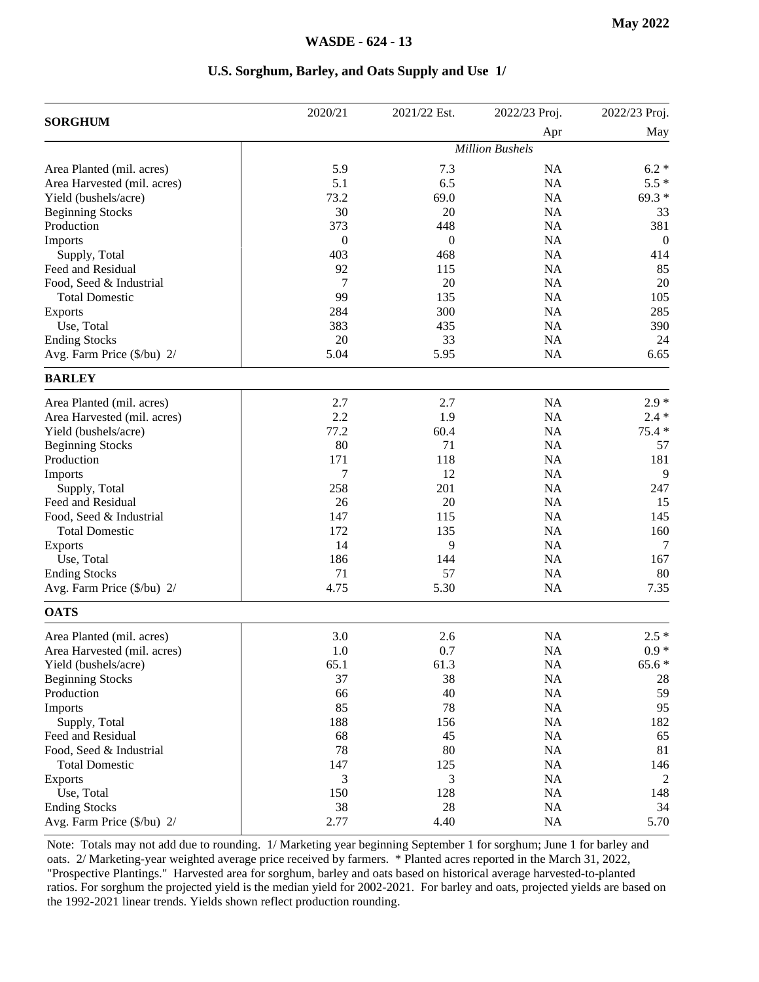#### **U.S. Sorghum, Barley, and Oats Supply and Use 1/**

| <b>SORGHUM</b>              | 2020/21          | 2021/22 Est.   | 2022/23 Proj.          | 2022/23 Proj. |
|-----------------------------|------------------|----------------|------------------------|---------------|
|                             |                  |                | Apr                    | May           |
|                             |                  |                | <b>Million Bushels</b> |               |
| Area Planted (mil. acres)   | 5.9              | 7.3            | NA                     | $6.2*$        |
| Area Harvested (mil. acres) | 5.1              | 6.5            | NA                     | $5.5*$        |
| Yield (bushels/acre)        | 73.2             | 69.0           | NA                     | $69.3*$       |
| <b>Beginning Stocks</b>     | 30               | 20             | NA                     | 33            |
| Production                  | 373              | 448            | NA                     | 381           |
| Imports                     | $\boldsymbol{0}$ | $\overline{0}$ | NA                     | $\mathbf{0}$  |
| Supply, Total               | 403              | 468            | NA                     | 414           |
| Feed and Residual           | 92               | 115            | NA                     | 85            |
| Food, Seed & Industrial     | 7                | 20             | <b>NA</b>              | 20            |
| <b>Total Domestic</b>       | 99               | 135            | NA                     | 105           |
| Exports                     | 284              | 300            | <b>NA</b>              | 285           |
| Use, Total                  | 383              | 435            | NA                     | 390           |
| <b>Ending Stocks</b>        | 20               | 33             | NA                     | 24            |
| Avg. Farm Price (\$/bu) 2/  | 5.04             | 5.95           | NA                     | 6.65          |
| <b>BARLEY</b>               |                  |                |                        |               |
| Area Planted (mil. acres)   | 2.7              | 2.7            | NA                     | $2.9*$        |
| Area Harvested (mil. acres) | 2.2              | 1.9            | <b>NA</b>              | $2.4 *$       |
| Yield (bushels/acre)        | 77.2             | 60.4           | NA                     | $75.4*$       |
| <b>Beginning Stocks</b>     | 80               | 71             | NA                     | 57            |
| Production                  | 171              | 118            | NA                     | 181           |
| Imports                     | 7                | 12             | NA                     | 9             |
| Supply, Total               | 258              | 201            | NA                     | 247           |
| Feed and Residual           | 26               | 20             | NA                     | 15            |
| Food, Seed & Industrial     | 147              | 115            | NA                     | 145           |
| <b>Total Domestic</b>       | 172              | 135            | NA                     | 160           |
| <b>Exports</b>              | 14               | 9              | NA                     | 7             |
| Use, Total                  | 186              | 144            | NA                     | 167           |
| <b>Ending Stocks</b>        | 71               | 57             | NA                     | 80            |
| Avg. Farm Price (\$/bu) 2/  | 4.75             | 5.30           | NA                     | 7.35          |
| <b>OATS</b>                 |                  |                |                        |               |
| Area Planted (mil. acres)   | 3.0              | 2.6            | NA                     | $2.5*$        |
| Area Harvested (mil. acres) | 1.0              | 0.7            | NA                     | $0.9 *$       |
| Yield (bushels/acre)        | 65.1             | 61.3           | NA                     | $65.6*$       |
| <b>Beginning Stocks</b>     | 37               | 38             | NA                     | 28            |
| Production                  | 66               | 40             | NA                     | 59            |
| Imports                     | 85               | 78             | <b>NA</b>              | 95            |
| Supply, Total               | 188              | 156            | <b>NA</b>              | 182           |
| Feed and Residual           | 68               | 45             | <b>NA</b>              | 65            |
| Food, Seed & Industrial     | 78               | 80             | <b>NA</b>              | 81            |
| <b>Total Domestic</b>       | 147              | 125            | <b>NA</b>              | 146           |
| Exports                     | 3                | 3              | NA                     | 2             |
| Use, Total                  | 150              | 128            | NA                     | 148           |
| <b>Ending Stocks</b>        | 38               | 28             | NA                     | 34            |
| Avg. Farm Price (\$/bu) 2/  | 2.77             | 4.40           | <b>NA</b>              | 5.70          |
|                             |                  |                |                        |               |

Note: Totals may not add due to rounding. 1/ Marketing year beginning September 1 for sorghum; June 1 for barley and oats. 2/ Marketing-year weighted average price received by farmers. \* Planted acres reported in the March 31, 2022, "Prospective Plantings." Harvested area for sorghum, barley and oats based on historical average harvested-to-planted ratios. For sorghum the projected yield is the median yield for 2002-2021. For barley and oats, projected yields are based on the 1992-2021 linear trends. Yields shown reflect production rounding.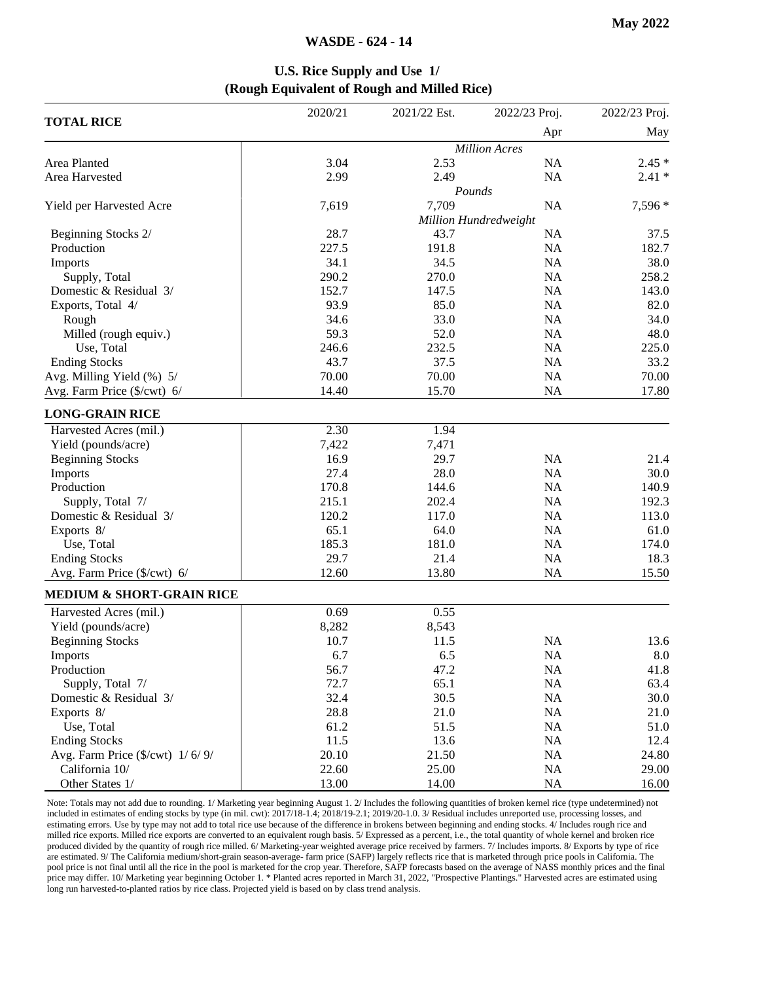#### **WASDE - 624 - 14**

#### **U.S. Rice Supply and Use 1/ (Rough Equivalent of Rough and Milled Rice)**

|                                                          | 2020/21 | 2021/22 Est. | 2022/23 Proj.         | 2022/23 Proj. |
|----------------------------------------------------------|---------|--------------|-----------------------|---------------|
| <b>TOTAL RICE</b>                                        |         |              | Apr                   | May           |
|                                                          |         |              | <b>Million Acres</b>  |               |
| Area Planted                                             | 3.04    | 2.53         | NA                    | $2.45*$       |
| Area Harvested                                           | 2.99    | 2.49         | NA                    | $2.41*$       |
|                                                          |         |              | Pounds                |               |
| Yield per Harvested Acre                                 | 7,619   | 7,709        | NA                    | 7,596 *       |
|                                                          |         |              | Million Hundredweight |               |
| Beginning Stocks 2/                                      | 28.7    | 43.7         | <b>NA</b>             | 37.5          |
| Production                                               | 227.5   | 191.8        | NA                    | 182.7         |
| Imports                                                  | 34.1    | 34.5         | NA                    | 38.0          |
| Supply, Total                                            | 290.2   | 270.0        | NA                    | 258.2         |
| Domestic & Residual 3/                                   | 152.7   | 147.5        | NA                    | 143.0         |
| Exports, Total 4/                                        | 93.9    | 85.0         | NA                    | 82.0          |
| Rough                                                    | 34.6    | 33.0         | <b>NA</b>             | 34.0          |
| Milled (rough equiv.)                                    | 59.3    | 52.0         | NA                    | 48.0          |
| Use, Total                                               | 246.6   | 232.5        | <b>NA</b>             | 225.0         |
| <b>Ending Stocks</b>                                     | 43.7    | 37.5         | NA                    | 33.2          |
| Avg. Milling Yield (%) 5/                                | 70.00   | 70.00        | <b>NA</b>             | 70.00         |
| Avg. Farm Price (\$/cwt) 6/                              | 14.40   | 15.70        | <b>NA</b>             | 17.80         |
| <b>LONG-GRAIN RICE</b>                                   |         |              |                       |               |
| Harvested Acres (mil.)                                   | 2.30    | 1.94         |                       |               |
| Yield (pounds/acre)                                      | 7,422   | 7,471        |                       |               |
| <b>Beginning Stocks</b>                                  | 16.9    | 29.7         | NA                    | 21.4          |
| Imports                                                  | 27.4    | 28.0         | NA                    | 30.0          |
| Production                                               | 170.8   | 144.6        | <b>NA</b>             | 140.9         |
| Supply, Total 7/                                         | 215.1   | 202.4        | <b>NA</b>             | 192.3         |
| Domestic & Residual 3/                                   | 120.2   | 117.0        | NA                    | 113.0         |
| Exports 8/                                               | 65.1    | 64.0         | NA                    | 61.0          |
| Use, Total                                               | 185.3   | 181.0        | NA                    | 174.0         |
| <b>Ending Stocks</b>                                     | 29.7    | 21.4         | NA                    | 18.3          |
| Avg. Farm Price (\$/cwt) 6/                              | 12.60   | 13.80        | <b>NA</b>             | 15.50         |
| <b>MEDIUM &amp; SHORT-GRAIN RICE</b>                     |         |              |                       |               |
| Harvested Acres (mil.)                                   | 0.69    | 0.55         |                       |               |
| Yield (pounds/acre)                                      | 8,282   | 8,543        |                       |               |
| <b>Beginning Stocks</b>                                  | 10.7    | 11.5         | NA                    | 13.6          |
| Imports                                                  | 6.7     | 6.5          | NA                    | 8.0           |
| Production                                               | 56.7    | 47.2         | NA                    | 41.8          |
| Supply, Total 7/                                         | 72.7    | 65.1         | NA                    | 63.4          |
| Domestic & Residual 3/                                   | 32.4    | 30.5         | NA                    | 30.0          |
| Exports 8/                                               | 28.8    | 21.0         | NA                    | 21.0          |
| Use, Total                                               | 61.2    | 51.5         | NA                    | 51.0          |
| <b>Ending Stocks</b>                                     | 11.5    | 13.6         | NA                    | 12.4          |
| Avg. Farm Price $(\frac{C}{x})$ ( $\frac{C}{x}$ ) 1/6/9/ | 20.10   | 21.50        | <b>NA</b>             | 24.80         |
| California 10/                                           | 22.60   | 25.00        | NA                    | 29.00         |
| Other States 1/                                          | 13.00   | 14.00        | <b>NA</b>             | 16.00         |

Note: Totals may not add due to rounding. 1/ Marketing year beginning August 1. 2/ Includes the following quantities of broken kernel rice (type undetermined) not included in estimates of ending stocks by type (in mil. cwt): 2017/18-1.4; 2018/19-2.1; 2019/20-1.0. 3/ Residual includes unreported use, processing losses, and estimating errors. Use by type may not add to total rice use because of the difference in brokens between beginning and ending stocks. 4/ Includes rough rice and milled rice exports. Milled rice exports are converted to an equivalent rough basis. 5/ Expressed as a percent, i.e., the total quantity of whole kernel and broken rice produced divided by the quantity of rough rice milled. 6/ Marketing-year weighted average price received by farmers. 7/ Includes imports. 8/ Exports by type of rice are estimated. 9/ The California medium/short-grain season-average- farm price (SAFP) largely reflects rice that is marketed through price pools in California. The pool price is not final until all the rice in the pool is marketed for the crop year. Therefore, SAFP forecasts based on the average of NASS monthly prices and the final price may differ. 10/ Marketing year beginning October 1. \* Planted acres reported in March 31, 2022, "Prospective Plantings." Harvested acres are estimated using long run harvested-to-planted ratios by rice class. Projected yield is based on by class trend analysis.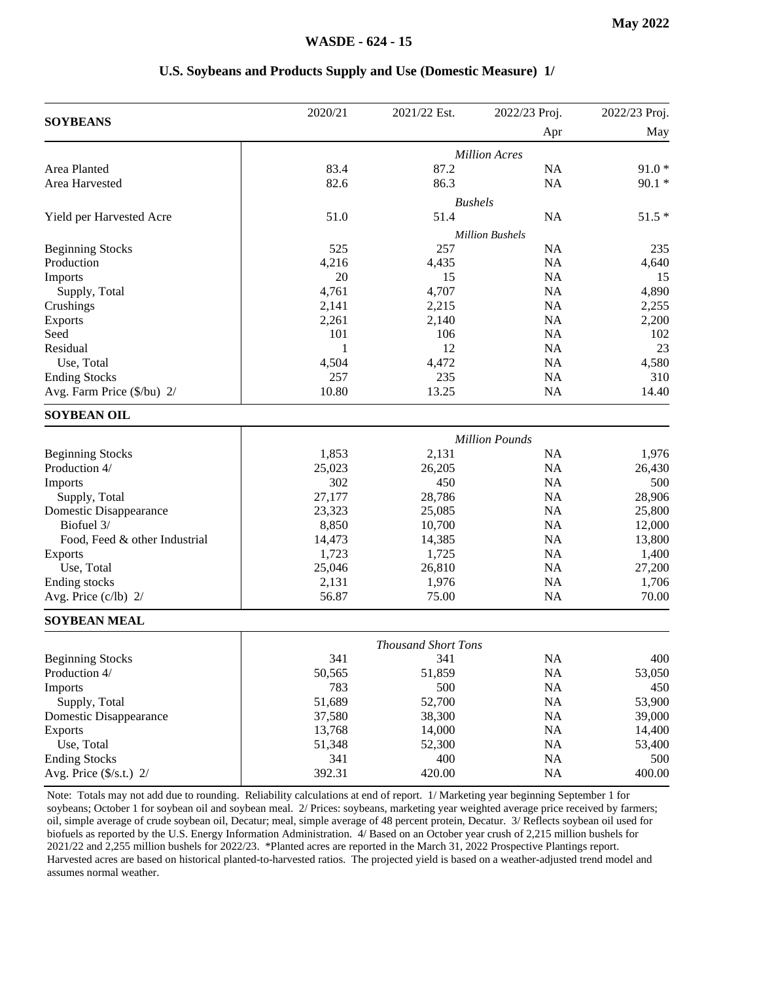#### **U.S. Soybeans and Products Supply and Use (Domestic Measure) 1/**

|                               | 2020/21 | 2021/22 Est.               | 2022/23 Proj.          | 2022/23 Proj. |
|-------------------------------|---------|----------------------------|------------------------|---------------|
| <b>SOYBEANS</b>               |         |                            | Apr                    | May           |
|                               |         |                            | <b>Million Acres</b>   |               |
| Area Planted                  | 83.4    | 87.2                       | NA                     | $91.0*$       |
| Area Harvested                | 82.6    | 86.3                       | <b>NA</b>              | $90.1*$       |
|                               |         |                            | <b>Bushels</b>         |               |
| Yield per Harvested Acre      | 51.0    | 51.4                       | <b>NA</b>              | $51.5*$       |
|                               |         |                            | <b>Million Bushels</b> |               |
| <b>Beginning Stocks</b>       | 525     | 257                        | <b>NA</b>              | 235           |
| Production                    | 4,216   | 4,435                      | <b>NA</b>              | 4,640         |
| Imports                       | 20      | 15                         | <b>NA</b>              | 15            |
| Supply, Total                 | 4,761   | 4,707                      | <b>NA</b>              | 4,890         |
| Crushings                     | 2,141   | 2,215                      | <b>NA</b>              | 2,255         |
| <b>Exports</b>                | 2,261   | 2,140                      | <b>NA</b>              | 2,200         |
| Seed                          | 101     | 106                        | <b>NA</b>              | 102           |
| Residual                      | 1       | 12                         | <b>NA</b>              | 23            |
| Use, Total                    | 4,504   | 4,472                      | <b>NA</b>              | 4,580         |
| <b>Ending Stocks</b>          | 257     | 235                        | NA                     | 310           |
| Avg. Farm Price (\$/bu) 2/    | 10.80   | 13.25                      | <b>NA</b>              | 14.40         |
| <b>SOYBEAN OIL</b>            |         |                            |                        |               |
|                               |         |                            | <b>Million Pounds</b>  |               |
| <b>Beginning Stocks</b>       | 1,853   | 2,131                      | <b>NA</b>              | 1,976         |
| Production 4/                 | 25,023  | 26,205                     | <b>NA</b>              | 26,430        |
| Imports                       | 302     | 450                        | <b>NA</b>              | 500           |
| Supply, Total                 | 27,177  | 28,786                     | NA                     | 28,906        |
| Domestic Disappearance        | 23,323  | 25,085                     | NA                     | 25,800        |
| Biofuel 3/                    | 8,850   | 10,700                     | <b>NA</b>              | 12,000        |
| Food, Feed & other Industrial | 14,473  | 14,385                     | <b>NA</b>              | 13,800        |
| <b>Exports</b>                | 1,723   | 1,725                      | <b>NA</b>              | 1,400         |
| Use, Total                    | 25,046  | 26,810                     | <b>NA</b>              | 27,200        |
| Ending stocks                 | 2,131   | 1,976                      | NA                     | 1,706         |
| Avg. Price (c/lb) 2/          | 56.87   | 75.00                      | <b>NA</b>              | 70.00         |
| <b>SOYBEAN MEAL</b>           |         |                            |                        |               |
|                               |         | <b>Thousand Short Tons</b> |                        |               |
| <b>Beginning Stocks</b>       | 341     | 341                        | <b>NA</b>              | 400           |
| Production 4/                 | 50,565  | 51,859                     | NA                     | 53,050        |
| Imports                       | 783     | 500                        | <b>NA</b>              | 450           |
| Supply, Total                 | 51,689  | 52,700                     | <b>NA</b>              | 53,900        |
| Domestic Disappearance        | 37,580  | 38,300                     | <b>NA</b>              | 39,000        |
| <b>Exports</b>                | 13,768  | 14,000                     | <b>NA</b>              | 14,400        |
| Use, Total                    | 51,348  | 52,300                     | NA                     | 53,400        |
| <b>Ending Stocks</b>          | 341     | 400                        | <b>NA</b>              | 500           |
| Avg. Price (\$/s.t.) 2/       | 392.31  | 420.00                     | <b>NA</b>              | 400.00        |
|                               |         |                            |                        |               |

Note: Totals may not add due to rounding. Reliability calculations at end of report. 1/ Marketing year beginning September 1 for soybeans; October 1 for soybean oil and soybean meal. 2/ Prices: soybeans, marketing year weighted average price received by farmers; oil, simple average of crude soybean oil, Decatur; meal, simple average of 48 percent protein, Decatur. 3/ Reflects soybean oil used for biofuels as reported by the U.S. Energy Information Administration. 4/ Based on an October year crush of 2,215 million bushels for 2021/22 and 2,255 million bushels for 2022/23. \*Planted acres are reported in the March 31, 2022 Prospective Plantings report. Harvested acres are based on historical planted-to-harvested ratios. The projected yield is based on a weather-adjusted trend model and assumes normal weather.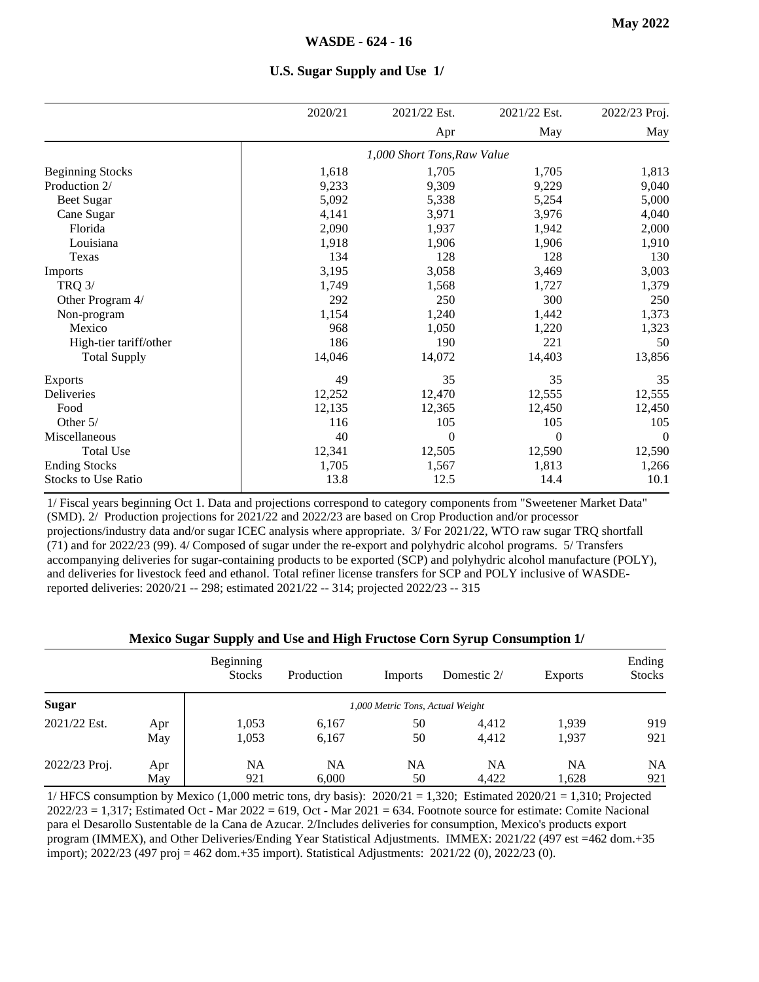|                            | 2020/21 | 2021/22 Est.                | 2021/22 Est. | 2022/23 Proj. |
|----------------------------|---------|-----------------------------|--------------|---------------|
|                            |         | Apr                         | May          | May           |
|                            |         | 1,000 Short Tons, Raw Value |              |               |
| <b>Beginning Stocks</b>    | 1,618   | 1,705                       | 1,705        | 1,813         |
| Production 2/              | 9,233   | 9,309                       | 9,229        | 9,040         |
| Beet Sugar                 | 5,092   | 5,338                       | 5,254        | 5,000         |
| Cane Sugar                 | 4,141   | 3,971                       | 3,976        | 4,040         |
| Florida                    | 2,090   | 1,937                       | 1,942        | 2,000         |
| Louisiana                  | 1,918   | 1,906                       | 1,906        | 1,910         |
| Texas                      | 134     | 128                         | 128          | 130           |
| Imports                    | 3,195   | 3,058                       | 3,469        | 3,003         |
| <b>TRQ 3/</b>              | 1,749   | 1,568                       | 1,727        | 1,379         |
| Other Program 4/           | 292     | 250                         | 300          | 250           |
| Non-program                | 1,154   | 1,240                       | 1,442        | 1,373         |
| Mexico                     | 968     | 1,050                       | 1,220        | 1,323         |
| High-tier tariff/other     | 186     | 190                         | 221          | 50            |
| <b>Total Supply</b>        | 14,046  | 14,072                      | 14,403       | 13,856        |
| <b>Exports</b>             | 49      | 35                          | 35           | 35            |
| Deliveries                 | 12,252  | 12,470                      | 12,555       | 12,555        |
| Food                       | 12,135  | 12,365                      | 12,450       | 12,450        |
| Other 5/                   | 116     | 105                         | 105          | 105           |
| Miscellaneous              | 40      | $\theta$                    | $\theta$     | $\theta$      |
| <b>Total Use</b>           | 12,341  | 12,505                      | 12,590       | 12,590        |
| <b>Ending Stocks</b>       | 1,705   | 1,567                       | 1,813        | 1,266         |
| <b>Stocks to Use Ratio</b> | 13.8    | 12.5                        | 14.4         | 10.1          |

**U.S. Sugar Supply and Use 1/**

1/ Fiscal years beginning Oct 1. Data and projections correspond to category components from "Sweetener Market Data" (SMD). 2/ Production projections for 2021/22 and 2022/23 are based on Crop Production and/or processor projections/industry data and/or sugar ICEC analysis where appropriate. 3/ For 2021/22, WTO raw sugar TRQ shortfall (71) and for 2022/23 (99). 4/ Composed of sugar under the re-export and polyhydric alcohol programs. 5/ Transfers accompanying deliveries for sugar-containing products to be exported (SCP) and polyhydric alcohol manufacture (POLY), and deliveries for livestock feed and ethanol. Total refiner license transfers for SCP and POLY inclusive of WASDEreported deliveries: 2020/21 -- 298; estimated 2021/22 -- 314; projected 2022/23 -- 315

#### **Mexico Sugar Supply and Use and High Fructose Corn Syrup Consumption 1/**

|               |     | Beginning<br><b>Stocks</b> | Production | Imports                          | Domestic 2/ | <b>Exports</b> | Ending<br><b>Stocks</b> |
|---------------|-----|----------------------------|------------|----------------------------------|-------------|----------------|-------------------------|
| <b>Sugar</b>  |     |                            |            | 1,000 Metric Tons, Actual Weight |             |                |                         |
| 2021/22 Est.  | Apr | 1,053                      | 6,167      | 50                               | 4,412       | 1,939          | 919                     |
|               | May | 1,053                      | 6,167      | 50                               | 4,412       | 1,937          | 921                     |
| 2022/23 Proj. | Apr | NA                         | <b>NA</b>  | NA                               | NA          | NA             | <b>NA</b>               |
|               | May | 921                        | 6.000      | 50                               | 4,422       | 1,628          | 921                     |

1/ HFCS consumption by Mexico  $(1,000$  metric tons, dry basis):  $2020/21 = 1,320$ ; Estimated  $2020/21 = 1,310$ ; Projected  $2022/23 = 1,317$ ; Estimated Oct - Mar  $2022 = 619$ , Oct - Mar  $2021 = 634$ . Footnote source for estimate: Comite Nacional para el Desarollo Sustentable de la Cana de Azucar. 2/Includes deliveries for consumption, Mexico's products export program (IMMEX), and Other Deliveries/Ending Year Statistical Adjustments. IMMEX: 2021/22 (497 est =462 dom.+35 import); 2022/23 (497 proj = 462 dom.+35 import). Statistical Adjustments: 2021/22 (0), 2022/23 (0).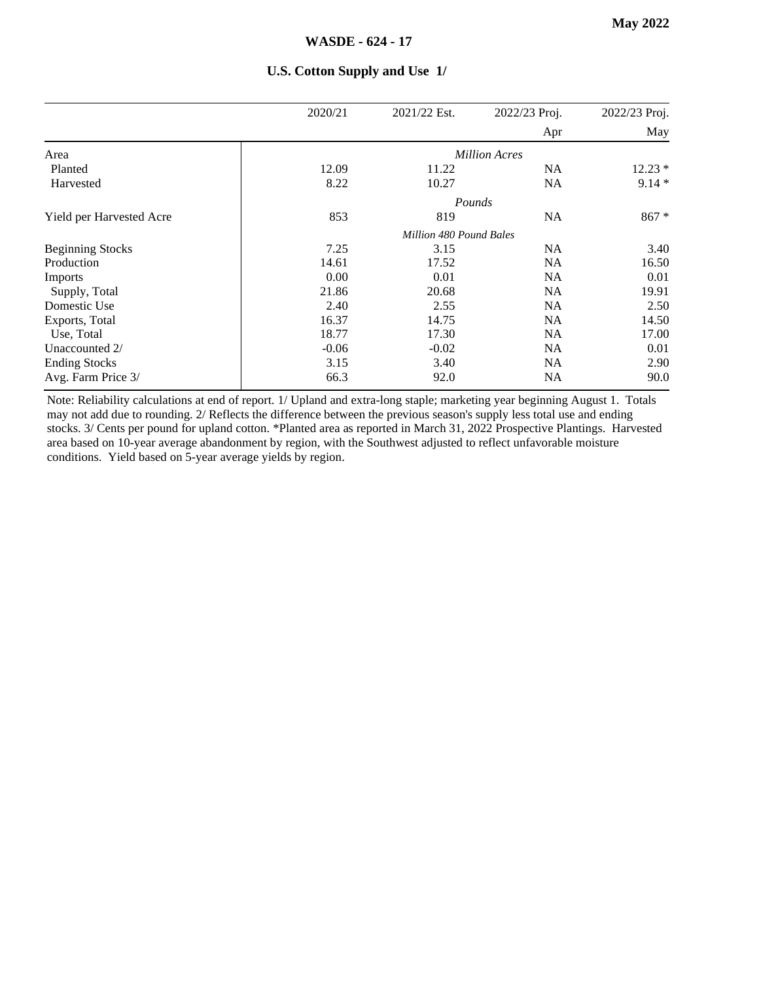|                          | 2020/21 | 2021/22 Est.                   | 2022/23 Proj.        | 2022/23 Proj. |
|--------------------------|---------|--------------------------------|----------------------|---------------|
|                          |         |                                | Apr                  | May           |
| Area                     |         |                                | <b>Million Acres</b> |               |
| Planted                  | 12.09   | 11.22                          | <b>NA</b>            | $12.23*$      |
| Harvested                | 8.22    | 10.27                          | <b>NA</b>            | $9.14*$       |
|                          |         |                                | Pounds               |               |
| Yield per Harvested Acre | 853     | 819                            | <b>NA</b>            | $867 *$       |
|                          |         | <b>Million 480 Pound Bales</b> |                      |               |
| <b>Beginning Stocks</b>  | 7.25    | 3.15                           | <b>NA</b>            | 3.40          |
| Production               | 14.61   | 17.52                          | <b>NA</b>            | 16.50         |
| Imports                  | 0.00    | 0.01                           | <b>NA</b>            | 0.01          |
| Supply, Total            | 21.86   | 20.68                          | <b>NA</b>            | 19.91         |
| Domestic Use             | 2.40    | 2.55                           | <b>NA</b>            | 2.50          |
| Exports, Total           | 16.37   | 14.75                          | <b>NA</b>            | 14.50         |
| Use, Total               | 18.77   | 17.30                          | <b>NA</b>            | 17.00         |
| Unaccounted 2/           | $-0.06$ | $-0.02$                        | <b>NA</b>            | 0.01          |
| <b>Ending Stocks</b>     | 3.15    | 3.40                           | <b>NA</b>            | 2.90          |
| Avg. Farm Price 3/       | 66.3    | 92.0                           | <b>NA</b>            | 90.0          |

#### **U.S. Cotton Supply and Use 1/**

Note: Reliability calculations at end of report. 1/ Upland and extra-long staple; marketing year beginning August 1. Totals may not add due to rounding. 2/ Reflects the difference between the previous season's supply less total use and ending stocks. 3/ Cents per pound for upland cotton. \*Planted area as reported in March 31, 2022 Prospective Plantings. Harvested area based on 10-year average abandonment by region, with the Southwest adjusted to reflect unfavorable moisture conditions. Yield based on 5-year average yields by region.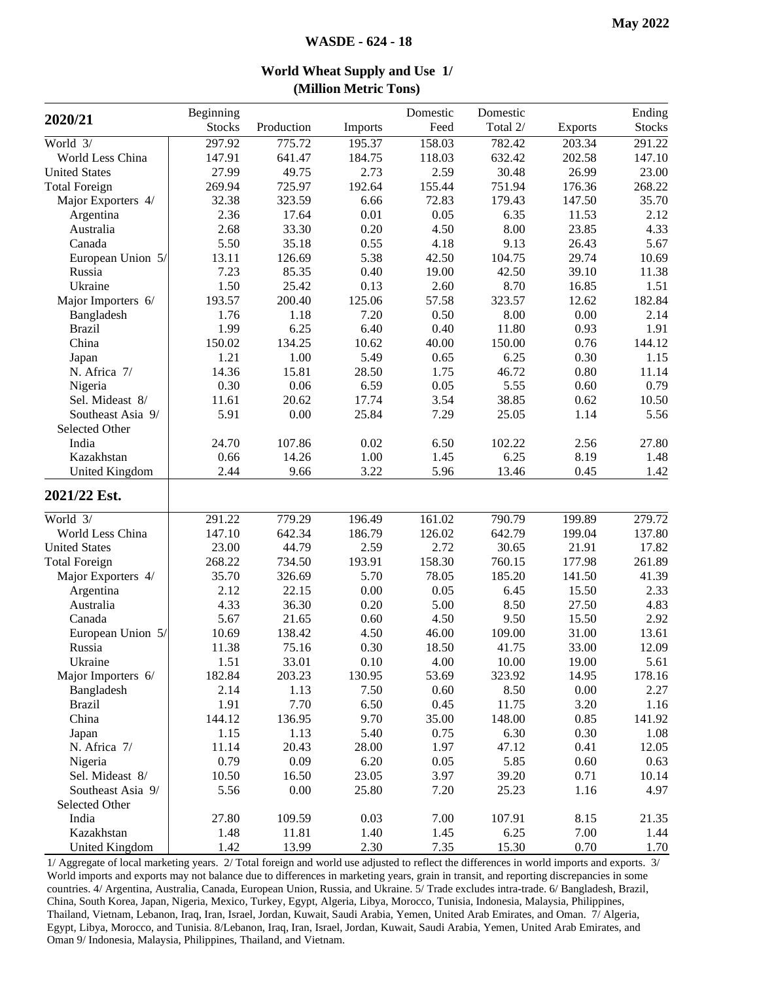|                       |               |            | (DIRIUM) VIELITU TOIIS) |          |          |                |        |
|-----------------------|---------------|------------|-------------------------|----------|----------|----------------|--------|
| 2020/21               | Beginning     |            |                         | Domestic | Domestic |                | Ending |
|                       | <b>Stocks</b> | Production | Imports                 | Feed     | Total 2/ | <b>Exports</b> | Stocks |
| World 3/              | 297.92        | 775.72     | 195.37                  | 158.03   | 782.42   | 203.34         | 291.22 |
| World Less China      | 147.91        | 641.47     | 184.75                  | 118.03   | 632.42   | 202.58         | 147.10 |
| <b>United States</b>  | 27.99         | 49.75      | 2.73                    | 2.59     | 30.48    | 26.99          | 23.00  |
| <b>Total Foreign</b>  | 269.94        | 725.97     | 192.64                  | 155.44   | 751.94   | 176.36         | 268.22 |
| Major Exporters 4/    | 32.38         | 323.59     | 6.66                    | 72.83    | 179.43   | 147.50         | 35.70  |
| Argentina             | 2.36          | 17.64      | $0.01\,$                | 0.05     | 6.35     | 11.53          | 2.12   |
| Australia             | 2.68          | 33.30      | 0.20                    | 4.50     | 8.00     | 23.85          | 4.33   |
| Canada                | 5.50          | 35.18      | 0.55                    | 4.18     | 9.13     | 26.43          | 5.67   |
| European Union 5/     | 13.11         | 126.69     | 5.38                    | 42.50    | 104.75   | 29.74          | 10.69  |
| Russia                | 7.23          | 85.35      | 0.40                    | 19.00    | 42.50    | 39.10          | 11.38  |
| Ukraine               | 1.50          | 25.42      | 0.13                    | 2.60     | 8.70     | 16.85          | 1.51   |
| Major Importers 6/    | 193.57        | 200.40     | 125.06                  | 57.58    | 323.57   | 12.62          | 182.84 |
| Bangladesh            | 1.76          | 1.18       | 7.20                    | 0.50     | 8.00     | 0.00           | 2.14   |
| <b>Brazil</b>         | 1.99          | 6.25       | 6.40                    | 0.40     | 11.80    | 0.93           | 1.91   |
| China                 | 150.02        | 134.25     | 10.62                   | 40.00    | 150.00   | 0.76           | 144.12 |
| Japan                 | 1.21          | 1.00       | 5.49                    | 0.65     | 6.25     | 0.30           | 1.15   |
| N. Africa 7/          | 14.36         | 15.81      | 28.50                   | 1.75     | 46.72    | 0.80           | 11.14  |
| Nigeria               | 0.30          | 0.06       | 6.59                    | 0.05     | 5.55     | 0.60           | 0.79   |
| Sel. Mideast 8/       | 11.61         | 20.62      | 17.74                   | 3.54     | 38.85    | 0.62           | 10.50  |
| Southeast Asia 9/     | 5.91          | 0.00       | 25.84                   | 7.29     | 25.05    | 1.14           | 5.56   |
| Selected Other        |               |            |                         |          |          |                |        |
| India                 | 24.70         | 107.86     | 0.02                    | 6.50     | 102.22   | 2.56           | 27.80  |
| Kazakhstan            | 0.66          | 14.26      | 1.00                    | 1.45     | 6.25     | 8.19           | 1.48   |
| United Kingdom        | 2.44          | 9.66       | 3.22                    | 5.96     | 13.46    | 0.45           | 1.42   |
| 2021/22 Est.          |               |            |                         |          |          |                |        |
| World $3/$            | 291.22        | 779.29     | 196.49                  | 161.02   | 790.79   | 199.89         | 279.72 |
| World Less China      | 147.10        | 642.34     | 186.79                  | 126.02   | 642.79   | 199.04         | 137.80 |
| <b>United States</b>  | 23.00         | 44.79      | 2.59                    | 2.72     | 30.65    | 21.91          | 17.82  |
| <b>Total Foreign</b>  | 268.22        | 734.50     | 193.91                  | 158.30   | 760.15   | 177.98         | 261.89 |
| Major Exporters 4/    | 35.70         | 326.69     | 5.70                    | 78.05    | 185.20   | 141.50         | 41.39  |
| Argentina             | 2.12          | 22.15      | 0.00                    | 0.05     | 6.45     | 15.50          | 2.33   |
| Australia             | 4.33          | 36.30      | 0.20                    | 5.00     | 8.50     | 27.50          | 4.83   |
| Canada                | 5.67          | 21.65      | 0.60                    | 4.50     | 9.50     | 15.50          | 2.92   |
| European Union 5/     | 10.69         | 138.42     | 4.50                    | 46.00    | 109.00   | 31.00          | 13.61  |
| Russia                | 11.38         | 75.16      | 0.30                    | 18.50    | 41.75    | 33.00          | 12.09  |
| Ukraine               | 1.51          | 33.01      | 0.10                    | 4.00     | 10.00    | 19.00          | 5.61   |
| Major Importers 6/    | 182.84        | 203.23     | 130.95                  | 53.69    | 323.92   | 14.95          | 178.16 |
| Bangladesh            | 2.14          | 1.13       | 7.50                    | $0.60\,$ | 8.50     | 0.00           | 2.27   |
| <b>Brazil</b>         | 1.91          | 7.70       | 6.50                    | 0.45     | 11.75    | 3.20           | 1.16   |
| China                 | 144.12        | 136.95     | 9.70                    | 35.00    | 148.00   | 0.85           | 141.92 |
| Japan                 | 1.15          | 1.13       | 5.40                    | 0.75     | 6.30     | 0.30           | 1.08   |
| N. Africa 7/          | 11.14         | 20.43      | 28.00                   | 1.97     | 47.12    | 0.41           | 12.05  |
| Nigeria               | 0.79          | 0.09       | 6.20                    | 0.05     | 5.85     | 0.60           | 0.63   |
| Sel. Mideast 8/       | 10.50         | 16.50      | 23.05                   | 3.97     | 39.20    | 0.71           | 10.14  |
| Southeast Asia 9/     | 5.56          | 0.00       | 25.80                   | 7.20     | 25.23    | 1.16           | 4.97   |
| Selected Other        |               |            |                         |          |          |                |        |
| India                 | 27.80         | 109.59     | 0.03                    | 7.00     | 107.91   | 8.15           | 21.35  |
| Kazakhstan            | 1.48          | 11.81      | 1.40                    | 1.45     | 6.25     | 7.00           | 1.44   |
| <b>United Kingdom</b> | 1.42          | 13.99      | 2.30                    | 7.35     | 15.30    | 0.70           | 1.70   |
|                       |               |            |                         |          |          |                |        |

**World Wheat Supply and Use 1/ (Million Metric Tons)**

1/ Aggregate of local marketing years. 2/ Total foreign and world use adjusted to reflect the differences in world imports and exports. 3/ World imports and exports may not balance due to differences in marketing years, grain in transit, and reporting discrepancies in some countries. 4/ Argentina, Australia, Canada, European Union, Russia, and Ukraine. 5/ Trade excludes intra-trade. 6/ Bangladesh, Brazil, China, South Korea, Japan, Nigeria, Mexico, Turkey, Egypt, Algeria, Libya, Morocco, Tunisia, Indonesia, Malaysia, Philippines, Thailand, Vietnam, Lebanon, Iraq, Iran, Israel, Jordan, Kuwait, Saudi Arabia, Yemen, United Arab Emirates, and Oman. 7/ Algeria, Egypt, Libya, Morocco, and Tunisia. 8/Lebanon, Iraq, Iran, Israel, Jordan, Kuwait, Saudi Arabia, Yemen, United Arab Emirates, and Oman 9/ Indonesia, Malaysia, Philippines, Thailand, and Vietnam.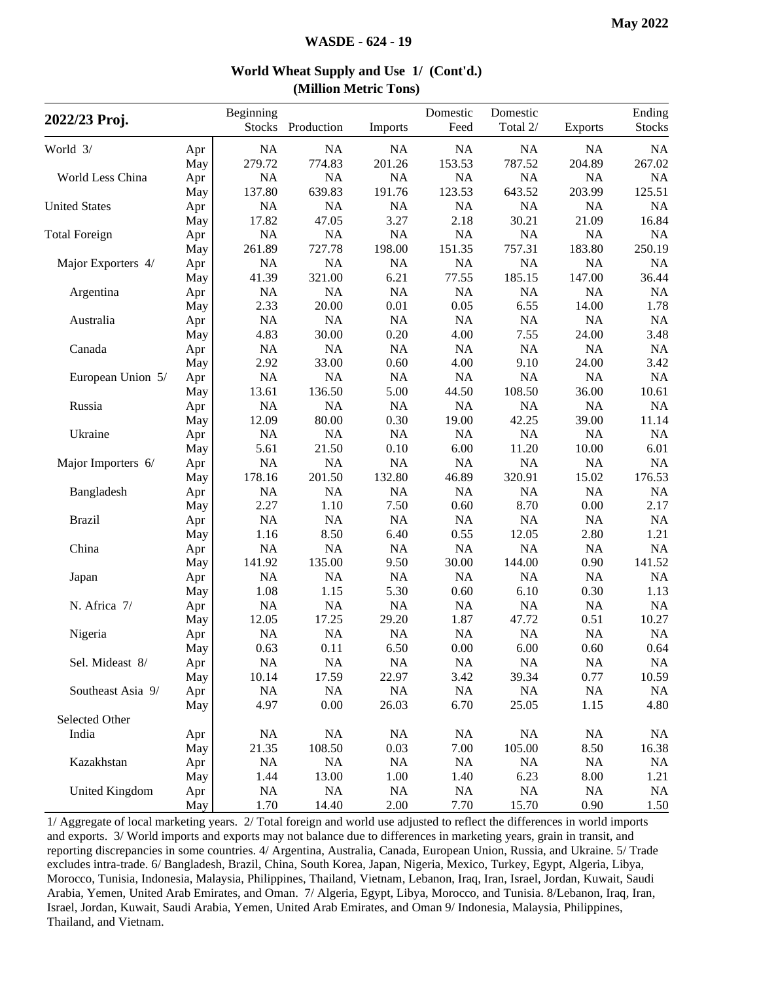| 2022/23 Proj.        |     | Beginning | Stocks Production | Imports   | Domestic<br>Feed | Domestic<br>Total 2/ | <b>Exports</b> | Ending<br><b>Stocks</b> |
|----------------------|-----|-----------|-------------------|-----------|------------------|----------------------|----------------|-------------------------|
| World 3/             | Apr | NA        | <b>NA</b>         | NA        | NA               | NA                   | NA             | NA                      |
|                      | May | 279.72    | 774.83            | 201.26    | 153.53           | 787.52               | 204.89         | 267.02                  |
| World Less China     | Apr | NA        | <b>NA</b>         | <b>NA</b> | NA               | <b>NA</b>            | <b>NA</b>      | NA                      |
|                      | May | 137.80    | 639.83            | 191.76    | 123.53           | 643.52               | 203.99         | 125.51                  |
| <b>United States</b> | Apr | NA        | NA                | <b>NA</b> | NA               | NA                   | NA             | <b>NA</b>               |
|                      | May | 17.82     | 47.05             | 3.27      | 2.18             | 30.21                | 21.09          | 16.84                   |
| <b>Total Foreign</b> | Apr | NA        | NA                | $\rm NA$  | NA               | NA                   | NA             | <b>NA</b>               |
|                      | May | 261.89    | 727.78            | 198.00    | 151.35           | 757.31               | 183.80         | 250.19                  |
| Major Exporters 4/   | Apr | NA        | NA                | NA        | NA               | NA                   | NA             | NA                      |
|                      | May | 41.39     | 321.00            | 6.21      | 77.55            | 185.15               | 147.00         | 36.44                   |
| Argentina            | Apr | NA        | NA                | NA        | NA               | NA                   | NA             | <b>NA</b>               |
|                      | May | 2.33      | 20.00             | 0.01      | 0.05             | 6.55                 | 14.00          | 1.78                    |
| Australia            | Apr | NA        | <b>NA</b>         | NA        | NA               | NA                   | NA             | <b>NA</b>               |
|                      | May | 4.83      | 30.00             | 0.20      | 4.00             | 7.55                 | 24.00          | 3.48                    |
| Canada               | Apr | NA        | NA                | NA        | NA               | NA                   | NA             | NA                      |
|                      | May | 2.92      | 33.00             | 0.60      | 4.00             | 9.10                 | 24.00          | 3.42                    |
| European Union 5/    | Apr | NA        | NA                | $\rm NA$  | NA               | NA                   | $\rm NA$       | <b>NA</b>               |
|                      | May | 13.61     | 136.50            | 5.00      | 44.50            | 108.50               | 36.00          | 10.61                   |
| Russia               | Apr | NA        | <b>NA</b>         | NA        | NA               | NA                   | $\rm NA$       | NA                      |
|                      | May | 12.09     | 80.00             | 0.30      | 19.00            | 42.25                | 39.00          | 11.14                   |
| Ukraine              | Apr | <b>NA</b> | NA                | NA        | NA               | NA                   | NA             | NA                      |
|                      | May | 5.61      | 21.50             | 0.10      | 6.00             | 11.20                | 10.00          | 6.01                    |
| Major Importers 6/   | Apr | NA        | <b>NA</b>         | NA        | <b>NA</b>        | NA                   | NA             | <b>NA</b>               |
|                      | May | 178.16    | 201.50            | 132.80    | 46.89            | 320.91               | 15.02          | 176.53                  |
| Bangladesh           | Apr | NA        | NA                | NA        | NA               | NA                   | NA             | <b>NA</b>               |
|                      | May | 2.27      | 1.10              | 7.50      | 0.60             | 8.70                 | 0.00           | 2.17                    |
| <b>Brazil</b>        | Apr | NA        | NA                | NA        | NA               | NA                   | NA             | <b>NA</b>               |
|                      | May | 1.16      | 8.50              | 6.40      | 0.55             | 12.05                | 2.80           | 1.21                    |
| China                | Apr | NA        | NA                | $\rm NA$  | NA               | NA                   | NA             | <b>NA</b>               |
|                      | May | 141.92    | 135.00            | 9.50      | 30.00            | 144.00               | 0.90           | 141.52                  |
| Japan                | Apr | NA        | <b>NA</b>         | NA        | NA               | NA                   | $\rm NA$       | NA                      |
|                      | May | 1.08      | 1.15              | 5.30      | 0.60             | 6.10                 | 0.30           | 1.13                    |
| N. Africa 7/         | Apr | NA        | NA                | NA        | NA               | NA                   | NA             | NA                      |
|                      | May | 12.05     | 17.25             | 29.20     | 1.87             | 47.72                | 0.51           | 10.27                   |
| Nigeria              | Apr | NA        | <b>NA</b>         | NA        | <b>NA</b>        | <b>NA</b>            | NA             | <b>NA</b>               |
|                      | May | 0.63      | 0.11              | 6.50      | 0.00             | 6.00                 | 0.60           | 0.64                    |
| Sel. Mideast 8/      | Apr | NA        | NA                | $\rm NA$  | $\rm NA$         | $\rm NA$             | $\rm NA$       | NA                      |
|                      | May | 10.14     | 17.59             | 22.97     | 3.42             | 39.34                | 0.77           | 10.59                   |
| Southeast Asia 9/    | Apr | NA        | NA                | <b>NA</b> | NA               | $\rm NA$             | NA             | NA                      |
|                      | May | 4.97      | 0.00              | 26.03     | 6.70             | 25.05                | 1.15           | 4.80                    |
| Selected Other       |     |           |                   |           |                  |                      |                |                         |
| India                | Apr | NA        | NA                | NA        | NA               | NA                   | NA             | NA                      |
|                      | May | 21.35     | 108.50            | 0.03      | 7.00             | 105.00               | 8.50           | 16.38                   |
| Kazakhstan           | Apr | NA        | NA                | NA        | <b>NA</b>        | <b>NA</b>            | NA             | <b>NA</b>               |
|                      | May | 1.44      | 13.00             | 1.00      | 1.40             | 6.23                 | 8.00           | 1.21                    |
| United Kingdom       | Apr | <b>NA</b> | <b>NA</b>         | <b>NA</b> | <b>NA</b>        | <b>NA</b>            | NA             | NA                      |
|                      | May | 1.70      | 14.40             | 2.00      | 7.70             | 15.70                | 0.90           | 1.50                    |

#### **World Wheat Supply and Use 1/ (Cont'd.) (Million Metric Tons)**

1/ Aggregate of local marketing years. 2/ Total foreign and world use adjusted to reflect the differences in world imports and exports. 3/ World imports and exports may not balance due to differences in marketing years, grain in transit, and reporting discrepancies in some countries. 4/ Argentina, Australia, Canada, European Union, Russia, and Ukraine. 5/ Trade excludes intra-trade. 6/ Bangladesh, Brazil, China, South Korea, Japan, Nigeria, Mexico, Turkey, Egypt, Algeria, Libya, Morocco, Tunisia, Indonesia, Malaysia, Philippines, Thailand, Vietnam, Lebanon, Iraq, Iran, Israel, Jordan, Kuwait, Saudi Arabia, Yemen, United Arab Emirates, and Oman. 7/ Algeria, Egypt, Libya, Morocco, and Tunisia. 8/Lebanon, Iraq, Iran, Israel, Jordan, Kuwait, Saudi Arabia, Yemen, United Arab Emirates, and Oman 9/ Indonesia, Malaysia, Philippines, Thailand, and Vietnam.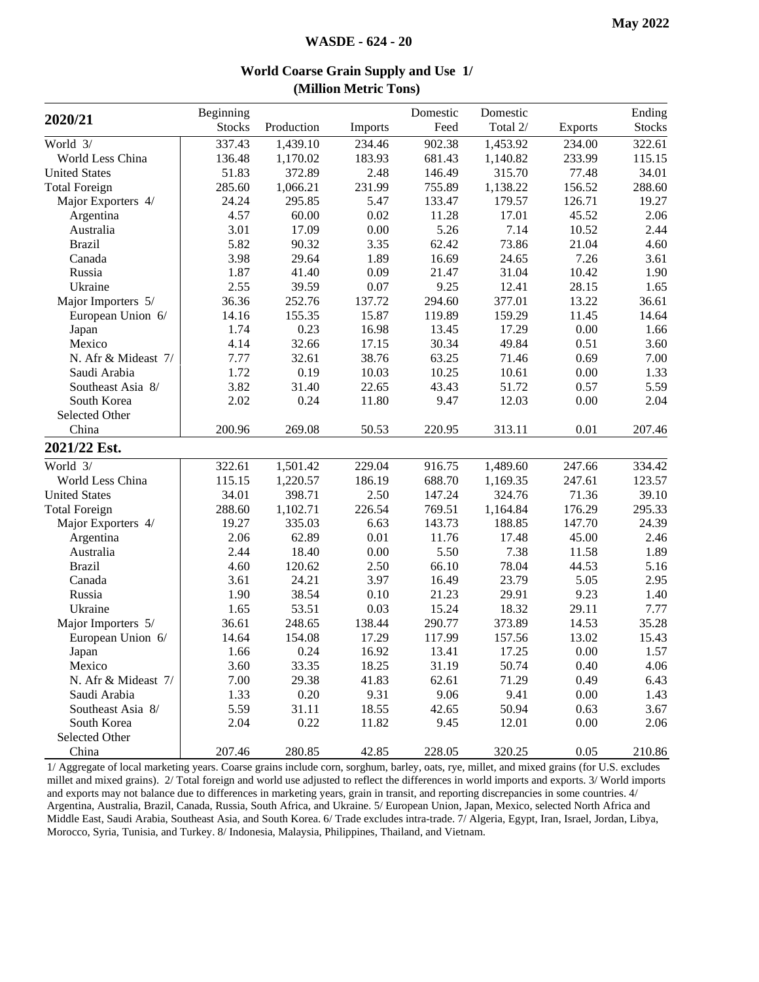| 2020/21              | Beginning     |            |         | Domestic | Domestic |                | Ending        |
|----------------------|---------------|------------|---------|----------|----------|----------------|---------------|
|                      | <b>Stocks</b> | Production | Imports | Feed     | Total 2/ | <b>Exports</b> | <b>Stocks</b> |
| World 3/             | 337.43        | 1,439.10   | 234.46  | 902.38   | 1,453.92 | 234.00         | 322.61        |
| World Less China     | 136.48        | 1,170.02   | 183.93  | 681.43   | 1,140.82 | 233.99         | 115.15        |
| <b>United States</b> | 51.83         | 372.89     | 2.48    | 146.49   | 315.70   | 77.48          | 34.01         |
| <b>Total Foreign</b> | 285.60        | 1,066.21   | 231.99  | 755.89   | 1,138.22 | 156.52         | 288.60        |
| Major Exporters 4/   | 24.24         | 295.85     | 5.47    | 133.47   | 179.57   | 126.71         | 19.27         |
| Argentina            | 4.57          | 60.00      | 0.02    | 11.28    | 17.01    | 45.52          | 2.06          |
| Australia            | 3.01          | 17.09      | 0.00    | 5.26     | 7.14     | 10.52          | 2.44          |
| <b>Brazil</b>        | 5.82          | 90.32      | 3.35    | 62.42    | 73.86    | 21.04          | 4.60          |
| Canada               | 3.98          | 29.64      | 1.89    | 16.69    | 24.65    | 7.26           | 3.61          |
| Russia               | 1.87          | 41.40      | 0.09    | 21.47    | 31.04    | 10.42          | 1.90          |
| Ukraine              | 2.55          | 39.59      | 0.07    | 9.25     | 12.41    | 28.15          | 1.65          |
| Major Importers 5/   | 36.36         | 252.76     | 137.72  | 294.60   | 377.01   | 13.22          | 36.61         |
| European Union 6/    | 14.16         | 155.35     | 15.87   | 119.89   | 159.29   | 11.45          | 14.64         |
| Japan                | 1.74          | 0.23       | 16.98   | 13.45    | 17.29    | $0.00\,$       | 1.66          |
| Mexico               | 4.14          | 32.66      | 17.15   | 30.34    | 49.84    | 0.51           | 3.60          |
| N. Afr & Mideast 7/  | 7.77          | 32.61      | 38.76   | 63.25    | 71.46    | 0.69           | 7.00          |
| Saudi Arabia         | 1.72          | 0.19       | 10.03   | 10.25    | 10.61    | 0.00           | 1.33          |
| Southeast Asia 8/    | 3.82          | 31.40      | 22.65   | 43.43    | 51.72    | 0.57           | 5.59          |
| South Korea          | 2.02          | 0.24       | 11.80   | 9.47     | 12.03    | 0.00           | 2.04          |
| Selected Other       |               |            |         |          |          |                |               |
| China                | 200.96        | 269.08     | 50.53   | 220.95   | 313.11   | 0.01           | 207.46        |
| 2021/22 Est.         |               |            |         |          |          |                |               |
| World 3/             | 322.61        | 1,501.42   | 229.04  | 916.75   | 1,489.60 | 247.66         | 334.42        |
| World Less China     | 115.15        | 1,220.57   | 186.19  | 688.70   | 1,169.35 | 247.61         | 123.57        |
| <b>United States</b> | 34.01         | 398.71     | 2.50    | 147.24   | 324.76   | 71.36          | 39.10         |
| <b>Total Foreign</b> | 288.60        | 1,102.71   | 226.54  | 769.51   | 1,164.84 | 176.29         | 295.33        |
| Major Exporters 4/   | 19.27         | 335.03     | 6.63    | 143.73   | 188.85   | 147.70         | 24.39         |
| Argentina            | 2.06          | 62.89      | 0.01    | 11.76    | 17.48    | 45.00          | 2.46          |
| Australia            | 2.44          | 18.40      | 0.00    | 5.50     | 7.38     | 11.58          | 1.89          |
| <b>Brazil</b>        | 4.60          | 120.62     | 2.50    | 66.10    | 78.04    | 44.53          | 5.16          |
| Canada               | 3.61          | 24.21      | 3.97    | 16.49    | 23.79    | 5.05           | 2.95          |
| Russia               | 1.90          | 38.54      | 0.10    | 21.23    | 29.91    | 9.23           | 1.40          |
| Ukraine              | 1.65          | 53.51      | 0.03    | 15.24    | 18.32    | 29.11          | 7.77          |
| Major Importers 5/   | 36.61         | 248.65     | 138.44  | 290.77   | 373.89   | 14.53          | 35.28         |
| European Union 6/    | 14.64         | 154.08     | 17.29   | 117.99   | 157.56   | 13.02          | 15.43         |
| Japan                | 1.66          | 0.24       | 16.92   | 13.41    | 17.25    | 0.00           | 1.57          |
| Mexico               | 3.60          | 33.35      | 18.25   | 31.19    | 50.74    | 0.40           | 4.06          |
| N. Afr & Mideast 7/  | 7.00          | 29.38      | 41.83   | 62.61    | 71.29    | 0.49           | 6.43          |
| Saudi Arabia         | 1.33          | 0.20       | 9.31    | 9.06     | 9.41     | 0.00           | 1.43          |
| Southeast Asia 8/    | 5.59          | 31.11      | 18.55   | 42.65    | 50.94    | 0.63           | 3.67          |
| South Korea          | 2.04          | 0.22       | 11.82   | 9.45     | 12.01    | 0.00           | 2.06          |
| Selected Other       |               |            |         |          |          |                |               |
| China                | 207.46        | 280.85     | 42.85   | 228.05   | 320.25   | 0.05           | 210.86        |

#### **World Coarse Grain Supply and Use 1/ (Million Metric Tons)**

1/ Aggregate of local marketing years. Coarse grains include corn, sorghum, barley, oats, rye, millet, and mixed grains (for U.S. excludes millet and mixed grains). 2/ Total foreign and world use adjusted to reflect the differences in world imports and exports. 3/ World imports and exports may not balance due to differences in marketing years, grain in transit, and reporting discrepancies in some countries. 4/ Argentina, Australia, Brazil, Canada, Russia, South Africa, and Ukraine. 5/ European Union, Japan, Mexico, selected North Africa and Middle East, Saudi Arabia, Southeast Asia, and South Korea. 6/ Trade excludes intra-trade. 7/ Algeria, Egypt, Iran, Israel, Jordan, Libya, Morocco, Syria, Tunisia, and Turkey. 8/ Indonesia, Malaysia, Philippines, Thailand, and Vietnam.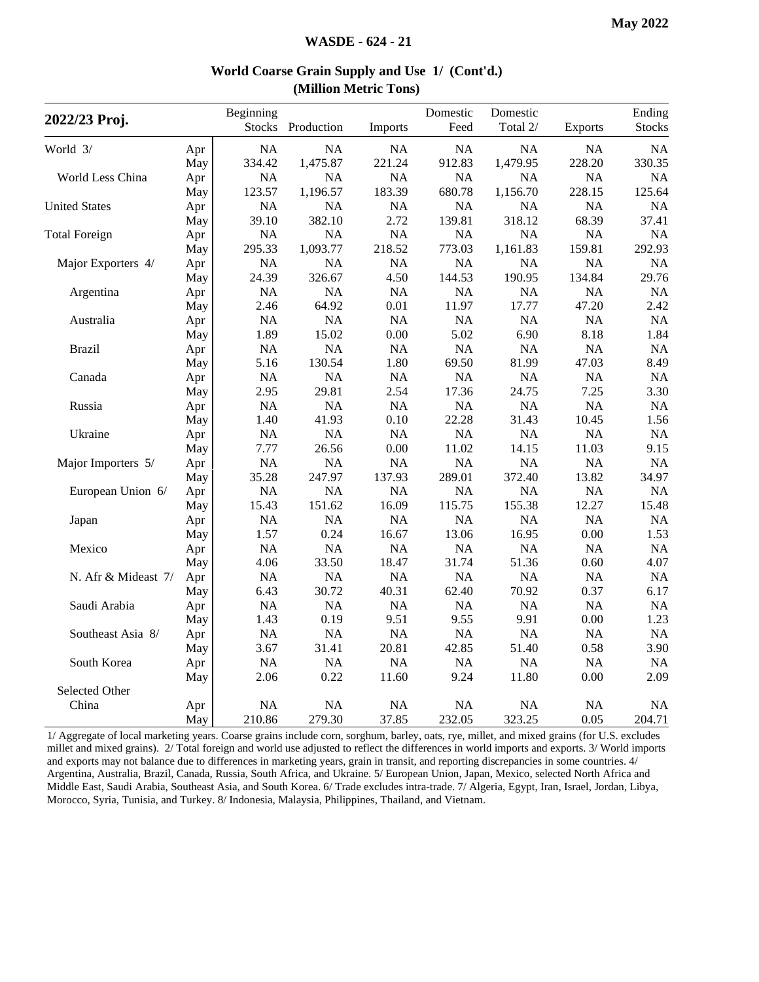| 2022/23 Proj.        |     | Beginning<br><b>Stocks</b> | Production | Imports   | Domestic<br>Feed | Domestic<br>Total 2/ | <b>Exports</b> | Ending<br><b>Stocks</b> |
|----------------------|-----|----------------------------|------------|-----------|------------------|----------------------|----------------|-------------------------|
| World 3/             | Apr | <b>NA</b>                  | NA         | NA        | NA               | NA                   | NA             | <b>NA</b>               |
|                      | May | 334.42                     | 1,475.87   | 221.24    | 912.83           | 1,479.95             | 228.20         | 330.35                  |
| World Less China     | Apr | NA                         | NA         | NA        | NA               | NA                   | NA             | <b>NA</b>               |
|                      | May | 123.57                     | 1,196.57   | 183.39    | 680.78           | 1,156.70             | 228.15         | 125.64                  |
| <b>United States</b> | Apr | NA                         | $\rm NA$   | $\rm NA$  | $\rm NA$         | $\rm NA$             | NA             | <b>NA</b>               |
|                      | May | 39.10                      | 382.10     | 2.72      | 139.81           | 318.12               | 68.39          | 37.41                   |
| <b>Total Foreign</b> | Apr | <b>NA</b>                  | NA         | NA        | NA               | NA                   | <b>NA</b>      | <b>NA</b>               |
|                      | May | 295.33                     | 1,093.77   | 218.52    | 773.03           | 1,161.83             | 159.81         | 292.93                  |
| Major Exporters 4/   | Apr | <b>NA</b>                  | NA         | NA        | NA               | <b>NA</b>            | NA             | <b>NA</b>               |
|                      | May | 24.39                      | 326.67     | 4.50      | 144.53           | 190.95               | 134.84         | 29.76                   |
| Argentina            | Apr | NA                         | NA         | NA        | NA               | NA                   | NA             | <b>NA</b>               |
|                      | May | 2.46                       | 64.92      | 0.01      | 11.97            | 17.77                | 47.20          | 2.42                    |
| Australia            | Apr | <b>NA</b>                  | NA         | NA        | NA               | <b>NA</b>            | <b>NA</b>      | <b>NA</b>               |
|                      | May | 1.89                       | 15.02      | 0.00      | 5.02             | 6.90                 | 8.18           | 1.84                    |
| <b>Brazil</b>        | Apr | <b>NA</b>                  | <b>NA</b>  | <b>NA</b> | NA               | <b>NA</b>            | <b>NA</b>      | <b>NA</b>               |
|                      | May | 5.16                       | 130.54     | 1.80      | 69.50            | 81.99                | 47.03          | 8.49                    |
| Canada               | Apr | NA                         | NA         | NA        | NA               | NA                   | <b>NA</b>      | <b>NA</b>               |
|                      | May | 2.95                       | 29.81      | 2.54      | 17.36            | 24.75                | 7.25           | 3.30                    |
| Russia               | Apr | NA                         | NA         | $\rm NA$  | NA               | <b>NA</b>            | <b>NA</b>      | <b>NA</b>               |
|                      | May | 1.40                       | 41.93      | 0.10      | 22.28            | 31.43                | 10.45          | 1.56                    |
| Ukraine              | Apr | <b>NA</b>                  | NA         | NA        | NA               | <b>NA</b>            | NA             | <b>NA</b>               |
|                      | May | 7.77                       | 26.56      | 0.00      | 11.02            | 14.15                | 11.03          | 9.15                    |
| Major Importers 5/   | Apr | <b>NA</b>                  | NA         | NA        | NA               | <b>NA</b>            | <b>NA</b>      | <b>NA</b>               |
|                      | May | 35.28                      | 247.97     | 137.93    | 289.01           | 372.40               | 13.82          | 34.97                   |
| European Union 6/    | Apr | <b>NA</b>                  | <b>NA</b>  | NA        | NA               | NA                   | NA             | <b>NA</b>               |
|                      | May | 15.43                      | 151.62     | 16.09     | 115.75           | 155.38               | 12.27          | 15.48                   |
| Japan                | Apr | NA                         | $\rm NA$   | $\rm NA$  | $\rm NA$         | $\rm NA$             | NA             | <b>NA</b>               |
|                      | May | 1.57                       | 0.24       | 16.67     | 13.06            | 16.95                | 0.00           | 1.53                    |
| Mexico               | Apr | NA                         | NA         | NA        | <b>NA</b>        | <b>NA</b>            | NA             | <b>NA</b>               |
|                      | May | 4.06                       | 33.50      | 18.47     | 31.74            | 51.36                | 0.60           | 4.07                    |
| N. Afr & Mideast 7/  | Apr | <b>NA</b>                  | <b>NA</b>  | NA        | NA               | <b>NA</b>            | <b>NA</b>      | <b>NA</b>               |
|                      | May | 6.43                       | 30.72      | 40.31     | 62.40            | 70.92                | 0.37           | 6.17                    |
| Saudi Arabia         | Apr | <b>NA</b>                  | NA         | NA        | NA               | <b>NA</b>            | <b>NA</b>      | <b>NA</b>               |
|                      | May | 1.43                       | 0.19       | 9.51      | 9.55             | 9.91                 | 0.00           | 1.23                    |
| Southeast Asia 8/    | Apr | <b>NA</b>                  | <b>NA</b>  | <b>NA</b> | NA               | NA                   | <b>NA</b>      | <b>NA</b>               |
|                      | May | 3.67                       | 31.41      | 20.81     | 42.85            | 51.40                | 0.58           | 3.90                    |
| South Korea          | Apr | NA                         | <b>NA</b>  | NA        | NA               | <b>NA</b>            | NA             | <b>NA</b>               |
|                      | May | 2.06                       | 0.22       | 11.60     | 9.24             | 11.80                | 0.00           | 2.09                    |
| Selected Other       |     |                            |            |           |                  |                      |                |                         |
| China                | Apr | NA                         | NA         | <b>NA</b> | NA               | <b>NA</b>            | NA             | <b>NA</b>               |
|                      | May | 210.86                     | 279.30     | 37.85     | 232.05           | 323.25               | 0.05           | 204.71                  |

#### **World Coarse Grain Supply and Use 1/ (Cont'd.) (Million Metric Tons)**

1/ Aggregate of local marketing years. Coarse grains include corn, sorghum, barley, oats, rye, millet, and mixed grains (for U.S. excludes millet and mixed grains). 2/ Total foreign and world use adjusted to reflect the differences in world imports and exports. 3/ World imports and exports may not balance due to differences in marketing years, grain in transit, and reporting discrepancies in some countries. 4/ Argentina, Australia, Brazil, Canada, Russia, South Africa, and Ukraine. 5/ European Union, Japan, Mexico, selected North Africa and Middle East, Saudi Arabia, Southeast Asia, and South Korea. 6/ Trade excludes intra-trade. 7/ Algeria, Egypt, Iran, Israel, Jordan, Libya, Morocco, Syria, Tunisia, and Turkey. 8/ Indonesia, Malaysia, Philippines, Thailand, and Vietnam.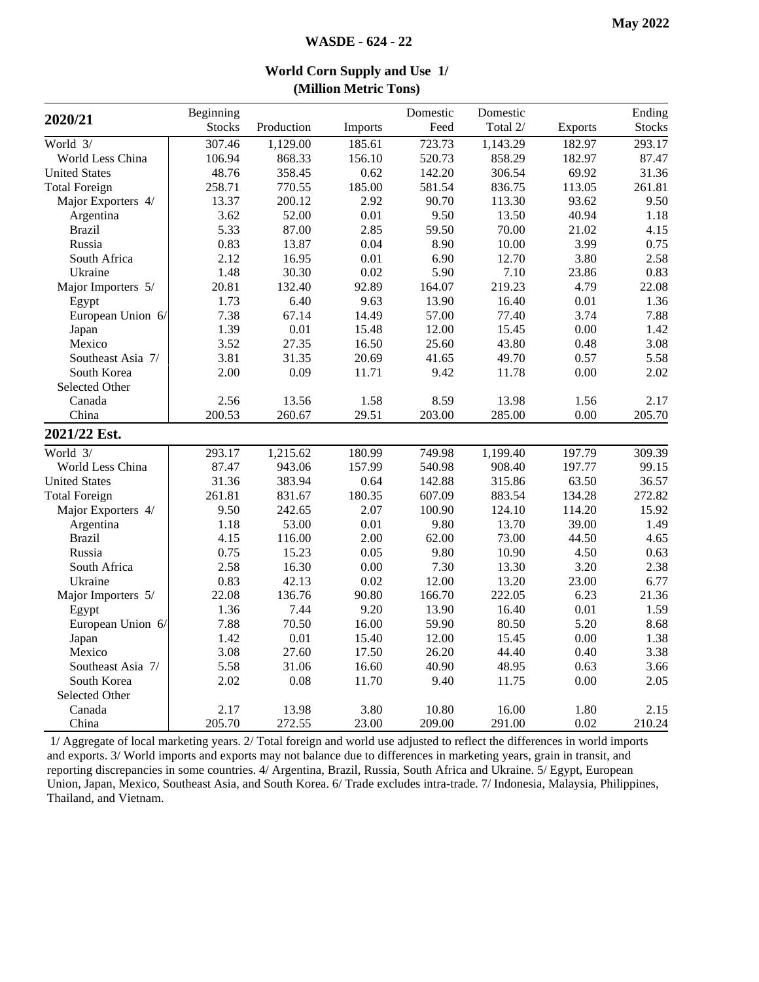| 2020/21              | Beginning     |            |         | Domestic | Domestic |          | Ending        |
|----------------------|---------------|------------|---------|----------|----------|----------|---------------|
|                      | <b>Stocks</b> | Production | Imports | Feed     | Total 2/ | Exports  | <b>Stocks</b> |
| World 3/             | 307.46        | 1,129.00   | 185.61  | 723.73   | 1,143.29 | 182.97   | 293.17        |
| World Less China     | 106.94        | 868.33     | 156.10  | 520.73   | 858.29   | 182.97   | 87.47         |
| <b>United States</b> | 48.76         | 358.45     | 0.62    | 142.20   | 306.54   | 69.92    | 31.36         |
| <b>Total Foreign</b> | 258.71        | 770.55     | 185.00  | 581.54   | 836.75   | 113.05   | 261.81        |
| Major Exporters 4/   | 13.37         | 200.12     | 2.92    | 90.70    | 113.30   | 93.62    | 9.50          |
| Argentina            | 3.62          | 52.00      | 0.01    | 9.50     | 13.50    | 40.94    | 1.18          |
| <b>Brazil</b>        | 5.33          | 87.00      | 2.85    | 59.50    | 70.00    | 21.02    | 4.15          |
| Russia               | 0.83          | 13.87      | 0.04    | 8.90     | 10.00    | 3.99     | 0.75          |
| South Africa         | 2.12          | 16.95      | 0.01    | 6.90     | 12.70    | 3.80     | 2.58          |
| Ukraine              | 1.48          | 30.30      | 0.02    | 5.90     | 7.10     | 23.86    | 0.83          |
| Major Importers 5/   | 20.81         | 132.40     | 92.89   | 164.07   | 219.23   | 4.79     | 22.08         |
| Egypt                | 1.73          | 6.40       | 9.63    | 13.90    | 16.40    | 0.01     | 1.36          |
| European Union 6/    | 7.38          | 67.14      | 14.49   | 57.00    | 77.40    | 3.74     | 7.88          |
| Japan                | 1.39          | 0.01       | 15.48   | 12.00    | 15.45    | 0.00     | 1.42          |
| Mexico               | 3.52          | 27.35      | 16.50   | 25.60    | 43.80    | 0.48     | 3.08          |
| Southeast Asia 7/    | 3.81          | 31.35      | 20.69   | 41.65    | 49.70    | 0.57     | 5.58          |
| South Korea          | 2.00          | 0.09       | 11.71   | 9.42     | 11.78    | 0.00     | 2.02          |
| Selected Other       |               |            |         |          |          |          |               |
| Canada               | 2.56          | 13.56      | 1.58    | 8.59     | 13.98    | 1.56     | 2.17          |
| China                | 200.53        | 260.67     | 29.51   | 203.00   | 285.00   | 0.00     | 205.70        |
| 2021/22 Est.         |               |            |         |          |          |          |               |
| World 3/             | 293.17        | 1,215.62   | 180.99  | 749.98   | 1,199.40 | 197.79   | 309.39        |
| World Less China     | 87.47         | 943.06     | 157.99  | 540.98   | 908.40   | 197.77   | 99.15         |
| <b>United States</b> | 31.36         | 383.94     | 0.64    | 142.88   | 315.86   | 63.50    | 36.57         |
| <b>Total Foreign</b> | 261.81        | 831.67     | 180.35  | 607.09   | 883.54   | 134.28   | 272.82        |
| Major Exporters 4/   | 9.50          | 242.65     | 2.07    | 100.90   | 124.10   | 114.20   | 15.92         |
| Argentina            | 1.18          | 53.00      | 0.01    | 9.80     | 13.70    | 39.00    | 1.49          |
| <b>Brazil</b>        | 4.15          | 116.00     | 2.00    | 62.00    | 73.00    | 44.50    | 4.65          |
| Russia               | 0.75          | 15.23      | 0.05    | 9.80     | 10.90    | 4.50     | 0.63          |
| South Africa         | 2.58          | 16.30      | 0.00    | 7.30     | 13.30    | 3.20     | 2.38          |
| Ukraine              | 0.83          | 42.13      | 0.02    | 12.00    | 13.20    | 23.00    | 6.77          |
| Major Importers 5/   | 22.08         | 136.76     | 90.80   | 166.70   | 222.05   | 6.23     | 21.36         |
| Egypt                | 1.36          | 7.44       | 9.20    | 13.90    | 16.40    | 0.01     | 1.59          |
| European Union 6/    | 7.88          | 70.50      | 16.00   | 59.90    | 80.50    | 5.20     | 8.68          |
| Japan                | 1.42          | 0.01       | 15.40   | 12.00    | 15.45    | 0.00     | 1.38          |
| Mexico               | 3.08          | 27.60      | 17.50   | 26.20    | 44.40    | 0.40     | 3.38          |
| Southeast Asia 7/    | 5.58          | 31.06      | 16.60   | 40.90    | 48.95    | 0.63     | 3.66          |
| South Korea          | 2.02          | 0.08       | 11.70   | 9.40     | 11.75    | $0.00\,$ | 2.05          |
| Selected Other       |               |            |         |          |          |          |               |
| Canada               | 2.17          | 13.98      | 3.80    | 10.80    | 16.00    | 1.80     | 2.15          |
| China                | 205.70        | 272.55     | 23.00   | 209.00   | 291.00   | 0.02     | 210.24        |

#### **World Corn Supply and Use 1/ (Million Metric Tons)**

1/ Aggregate of local marketing years. 2/ Total foreign and world use adjusted to reflect the differences in world imports and exports. 3/ World imports and exports may not balance due to differences in marketing years, grain in transit, and reporting discrepancies in some countries. 4/ Argentina, Brazil, Russia, South Africa and Ukraine. 5/ Egypt, European Union, Japan, Mexico, Southeast Asia, and South Korea. 6/ Trade excludes intra-trade. 7/ Indonesia, Malaysia, Philippines, Thailand, and Vietnam.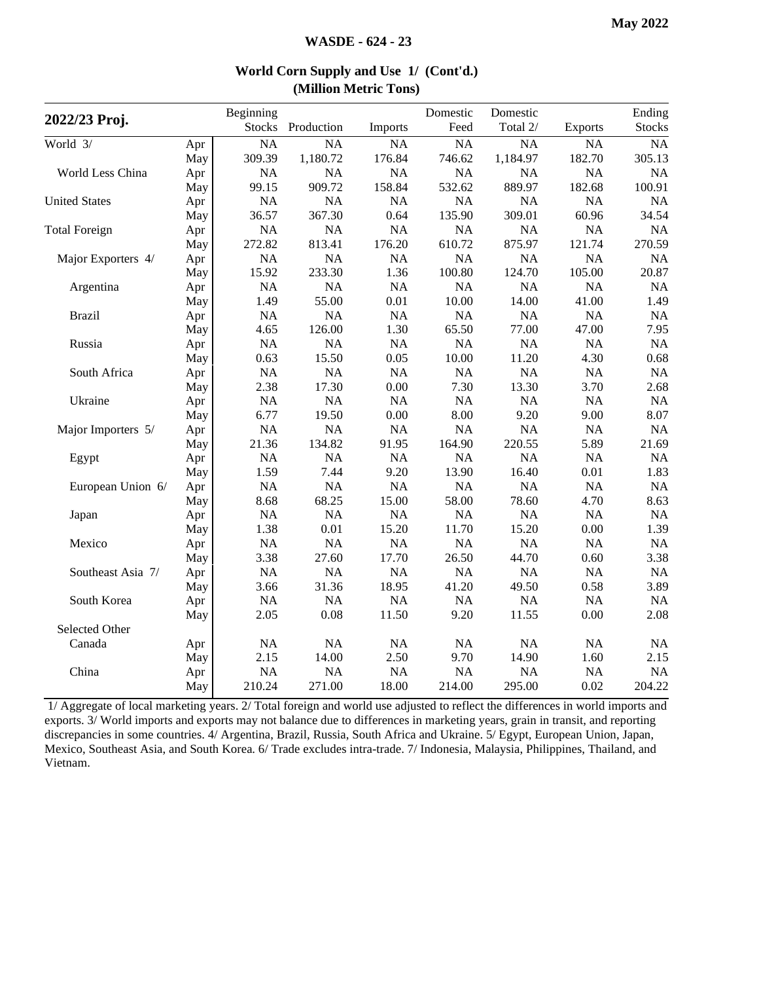|                      |     | Beginning     |            |           | Domestic  | Domestic  |                | Ending        |
|----------------------|-----|---------------|------------|-----------|-----------|-----------|----------------|---------------|
| 2022/23 Proj.        |     | <b>Stocks</b> | Production | Imports   | Feed      | Total 2/  | <b>Exports</b> | <b>Stocks</b> |
| World 3/             | Apr | <b>NA</b>     | <b>NA</b>  | <b>NA</b> | NA        | <b>NA</b> | <b>NA</b>      | NA            |
|                      | May | 309.39        | 1,180.72   | 176.84    | 746.62    | 1,184.97  | 182.70         | 305.13        |
| World Less China     | Apr | <b>NA</b>     | <b>NA</b>  | <b>NA</b> | <b>NA</b> | <b>NA</b> | NA             | <b>NA</b>     |
|                      | May | 99.15         | 909.72     | 158.84    | 532.62    | 889.97    | 182.68         | 100.91        |
| <b>United States</b> | Apr | <b>NA</b>     | NA         | NA        | NA        | <b>NA</b> | NA             | <b>NA</b>     |
|                      | May | 36.57         | 367.30     | 0.64      | 135.90    | 309.01    | 60.96          | 34.54         |
| <b>Total Foreign</b> | Apr | NA            | NA         | NA        | $\rm NA$  | <b>NA</b> | NA             | $\rm NA$      |
|                      | May | 272.82        | 813.41     | 176.20    | 610.72    | 875.97    | 121.74         | 270.59        |
| Major Exporters 4/   | Apr | NA            | NA         | NA        | NA        | <b>NA</b> | NA             | <b>NA</b>     |
|                      | May | 15.92         | 233.30     | 1.36      | 100.80    | 124.70    | 105.00         | 20.87         |
| Argentina            | Apr | <b>NA</b>     | NA         | NA        | NA        | NA        | NA             | <b>NA</b>     |
|                      | May | 1.49          | 55.00      | 0.01      | 10.00     | 14.00     | 41.00          | 1.49          |
| <b>Brazil</b>        | Apr | <b>NA</b>     | <b>NA</b>  | NA        | $\rm NA$  | NA        | NA             | <b>NA</b>     |
|                      | May | 4.65          | 126.00     | 1.30      | 65.50     | 77.00     | 47.00          | 7.95          |
| Russia               | Apr | <b>NA</b>     | <b>NA</b>  | NA        | <b>NA</b> | <b>NA</b> | NA             | <b>NA</b>     |
|                      | May | 0.63          | 15.50      | 0.05      | 10.00     | 11.20     | 4.30           | 0.68          |
| South Africa         | Apr | NA            | NA         | NA        | NA        | <b>NA</b> | NA             | <b>NA</b>     |
|                      | May | 2.38          | 17.30      | 0.00      | 7.30      | 13.30     | 3.70           | 2.68          |
| Ukraine              | Apr | NA            | NA         | NA        | NA        | NA        | NA             | <b>NA</b>     |
|                      | May | 6.77          | 19.50      | 0.00      | 8.00      | 9.20      | 9.00           | 8.07          |
| Major Importers 5/   | Apr | <b>NA</b>     | NA         | NA        | NA        | <b>NA</b> | NA             | <b>NA</b>     |
|                      | May | 21.36         | 134.82     | 91.95     | 164.90    | 220.55    | 5.89           | 21.69         |
| Egypt                | Apr | NA            | NA         | NA        | $\rm NA$  | $\rm NA$  | NA             | <b>NA</b>     |
|                      | May | 1.59          | 7.44       | 9.20      | 13.90     | 16.40     | 0.01           | 1.83          |
| European Union 6/    | Apr | <b>NA</b>     | <b>NA</b>  | NA        | $\rm NA$  | <b>NA</b> | NA             | <b>NA</b>     |
|                      | May | 8.68          | 68.25      | 15.00     | 58.00     | 78.60     | 4.70           | 8.63          |
| Japan                | Apr | NA            | <b>NA</b>  | <b>NA</b> | <b>NA</b> | <b>NA</b> | NA             | <b>NA</b>     |
|                      | May | 1.38          | 0.01       | 15.20     | 11.70     | 15.20     | 0.00           | 1.39          |
| Mexico               | Apr | NA            | NA         | NA        | <b>NA</b> | <b>NA</b> | NA             | <b>NA</b>     |
|                      | May | 3.38          | 27.60      | 17.70     | 26.50     | 44.70     | 0.60           | 3.38          |
| Southeast Asia 7/    | Apr | NA            | NA         | NA        | <b>NA</b> | <b>NA</b> | NA             | <b>NA</b>     |
|                      | May | 3.66          | 31.36      | 18.95     | 41.20     | 49.50     | 0.58           | 3.89          |
| South Korea          | Apr | NA            | NA         | NA        | NA        | NA        | NA             | <b>NA</b>     |
|                      | May | 2.05          | 0.08       | 11.50     | 9.20      | 11.55     | 0.00           | 2.08          |
| Selected Other       |     |               |            |           |           |           |                |               |
| Canada               | Apr | NA            | NA         | NA        | NA        | NA        | NA             | NA            |
|                      | May | 2.15          | 14.00      | 2.50      | 9.70      | 14.90     | 1.60           | 2.15          |
| China                | Apr | NA            | NA         | NA        | NA        | NA        | NA             | NA            |
|                      | May | 210.24        | 271.00     | 18.00     | 214.00    | 295.00    | 0.02           | 204.22        |

#### **World Corn Supply and Use 1/ (Cont'd.) (Million Metric Tons)**

1/ Aggregate of local marketing years. 2/ Total foreign and world use adjusted to reflect the differences in world imports and exports. 3/ World imports and exports may not balance due to differences in marketing years, grain in transit, and reporting discrepancies in some countries. 4/ Argentina, Brazil, Russia, South Africa and Ukraine. 5/ Egypt, European Union, Japan, Mexico, Southeast Asia, and South Korea. 6/ Trade excludes intra-trade. 7/ Indonesia, Malaysia, Philippines, Thailand, and Vietnam.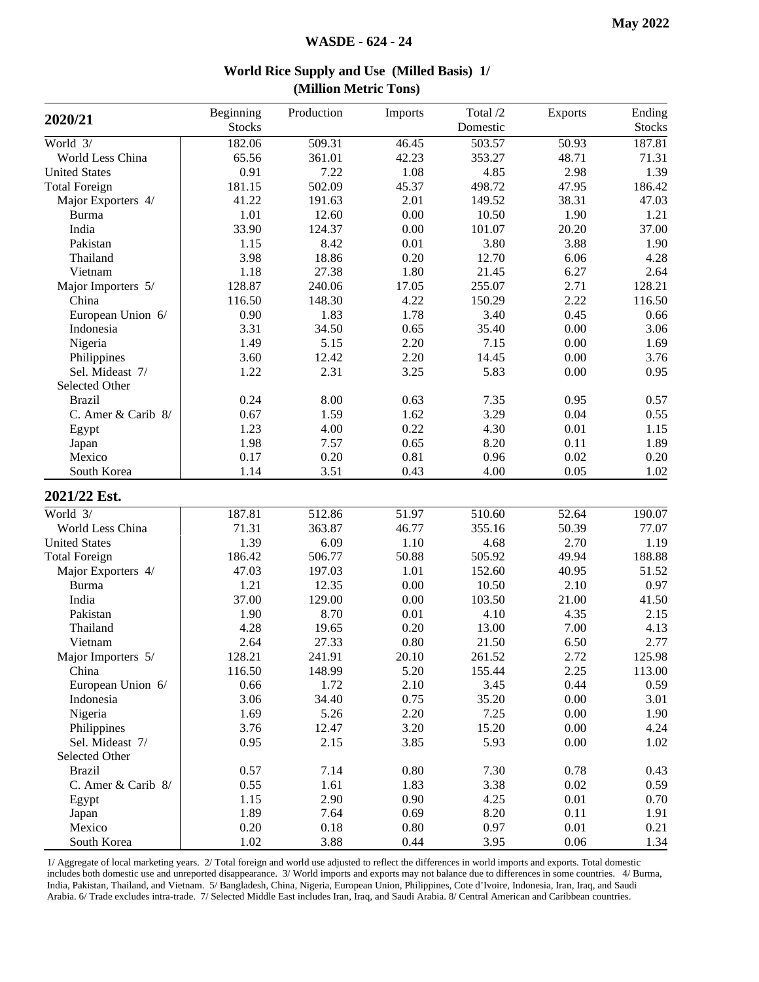|                      | Beginning     | Production | Imports  | Total /2 | <b>Exports</b> | Ending        |
|----------------------|---------------|------------|----------|----------|----------------|---------------|
| 2020/21              | <b>Stocks</b> |            |          | Domestic |                | <b>Stocks</b> |
| World 3/             | 182.06        | 509.31     | 46.45    | 503.57   | 50.93          | 187.81        |
| World Less China     | 65.56         | 361.01     | 42.23    | 353.27   | 48.71          | 71.31         |
| <b>United States</b> | 0.91          | 7.22       | 1.08     | 4.85     | 2.98           | 1.39          |
| <b>Total Foreign</b> | 181.15        | 502.09     | 45.37    | 498.72   | 47.95          | 186.42        |
| Major Exporters 4/   | 41.22         | 191.63     | 2.01     | 149.52   | 38.31          | 47.03         |
| <b>Burma</b>         | 1.01          | 12.60      | 0.00     | 10.50    | 1.90           | 1.21          |
| India                | 33.90         | 124.37     | $0.00\,$ | 101.07   | 20.20          | 37.00         |
| Pakistan             | 1.15          | 8.42       | $0.01\,$ | 3.80     | 3.88           | 1.90          |
| Thailand             | 3.98          | 18.86      | 0.20     | 12.70    | 6.06           | 4.28          |
| Vietnam              | 1.18          | 27.38      | 1.80     | 21.45    | 6.27           | 2.64          |
| Major Importers 5/   | 128.87        | 240.06     | 17.05    | 255.07   | 2.71           | 128.21        |
| China                | 116.50        | 148.30     | 4.22     | 150.29   | 2.22           | 116.50        |
| European Union 6/    | 0.90          | 1.83       | 1.78     | 3.40     | 0.45           | 0.66          |
| Indonesia            | 3.31          | 34.50      | 0.65     | 35.40    | 0.00           | 3.06          |
| Nigeria              | 1.49          | 5.15       | 2.20     | 7.15     | 0.00           | 1.69          |
| Philippines          | 3.60          | 12.42      | 2.20     | 14.45    | 0.00           | 3.76          |
| Sel. Mideast 7/      | 1.22          | 2.31       | 3.25     | 5.83     | 0.00           | 0.95          |
| Selected Other       |               |            |          |          |                |               |
| <b>Brazil</b>        | 0.24          | 8.00       | 0.63     | 7.35     | 0.95           | 0.57          |
| C. Amer & Carib 8/   | 0.67          | 1.59       | 1.62     | 3.29     | 0.04           | 0.55          |
| Egypt                | 1.23          | 4.00       | 0.22     | 4.30     | 0.01           | 1.15          |
| Japan                | 1.98          | 7.57       | 0.65     | 8.20     | 0.11           | 1.89          |
| Mexico               | 0.17          | 0.20       | 0.81     | 0.96     | 0.02           | 0.20          |
| South Korea          | 1.14          | 3.51       | 0.43     | 4.00     | 0.05           | 1.02          |
| 2021/22 Est.         |               |            |          |          |                |               |
| World 3/             | 187.81        | 512.86     | 51.97    | 510.60   | 52.64          | 190.07        |
| World Less China     | 71.31         | 363.87     | 46.77    | 355.16   | 50.39          | 77.07         |
| <b>United States</b> | 1.39          | 6.09       | 1.10     | 4.68     | 2.70           | 1.19          |
| <b>Total Foreign</b> | 186.42        | 506.77     | 50.88    | 505.92   | 49.94          | 188.88        |
| Major Exporters 4/   | 47.03         | 197.03     | 1.01     | 152.60   | 40.95          | 51.52         |
| Burma                | 1.21          | 12.35      | 0.00     | 10.50    | 2.10           | 0.97          |
| India                | 37.00         | 129.00     | 0.00     | 103.50   | 21.00          | 41.50         |
| Pakistan             | 1.90          | 8.70       | $0.01\,$ | 4.10     | 4.35           | 2.15          |
| Thailand             | 4.28          | 19.65      | 0.20     | 13.00    | 7.00           | 4.13          |
| Vietnam              | 2.64          | 27.33      | 0.80     | 21.50    | 6.50           | 2.77          |
| Major Importers 5/   | 128.21        | 241.91     | 20.10    | 261.52   | 2.72           | 125.98        |
| China                | 116.50        | 148.99     | 5.20     | 155.44   | 2.25           | 113.00        |
| European Union 6/    | 0.66          | 1.72       | 2.10     | 3.45     | 0.44           | 0.59          |
| Indonesia            | 3.06          | 34.40      | 0.75     | 35.20    | 0.00           | 3.01          |
| Nigeria              | 1.69          | 5.26       | 2.20     | 7.25     | 0.00           | 1.90          |
| Philippines          | 3.76          | 12.47      | 3.20     | 15.20    | 0.00           | 4.24          |
| Sel. Mideast 7/      | 0.95          | 2.15       | 3.85     | 5.93     | 0.00           | 1.02          |
| Selected Other       |               |            |          |          |                |               |
| <b>Brazil</b>        | 0.57          | 7.14       | 0.80     | 7.30     | 0.78           | 0.43          |
| C. Amer & Carib 8/   | 0.55          | 1.61       | 1.83     | 3.38     | 0.02           | 0.59          |
| Egypt                | 1.15          | 2.90       | 0.90     | 4.25     | 0.01           | 0.70          |
| Japan                | 1.89          | 7.64       | 0.69     | 8.20     | 0.11           | 1.91          |
| Mexico               | 0.20          | 0.18       | 0.80     | 0.97     | 0.01           | 0.21          |
| South Korea          | 1.02          | 3.88       | 0.44     | 3.95     | 0.06           | 1.34          |

**World Rice Supply and Use (Milled Basis) 1/ (Million Metric Tons)**

1/ Aggregate of local marketing years. 2/ Total foreign and world use adjusted to reflect the differences in world imports and exports. Total domestic includes both domestic use and unreported disappearance. 3/ World imports and exports may not balance due to differences in some countries. 4/ Burma, India, Pakistan, Thailand, and Vietnam. 5/ Bangladesh, China, Nigeria, European Union, Philippines, Cote d'Ivoire, Indonesia, Iran, Iraq, and Saudi Arabia. 6/ Trade excludes intra-trade. 7/ Selected Middle East includes Iran, Iraq, and Saudi Arabia. 8/ Central American and Caribbean countries.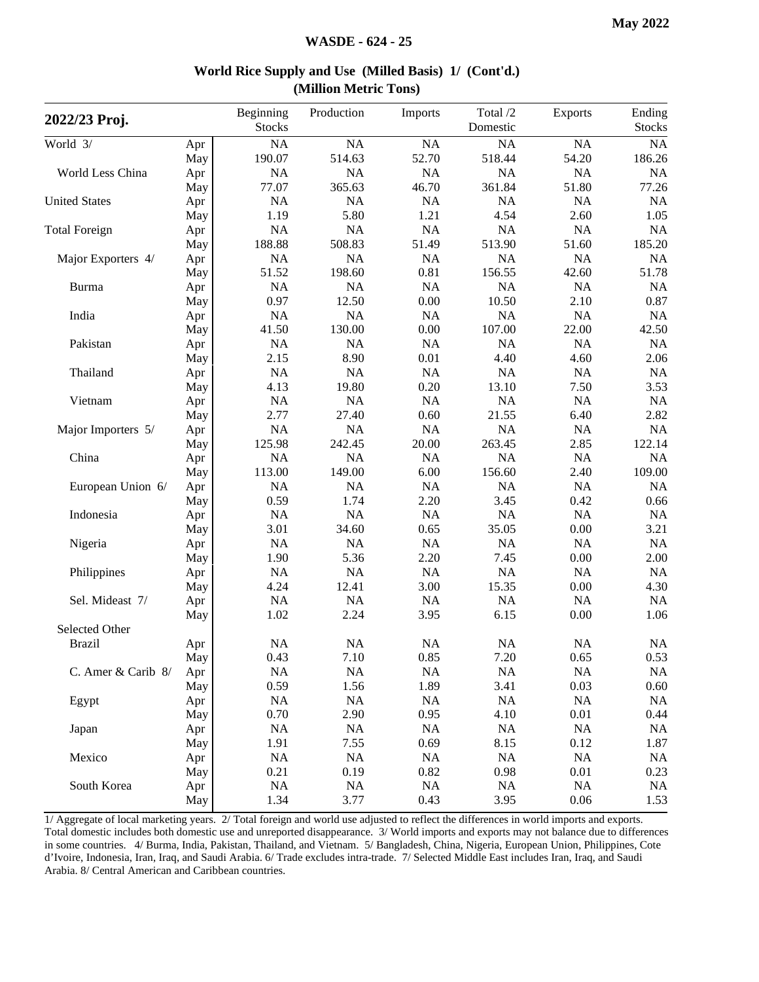| 2022/23 Proj.        |     | Beginning<br><b>Stocks</b> | Production | Imports   | Total /2<br>Domestic | Exports   | Ending<br><b>Stocks</b> |
|----------------------|-----|----------------------------|------------|-----------|----------------------|-----------|-------------------------|
| World 3/             | Apr | NA                         | NA         | NA        | NA                   | NA        | NA                      |
|                      | May | 190.07                     | 514.63     | 52.70     | 518.44               | 54.20     | 186.26                  |
| World Less China     | Apr | <b>NA</b>                  | NA         | NA        | NA                   | NA        | NA                      |
|                      | May | 77.07                      | 365.63     | 46.70     | 361.84               | 51.80     | 77.26                   |
| <b>United States</b> | Apr | NA                         | NA         | NA        | <b>NA</b>            | NA        | <b>NA</b>               |
|                      | May | 1.19                       | 5.80       | 1.21      | 4.54                 | 2.60      | 1.05                    |
| <b>Total Foreign</b> | Apr | <b>NA</b>                  | NA         | NA        | <b>NA</b>            | NA        | NA                      |
|                      | May | 188.88                     | 508.83     | 51.49     | 513.90               | 51.60     | 185.20                  |
| Major Exporters 4/   | Apr | <b>NA</b>                  | NA         | <b>NA</b> | <b>NA</b>            | <b>NA</b> | <b>NA</b>               |
|                      | May | 51.52                      | 198.60     | 0.81      | 156.55               | 42.60     | 51.78                   |
| Burma                | Apr | NA                         | <b>NA</b>  | NA        | <b>NA</b>            | NA        | <b>NA</b>               |
|                      | May | 0.97                       | 12.50      | 0.00      | 10.50                | 2.10      | 0.87                    |
| India                | Apr | NA                         | NA         | <b>NA</b> | NA                   | NA        | NA                      |
|                      | May | 41.50                      | 130.00     | 0.00      | 107.00               | 22.00     | 42.50                   |
| Pakistan             | Apr | NA                         | NA         | <b>NA</b> | NA                   | NA        | <b>NA</b>               |
|                      | May | 2.15                       | 8.90       | 0.01      | 4.40                 | 4.60      | 2.06                    |
| Thailand             | Apr | <b>NA</b>                  | <b>NA</b>  | NA        | NA                   | NA        | NA                      |
|                      | May | 4.13                       | 19.80      | 0.20      | 13.10                | 7.50      | 3.53                    |
| Vietnam              | Apr | NA                         | NA         | <b>NA</b> | NA                   | NA        | NA                      |
|                      | May | 2.77                       | 27.40      | 0.60      | 21.55                | 6.40      | 2.82                    |
| Major Importers 5/   |     | <b>NA</b>                  | <b>NA</b>  | <b>NA</b> | <b>NA</b>            | <b>NA</b> | <b>NA</b>               |
|                      | Apr | 125.98                     | 242.45     | 20.00     | 263.45               | 2.85      | 122.14                  |
| China                | May | NA                         | NA         | NA        | <b>NA</b>            | NA        |                         |
|                      | Apr |                            |            |           |                      |           | <b>NA</b>               |
|                      | May | 113.00                     | 149.00     | 6.00      | 156.60               | 2.40      | 109.00                  |
| European Union 6/    | Apr | NA                         | <b>NA</b>  | <b>NA</b> | <b>NA</b>            | NA        | <b>NA</b>               |
|                      | May | 0.59                       | 1.74       | 2.20      | 3.45                 | 0.42      | 0.66                    |
| Indonesia            | Apr | NA                         | NA         | <b>NA</b> | <b>NA</b>            | NA        | <b>NA</b>               |
|                      | May | 3.01                       | 34.60      | 0.65      | 35.05                | 0.00      | 3.21                    |
| Nigeria              | Apr | NA                         | NA         | NA        | <b>NA</b>            | NA        | <b>NA</b>               |
|                      | May | 1.90                       | 5.36       | 2.20      | 7.45                 | 0.00      | 2.00                    |
| Philippines          | Apr | NA                         | NA         | <b>NA</b> | NA                   | NA        | NA                      |
|                      | May | 4.24                       | 12.41      | 3.00      | 15.35                | 0.00      | 4.30                    |
| Sel. Mideast 7/      | Apr | NA                         | <b>NA</b>  | <b>NA</b> | <b>NA</b>            | <b>NA</b> | <b>NA</b>               |
|                      | May | 1.02                       | 2.24       | 3.95      | 6.15                 | 0.00      | 1.06                    |
| Selected Other       |     |                            |            |           |                      |           |                         |
| <b>Brazil</b>        | Apr | <b>NA</b>                  | <b>NA</b>  | <b>NA</b> | <b>NA</b>            | NA        | <b>NA</b>               |
|                      | May | 0.43                       | 7.10       | 0.85      | 7.20                 | 0.65      | 0.53                    |
| C. Amer & Carib 8/   | Apr | NA                         | NA         | NA        | <b>NA</b>            | NA        | NA                      |
|                      | May | 0.59                       | 1.56       | 1.89      | 3.41                 | 0.03      | 0.60                    |
| Egypt                | Apr | NA                         | NA         | <b>NA</b> | <b>NA</b>            | NA        | NA                      |
|                      | May | 0.70                       | 2.90       | 0.95      | 4.10                 | 0.01      | 0.44                    |
| Japan                | Apr | NA                         | NA         | NA        | NA                   | NA        | <b>NA</b>               |
|                      | May | 1.91                       | 7.55       | 0.69      | 8.15                 | 0.12      | 1.87                    |
| Mexico               | Apr | <b>NA</b>                  | NA         | <b>NA</b> | NA                   | <b>NA</b> | NA                      |
|                      | May | 0.21                       | 0.19       | $0.82\,$  | 0.98                 | 0.01      | 0.23                    |
| South Korea          | Apr | $\rm NA$                   | $\rm NA$   | NA        | NA                   | NA        | NA                      |
|                      | May | 1.34                       | 3.77       | 0.43      | 3.95                 | 0.06      | 1.53                    |

#### **World Rice Supply and Use (Milled Basis) 1/ (Cont'd.) (Million Metric Tons)**

1/ Aggregate of local marketing years. 2/ Total foreign and world use adjusted to reflect the differences in world imports and exports. Total domestic includes both domestic use and unreported disappearance. 3/ World imports and exports may not balance due to differences in some countries. 4/ Burma, India, Pakistan, Thailand, and Vietnam. 5/ Bangladesh, China, Nigeria, European Union, Philippines, Cote d'Ivoire, Indonesia, Iran, Iraq, and Saudi Arabia. 6/ Trade excludes intra-trade. 7/ Selected Middle East includes Iran, Iraq, and Saudi Arabia. 8/ Central American and Caribbean countries.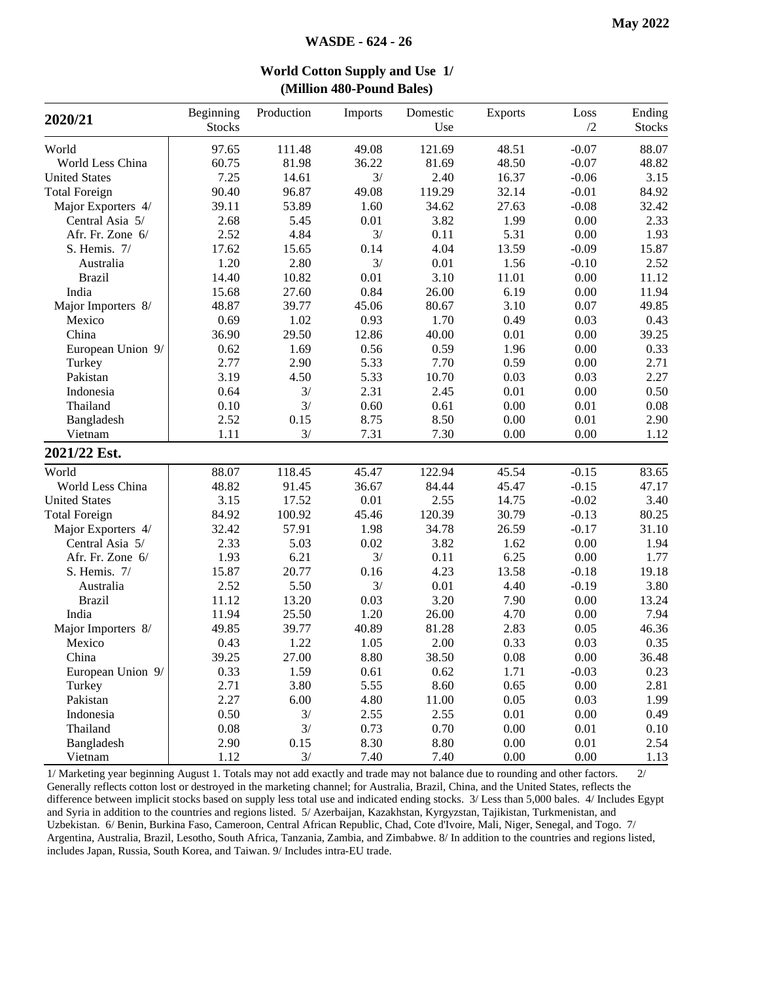|                      |               |            | $(1)$ and $100$ is $0$ and $100$ |          |                |          |               |
|----------------------|---------------|------------|----------------------------------|----------|----------------|----------|---------------|
| 2020/21              | Beginning     | Production | Imports                          | Domestic | <b>Exports</b> | Loss     | Ending        |
|                      | <b>Stocks</b> |            |                                  | Use      |                | /2       | <b>Stocks</b> |
| World                | 97.65         | 111.48     | 49.08                            | 121.69   | 48.51          | $-0.07$  | 88.07         |
| World Less China     | 60.75         | 81.98      | 36.22                            | 81.69    | 48.50          | $-0.07$  | 48.82         |
| <b>United States</b> | 7.25          | 14.61      | 3/                               | 2.40     | 16.37          | $-0.06$  | 3.15          |
| <b>Total Foreign</b> | 90.40         | 96.87      | 49.08                            | 119.29   | 32.14          | $-0.01$  | 84.92         |
| Major Exporters 4/   | 39.11         | 53.89      | 1.60                             | 34.62    | 27.63          | $-0.08$  | 32.42         |
| Central Asia 5/      | 2.68          | 5.45       | 0.01                             | 3.82     | 1.99           | 0.00     | 2.33          |
| Afr. Fr. Zone 6/     | 2.52          | 4.84       | 3/                               | 0.11     | 5.31           | 0.00     | 1.93          |
| S. Hemis. 7/         | 17.62         | 15.65      | 0.14                             | 4.04     | 13.59          | $-0.09$  | 15.87         |
| Australia            | 1.20          | 2.80       | 3/                               | 0.01     | 1.56           | $-0.10$  | 2.52          |
| <b>Brazil</b>        | 14.40         | 10.82      | 0.01                             | 3.10     | 11.01          | 0.00     | 11.12         |
| India                | 15.68         | 27.60      | 0.84                             | 26.00    | 6.19           | 0.00     | 11.94         |
| Major Importers 8/   | 48.87         | 39.77      | 45.06                            | 80.67    | 3.10           | 0.07     | 49.85         |
| Mexico               | 0.69          | 1.02       | 0.93                             | 1.70     | 0.49           | 0.03     | 0.43          |
| China                | 36.90         | 29.50      | 12.86                            | 40.00    | 0.01           | 0.00     | 39.25         |
| European Union 9/    | 0.62          | 1.69       | 0.56                             | 0.59     | 1.96           | 0.00     | 0.33          |
| Turkey               | 2.77          | 2.90       | 5.33                             | 7.70     | 0.59           | 0.00     | 2.71          |
| Pakistan             | 3.19          | 4.50       | 5.33                             | 10.70    | 0.03           | 0.03     | 2.27          |
| Indonesia            | 0.64          | 3/         | 2.31                             | 2.45     | 0.01           | 0.00     | 0.50          |
| Thailand             | 0.10          | 3/         | 0.60                             | 0.61     | 0.00           | 0.01     | 0.08          |
| Bangladesh           | 2.52          | 0.15       | 8.75                             | 8.50     | 0.00           | 0.01     | 2.90          |
| Vietnam              | 1.11          | 3/         | 7.31                             | 7.30     | 0.00           | 0.00     | 1.12          |
| 2021/22 Est.         |               |            |                                  |          |                |          |               |
| World                | 88.07         | 118.45     | 45.47                            | 122.94   | 45.54          | $-0.15$  | 83.65         |
| World Less China     | 48.82         | 91.45      | 36.67                            | 84.44    | 45.47          | $-0.15$  | 47.17         |
| <b>United States</b> | 3.15          | 17.52      | 0.01                             | 2.55     | 14.75          | $-0.02$  | 3.40          |
| <b>Total Foreign</b> | 84.92         | 100.92     | 45.46                            | 120.39   | 30.79          | $-0.13$  | 80.25         |
| Major Exporters 4/   | 32.42         | 57.91      | 1.98                             | 34.78    | 26.59          | $-0.17$  | 31.10         |
| Central Asia 5/      | 2.33          | 5.03       | 0.02                             | 3.82     | 1.62           | 0.00     | 1.94          |
| Afr. Fr. Zone 6/     | 1.93          | 6.21       | 3/                               | 0.11     | 6.25           | 0.00     | 1.77          |
| S. Hemis. 7/         | 15.87         | 20.77      | 0.16                             | 4.23     | 13.58          | $-0.18$  | 19.18         |
| Australia            | 2.52          | 5.50       | 3/                               | 0.01     | 4.40           | $-0.19$  | 3.80          |
| <b>Brazil</b>        | 11.12         | 13.20      | 0.03                             | 3.20     | 7.90           | 0.00     | 13.24         |
| India                | 11.94         | 25.50      | 1.20                             | 26.00    | 4.70           | 0.00     | 7.94          |
| Major Importers 8/   | 49.85         | 39.77      | 40.89                            | 81.28    | 2.83           | 0.05     | 46.36         |
| Mexico               | 0.43          | 1.22       | 1.05                             | 2.00     | 0.33           | 0.03     | 0.35          |
| China                | 39.25         | 27.00      | 8.80                             | 38.50    | 0.08           | $0.00\,$ | 36.48         |
| European Union 9/    | 0.33          | 1.59       | 0.61                             | 0.62     | 1.71           | $-0.03$  | 0.23          |
| Turkey               | 2.71          | 3.80       | 5.55                             | 8.60     | 0.65           | $0.00\,$ | 2.81          |
| Pakistan             | 2.27          | 6.00       | 4.80                             | 11.00    | 0.05           | 0.03     | 1.99          |
| Indonesia            | 0.50          | 3/         | 2.55                             | 2.55     | 0.01           | 0.00     | 0.49          |
| Thailand             | 0.08          | 3/         | 0.73                             | 0.70     | $0.00\,$       | 0.01     | 0.10          |
| Bangladesh           | 2.90          | 0.15       | 8.30                             | 8.80     | 0.00           | 0.01     | 2.54          |
| Vietnam              | 1.12          | 3/         | 7.40                             | 7.40     | 0.00           | 0.00     | 1.13          |
|                      |               |            |                                  |          |                |          |               |

**World Cotton Supply and Use 1/ (Million 480-Pound Bales)**

1/ Marketing year beginning August 1. Totals may not add exactly and trade may not balance due to rounding and other factors. 2/ Generally reflects cotton lost or destroyed in the marketing channel; for Australia, Brazil, China, and the United States, reflects the difference between implicit stocks based on supply less total use and indicated ending stocks. 3/ Less than 5,000 bales. 4/ Includes Egypt and Syria in addition to the countries and regions listed. 5/ Azerbaijan, Kazakhstan, Kyrgyzstan, Tajikistan, Turkmenistan, and Uzbekistan. 6/ Benin, Burkina Faso, Cameroon, Central African Republic, Chad, Cote d'Ivoire, Mali, Niger, Senegal, and Togo. 7/ Argentina, Australia, Brazil, Lesotho, South Africa, Tanzania, Zambia, and Zimbabwe. 8/ In addition to the countries and regions listed, includes Japan, Russia, South Korea, and Taiwan. 9/ Includes intra-EU trade.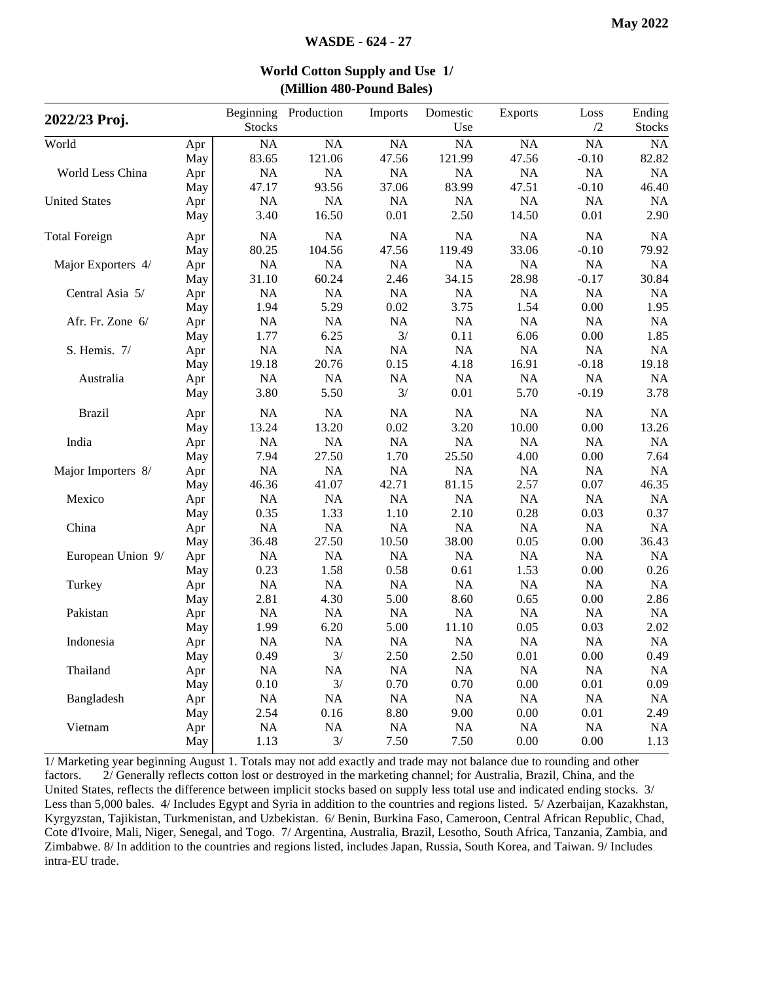| 2022/23 Proj.        |     | <b>Stocks</b> | Beginning Production | Imports   | Domestic<br>Use | <b>Exports</b> | Loss<br>/2 | Ending<br><b>Stocks</b> |
|----------------------|-----|---------------|----------------------|-----------|-----------------|----------------|------------|-------------------------|
| World                | Apr | NA            | NA                   | NA        | NA              | NA             | <b>NA</b>  | NA                      |
|                      | May | 83.65         | 121.06               | 47.56     | 121.99          | 47.56          | $-0.10$    | 82.82                   |
| World Less China     | Apr | NA            | NA                   | NA        | <b>NA</b>       | NA             | NA         | NA                      |
|                      | May | 47.17         | 93.56                | 37.06     | 83.99           | 47.51          | $-0.10$    | 46.40                   |
| <b>United States</b> | Apr | <b>NA</b>     | NA                   | NA        | <b>NA</b>       | NA             | NA         | <b>NA</b>               |
|                      | May | 3.40          | 16.50                | 0.01      | 2.50            | 14.50          | 0.01       | 2.90                    |
| <b>Total Foreign</b> | Apr | NA            | <b>NA</b>            | NA        | <b>NA</b>       | <b>NA</b>      | NA         | <b>NA</b>               |
|                      | May | 80.25         | 104.56               | 47.56     | 119.49          | 33.06          | $-0.10$    | 79.92                   |
| Major Exporters 4/   | Apr | NA            | NA                   | NA        | NA              | NA             | NA         | <b>NA</b>               |
|                      | May | 31.10         | 60.24                | 2.46      | 34.15           | 28.98          | $-0.17$    | 30.84                   |
| Central Asia 5/      | Apr | <b>NA</b>     | NA                   | NA        | NA              | <b>NA</b>      | NA         | NA                      |
|                      | May | 1.94          | 5.29                 | 0.02      | 3.75            | 1.54           | 0.00       | 1.95                    |
| Afr. Fr. Zone 6/     | Apr | <b>NA</b>     | <b>NA</b>            | NA        | <b>NA</b>       | <b>NA</b>      | <b>NA</b>  | <b>NA</b>               |
|                      | May | 1.77          | 6.25                 | 3/        | 0.11            | 6.06           | 0.00       | 1.85                    |
| S. Hemis. 7/         | Apr | NA            | NA                   | <b>NA</b> | NA              | NA             | NA         | NA                      |
|                      | May | 19.18         | 20.76                | 0.15      | 4.18            | 16.91          | $-0.18$    | 19.18                   |
| Australia            | Apr | NA            | <b>NA</b>            | <b>NA</b> | <b>NA</b>       | NA             | NA         | NA                      |
|                      | May | 3.80          | 5.50                 | 3/        | 0.01            | 5.70           | $-0.19$    | 3.78                    |
| <b>Brazil</b>        | Apr | NA            | NA                   | NA        | NA              | NA             | NA         | <b>NA</b>               |
|                      | May | 13.24         | 13.20                | 0.02      | 3.20            | 10.00          | 0.00       | 13.26                   |
| India                | Apr | NA            | NA                   | NA        | NA              | <b>NA</b>      | NA         | <b>NA</b>               |
|                      | May | 7.94          | 27.50                | 1.70      | 25.50           | 4.00           | 0.00       | 7.64                    |
| Major Importers 8/   | Apr | NA            | <b>NA</b>            | <b>NA</b> | <b>NA</b>       | <b>NA</b>      | <b>NA</b>  | <b>NA</b>               |
|                      | May | 46.36         | 41.07                | 42.71     | 81.15           | 2.57           | 0.07       | 46.35                   |
| Mexico               | Apr | NA            | <b>NA</b>            | <b>NA</b> | NA              | <b>NA</b>      | NA         | <b>NA</b>               |
|                      | May | 0.35          | 1.33                 | 1.10      | 2.10            | 0.28           | 0.03       | 0.37                    |
| China                | Apr | NA            | NA                   | NA        | NA              | <b>NA</b>      | NA         | <b>NA</b>               |
|                      | May | 36.48         | 27.50                | 10.50     | 38.00           | 0.05           | 0.00       | 36.43                   |
| European Union 9/    | Apr | NA            | NA                   | NA        | NA              | <b>NA</b>      | NA         | NA                      |
|                      | May | 0.23          | 1.58                 | 0.58      | 0.61            | 1.53           | 0.00       | 0.26                    |
| Turkey               | Apr | NA            | NA                   | NA        | NA              | NA             | NA         | NA                      |
|                      | May | 2.81          | 4.30                 | 5.00      | 8.60            | 0.65           | 0.00       | 2.86                    |
| Pakistan             | Apr | <b>NA</b>     | NA                   | NA        | NA              | NA             | NA         | NA                      |
|                      | May | 1.99          | 6.20                 | 5.00      | 11.10           | 0.05           | 0.03       | 2.02                    |
| Indonesia            | Apr | <b>NA</b>     | NA                   | NA        | NA              | <b>NA</b>      | NA         | NA                      |
|                      | May | 0.49          | 3/                   | 2.50      | 2.50            | 0.01           | $0.00\,$   | 0.49                    |
| Thailand             | Apr | NA            | <b>NA</b>            | <b>NA</b> | <b>NA</b>       | <b>NA</b>      | <b>NA</b>  | NA                      |
|                      | May | 0.10          | 3/                   | 0.70      | 0.70            | 0.00           | 0.01       | 0.09                    |
| Bangladesh           | Apr | NA            | <b>NA</b>            | NA        | NA              | NA             | NA         | NA                      |
|                      | May | 2.54          | 0.16                 | 8.80      | 9.00            | 0.00           | 0.01       | 2.49                    |
| Vietnam              | Apr | NA            | $\rm NA$             | NA        | NA              | NA             | NA         | NA                      |
|                      | May | 1.13          | 3/                   | 7.50      | 7.50            | 0.00           | 0.00       | 1.13                    |

## **World Cotton Supply and Use 1/ (Million 480-Pound Bales)**

1/ Marketing year beginning August 1. Totals may not add exactly and trade may not balance due to rounding and other factors. 2/ Generally reflects cotton lost or destroyed in the marketing channel; for Australia, Brazil, China, and the United States, reflects the difference between implicit stocks based on supply less total use and indicated ending stocks. 3/ Less than 5,000 bales. 4/ Includes Egypt and Syria in addition to the countries and regions listed. 5/ Azerbaijan, Kazakhstan, Kyrgyzstan, Tajikistan, Turkmenistan, and Uzbekistan. 6/ Benin, Burkina Faso, Cameroon, Central African Republic, Chad, Cote d'Ivoire, Mali, Niger, Senegal, and Togo. 7/ Argentina, Australia, Brazil, Lesotho, South Africa, Tanzania, Zambia, and Zimbabwe. 8/ In addition to the countries and regions listed, includes Japan, Russia, South Korea, and Taiwan. 9/ Includes intra-EU trade.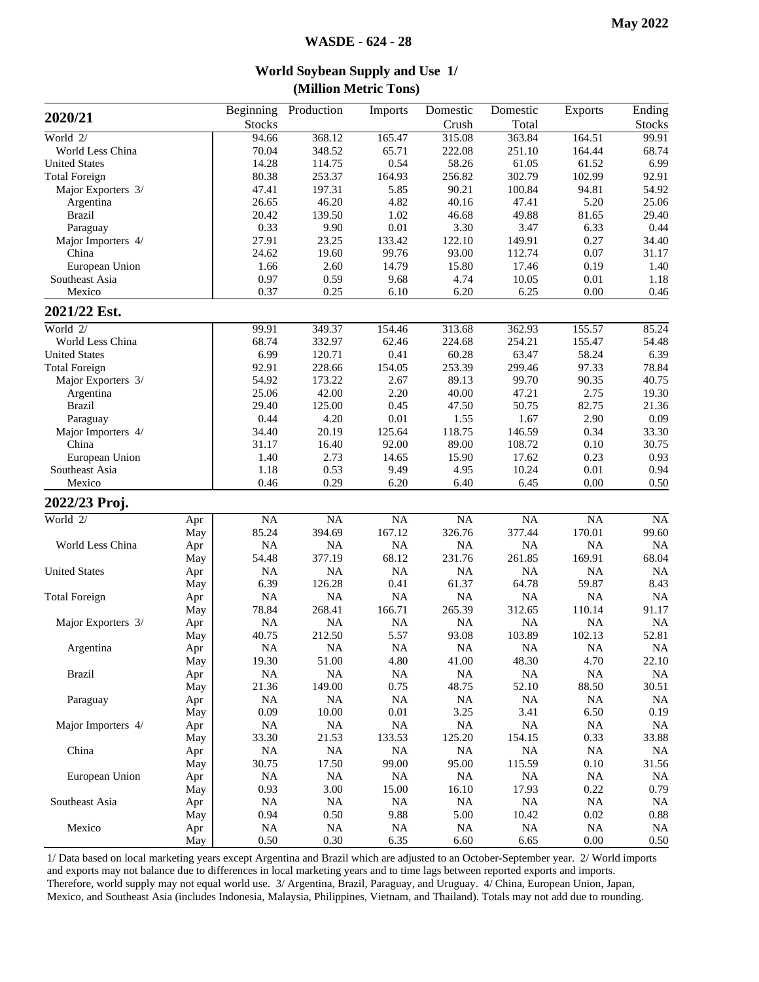**World Soybean Supply and Use 1/**

|                      |     |               |            | (Million Metric Tons) |           |                 |                 |               |
|----------------------|-----|---------------|------------|-----------------------|-----------|-----------------|-----------------|---------------|
| 2020/21              |     | Beginning     | Production | Imports               | Domestic  | Domestic        | <b>Exports</b>  | Ending        |
|                      |     | <b>Stocks</b> |            |                       | Crush     | Total           |                 | <b>Stocks</b> |
| World 2/             |     | 94.66         | 368.12     | 165.47                | 315.08    | 363.84          | 164.51          | 99.91         |
| World Less China     |     | 70.04         | 348.52     | 65.71                 | 222.08    | 251.10          | 164.44          | 68.74         |
| <b>United States</b> |     | 14.28         | 114.75     | 0.54                  | 58.26     | 61.05           | 61.52           | 6.99          |
| <b>Total Foreign</b> |     | 80.38         | 253.37     | 164.93                | 256.82    | 302.79          | 102.99          | 92.91         |
| Major Exporters 3/   |     | 47.41         | 197.31     | 5.85                  | 90.21     | 100.84          | 94.81           | 54.92         |
| Argentina            |     | 26.65         | 46.20      | 4.82                  | 40.16     | 47.41           | 5.20            | 25.06         |
| <b>Brazil</b>        |     | 20.42         | 139.50     | 1.02                  | 46.68     | 49.88           | 81.65           | 29.40         |
| Paraguay             |     | 0.33          | 9.90       | $0.01\,$              | 3.30      | 3.47            | 6.33            | 0.44          |
| Major Importers 4/   |     | 27.91         | 23.25      | 133.42                | 122.10    | 149.91          | 0.27            | 34.40         |
| China                |     | 24.62         | 19.60      | 99.76                 | 93.00     | 112.74          | 0.07            | 31.17         |
| European Union       |     | 1.66          | 2.60       | 14.79                 | 15.80     | 17.46           | 0.19            | 1.40          |
| Southeast Asia       |     | 0.97          | 0.59       | 9.68                  | 4.74      | 10.05           | 0.01            | 1.18          |
| Mexico               |     | 0.37          | 0.25       | 6.10                  | 6.20      | 6.25            | 0.00            | 0.46          |
| 2021/22 Est.         |     |               |            |                       |           |                 |                 |               |
| World 2/             |     | 99.91         | 349.37     | 154.46                | 313.68    | 362.93          | 155.57          | 85.24         |
| World Less China     |     | 68.74         | 332.97     | 62.46                 | 224.68    | 254.21          | 155.47          | 54.48         |
| <b>United States</b> |     | 6.99          | 120.71     | 0.41                  | 60.28     | 63.47           | 58.24           | 6.39          |
| <b>Total Foreign</b> |     | 92.91         | 228.66     | 154.05                | 253.39    | 299.46          | 97.33           | 78.84         |
| Major Exporters 3/   |     | 54.92         | 173.22     | 2.67                  | 89.13     | 99.70           | 90.35           | 40.75         |
| Argentina            |     | 25.06         | 42.00      | 2.20                  | 40.00     | 47.21           | 2.75            | 19.30         |
| <b>Brazil</b>        |     | 29.40         | 125.00     | 0.45                  | 47.50     | 50.75           | 82.75           | 21.36         |
| Paraguay             |     | 0.44          | 4.20       | 0.01                  | 1.55      | 1.67            | 2.90            | 0.09          |
| Major Importers 4/   |     | 34.40         | 20.19      | 125.64                | 118.75    | 146.59          | 0.34            | 33.30         |
| China                |     | 31.17         | 16.40      | 92.00                 | 89.00     | 108.72          | 0.10            | 30.75         |
| European Union       |     | 1.40          | 2.73       | 14.65                 | 15.90     | 17.62           | 0.23            | 0.93          |
| Southeast Asia       |     | 1.18          | 0.53       | 9.49                  | 4.95      | 10.24           | 0.01            | 0.94          |
| Mexico               |     | 0.46          | 0.29       | 6.20                  | 6.40      | 6.45            | 0.00            | 0.50          |
| 2022/23 Proj.        |     |               |            |                       |           |                 |                 |               |
| World 2/             | Apr | NA            | NA         | $\overline{NA}$       | NA        | $\overline{NA}$ | $\overline{NA}$ | NA            |
|                      | May | 85.24         | 394.69     | 167.12                | 326.76    | 377.44          | 170.01          | 99.60         |
| World Less China     | Apr | <b>NA</b>     | NA         | <b>NA</b>             | NA        | <b>NA</b>       | <b>NA</b>       | <b>NA</b>     |
|                      | May | 54.48         | 377.19     | 68.12                 | 231.76    | 261.85          | 169.91          | 68.04         |
| <b>United States</b> | Apr | <b>NA</b>     | <b>NA</b>  | <b>NA</b>             | NA.       | <b>NA</b>       | <b>NA</b>       | NA            |
|                      | May | 6.39          | 126.28     | 0.41                  | 61.37     | 64.78           | 59.87           | 8.43          |
| <b>Total Foreign</b> | Apr | <b>NA</b>     | <b>NA</b>  | <b>NA</b>             | NA        | NA              | NA              | <b>NA</b>     |
|                      | May | 78.84         | 268.41     | 166.71                | 265.39    | 312.65          | 110.14          | 91.17         |
| Major Exporters 3/   | Apr | NA            | NA         | NA                    | NA        | <b>NA</b>       | NA              | <b>NA</b>     |
|                      | May | 40.75         | 212.50     | 5.57                  | 93.08     | 103.89          | 102.13          | 52.81         |
| Argentina            | Apr | $\rm NA$      | NA         | $\rm NA$              | $\rm NA$  | <b>NA</b>       | <b>NA</b>       | NA            |
|                      | May | 19.30         | 51.00      | 4.80                  | 41.00     | 48.30           | 4.70            | 22.10         |
| <b>Brazil</b>        | Apr | $\rm NA$      | NA         | <b>NA</b>             | $\rm NA$  | <b>NA</b>       | <b>NA</b>       | <b>NA</b>     |
|                      | May | 21.36         | 149.00     | 0.75                  | 48.75     | 52.10           | 88.50           | 30.51         |
| Paraguay             | Apr | <b>NA</b>     | NA         | <b>NA</b>             | $\rm NA$  | <b>NA</b>       | <b>NA</b>       | <b>NA</b>     |
|                      | May | 0.09          | 10.00      | 0.01                  | 3.25      | 3.41            | 6.50            | 0.19          |
| Major Importers 4/   | Apr | <b>NA</b>     | NA         | <b>NA</b>             | $\rm NA$  | <b>NA</b>       | <b>NA</b>       | <b>NA</b>     |
|                      | May | 33.30         | 21.53      | 133.53                | 125.20    | 154.15          | 0.33            | 33.88         |
| China                | Apr | $\rm NA$      | NA         | NA                    | $\rm NA$  | <b>NA</b>       | NA              | <b>NA</b>     |
|                      | May | 30.75         | 17.50      | 99.00                 | 95.00     | 115.59          | 0.10            | 31.56         |
| European Union       | Apr | $\rm NA$      | NA         | $\rm NA$              | $\rm NA$  | <b>NA</b>       | <b>NA</b>       | <b>NA</b>     |
|                      | May | 0.93          | 3.00       | 15.00                 | 16.10     | 17.93           | 0.22            | 0.79          |
| Southeast Asia       | Apr | <b>NA</b>     | NA         | NA                    | $\rm NA$  | <b>NA</b>       | <b>NA</b>       | <b>NA</b>     |
|                      | May | 0.94          | 0.50       | 9.88                  | 5.00      | 10.42           | 0.02            | 0.88          |
| Mexico               | Apr | <b>NA</b>     | NA         | NA                    | <b>NA</b> | <b>NA</b>       | <b>NA</b>       | <b>NA</b>     |
|                      | May | 0.50          | 0.30       | 6.35                  | 6.60      | 6.65            | 0.00            | 0.50          |

1/ Data based on local marketing years except Argentina and Brazil which are adjusted to an October-September year. 2/ World imports and exports may not balance due to differences in local marketing years and to time lags between reported exports and imports. Therefore, world supply may not equal world use. 3/ Argentina, Brazil, Paraguay, and Uruguay. 4/ China, European Union, Japan, Mexico, and Southeast Asia (includes Indonesia, Malaysia, Philippines, Vietnam, and Thailand). Totals may not add due to rounding.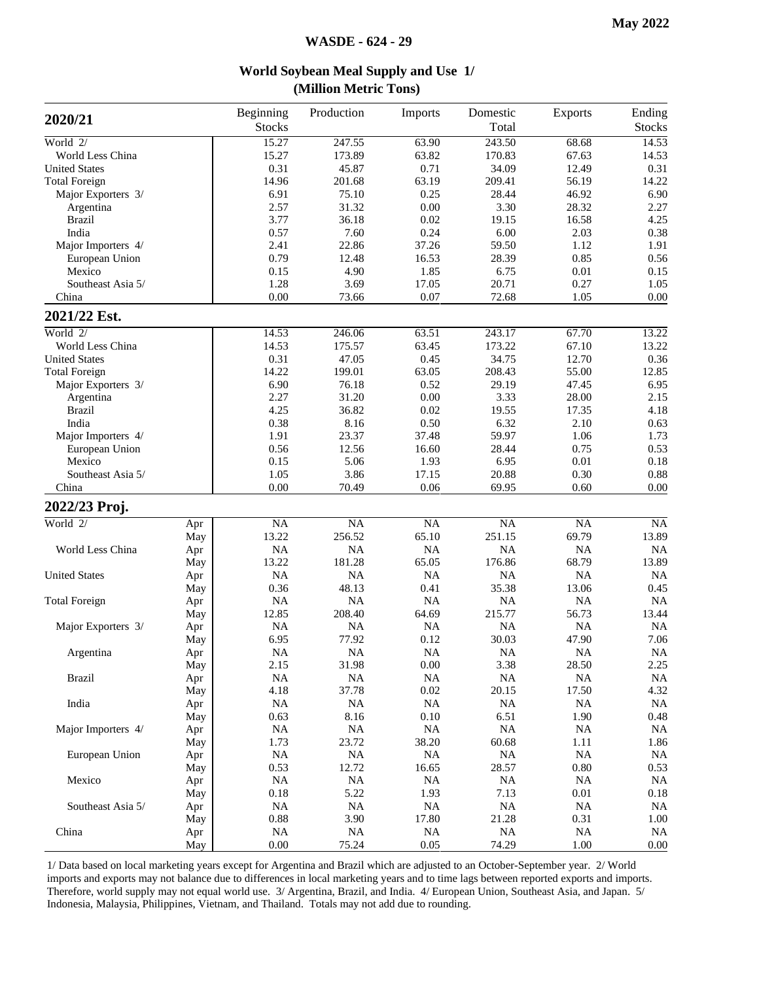| 2020/21              |     | Beginning<br><b>Stocks</b> | Production | Imports   | Domestic<br>Total | Exports         | Ending<br><b>Stocks</b> |
|----------------------|-----|----------------------------|------------|-----------|-------------------|-----------------|-------------------------|
| World $2/$           |     | 15.27                      | 247.55     | 63.90     | 243.50            | 68.68           | 14.53                   |
| World Less China     |     | 15.27                      | 173.89     | 63.82     | 170.83            | 67.63           | 14.53                   |
| <b>United States</b> |     | 0.31                       | 45.87      | 0.71      | 34.09             | 12.49           | 0.31                    |
| <b>Total Foreign</b> |     | 14.96                      | 201.68     | 63.19     | 209.41            | 56.19           | 14.22                   |
| Major Exporters 3/   |     | 6.91                       | 75.10      | 0.25      | 28.44             | 46.92           | 6.90                    |
| Argentina            |     | 2.57                       | 31.32      | 0.00      | 3.30              | 28.32           | 2.27                    |
| <b>Brazil</b>        |     | 3.77                       | 36.18      | 0.02      | 19.15             | 16.58           | 4.25                    |
| India                |     | 0.57                       | 7.60       | 0.24      | 6.00              | 2.03            | 0.38                    |
| Major Importers 4/   |     | 2.41                       | 22.86      | 37.26     | 59.50             | 1.12            | 1.91                    |
| European Union       |     | 0.79                       | 12.48      | 16.53     | 28.39             | 0.85            | 0.56                    |
| Mexico               |     | 0.15                       | 4.90       | 1.85      | 6.75              | 0.01            | 0.15                    |
| Southeast Asia 5/    |     | 1.28                       | 3.69       | 17.05     | 20.71             | 0.27            | 1.05                    |
| China                |     | 0.00                       | 73.66      | 0.07      | 72.68             | 1.05            | $0.00\,$                |
| 2021/22 Est.         |     |                            |            |           |                   |                 |                         |
| World $2/$           |     | 14.53                      | 246.06     | 63.51     | 243.17            | 67.70           | 13.22                   |
| World Less China     |     | 14.53                      | 175.57     | 63.45     | 173.22            | 67.10           | 13.22                   |
| <b>United States</b> |     | 0.31                       | 47.05      | 0.45      | 34.75             | 12.70           | 0.36                    |
| <b>Total Foreign</b> |     | 14.22                      | 199.01     | 63.05     | 208.43            | 55.00           | 12.85                   |
| Major Exporters 3/   |     | 6.90                       | 76.18      | 0.52      | 29.19             | 47.45           | 6.95                    |
| Argentina            |     | 2.27                       | 31.20      | $0.00\,$  | 3.33              | 28.00           | 2.15                    |
| <b>Brazil</b>        |     | 4.25                       | 36.82      | 0.02      | 19.55             | 17.35           | 4.18                    |
| India                |     | 0.38                       | 8.16       | 0.50      | 6.32              | 2.10            | 0.63                    |
| Major Importers 4/   |     | 1.91                       | 23.37      | 37.48     | 59.97             | 1.06            | 1.73                    |
| European Union       |     | 0.56                       | 12.56      | 16.60     | 28.44             | 0.75            | 0.53                    |
| Mexico               |     | 0.15                       | 5.06       | 1.93      | 6.95              | 0.01            | 0.18                    |
| Southeast Asia 5/    |     | 1.05                       | 3.86       | 17.15     | 20.88             | 0.30            | 0.88                    |
| China                |     | 0.00                       | 70.49      | 0.06      | 69.95             | 0.60            | 0.00                    |
| 2022/23 Proj.        |     |                            |            |           |                   |                 |                         |
| World $2/$           | Apr | NA                         | NA         | NA        | NA                | $\overline{NA}$ | $\overline{NA}$         |
|                      | May | 13.22                      | 256.52     | 65.10     | 251.15            | 69.79           | 13.89                   |
| World Less China     | Apr | <b>NA</b>                  | <b>NA</b>  | $\rm NA$  | <b>NA</b>         | $\rm NA$        | NA                      |
|                      | May | 13.22                      | 181.28     | 65.05     | 176.86            | 68.79           | 13.89                   |
| <b>United States</b> | Apr | NA                         | NA         | NA        | <b>NA</b>         | NA              | <b>NA</b>               |
|                      | May | 0.36                       | 48.13      | 0.41      | 35.38             | 13.06           | 0.45                    |
| <b>Total Foreign</b> | Apr | <b>NA</b>                  | $\rm NA$   | $\rm NA$  | <b>NA</b>         | <b>NA</b>       | <b>NA</b>               |
|                      | May | 12.85                      | 208.40     | 64.69     | 215.77            | 56.73           | 13.44                   |
| Major Exporters 3/   | Apr | <b>NA</b>                  | <b>NA</b>  | <b>NA</b> | <b>NA</b>         | <b>NA</b>       | <b>NA</b>               |
|                      | May | 6.95                       | 77.92      | 0.12      | 30.03             | 47.90           | 7.06                    |
| Argentina            | Apr | <b>NA</b>                  | <b>NA</b>  | <b>NA</b> | <b>NA</b>         | <b>NA</b>       | NA                      |
|                      | May | 2.15                       | 31.98      | 0.00      | 3.38              | 28.50           | 2.25                    |
| <b>Brazil</b>        | Apr | <b>NA</b>                  | NA         | <b>NA</b> | $_{\rm NA}$       | $\rm NA$        | <b>NA</b>               |
|                      | May | 4.18                       | 37.78      | $0.02\,$  | 20.15             | 17.50           | 4.32                    |
| India                | Apr | <b>NA</b>                  | NA         | <b>NA</b> | $\rm NA$          | $\rm NA$        | <b>NA</b>               |
|                      | May | 0.63                       | 8.16       | 0.10      | 6.51              | 1.90            | 0.48                    |
| Major Importers 4/   | Apr | $\rm NA$                   | $\rm NA$   | NA        | <b>NA</b>         | <b>NA</b>       | <b>NA</b>               |
|                      | May | 1.73                       | 23.72      | 38.20     | 60.68             | 1.11            | 1.86                    |
| European Union       | Apr | <b>NA</b>                  | NA         | <b>NA</b> | <b>NA</b>         | <b>NA</b>       | <b>NA</b>               |
|                      | May | 0.53                       | 12.72      | 16.65     | 28.57             | $0.80\,$        | 0.53                    |
| Mexico               | Apr | <b>NA</b>                  | $\rm NA$   | <b>NA</b> | <b>NA</b>         | <b>NA</b>       | $\rm NA$                |
|                      | May | 0.18                       | 5.22       | 1.93      | 7.13              | $0.01\,$        | 0.18                    |
| Southeast Asia 5/    | Apr | $\rm NA$                   | NA         | NA        | NA                | NA              | <b>NA</b>               |
|                      | May | 0.88                       | 3.90       | 17.80     | 21.28             | 0.31            | 1.00                    |
| China                | Apr | $\rm NA$                   | NA         | NA        | NA                | NA              | <b>NA</b>               |
|                      | May | $0.00\,$                   | 75.24      | 0.05      | 74.29             | 1.00            | 0.00                    |

#### 1/ Data based on local marketing years except for Argentina and Brazil which are adjusted to an October-September year. 2/ World imports and exports may not balance due to differences in local marketing years and to time lags between reported exports and imports. Therefore, world supply may not equal world use. 3/ Argentina, Brazil, and India. 4/ European Union, Southeast Asia, and Japan. 5/ Indonesia, Malaysia, Philippines, Vietnam, and Thailand. Totals may not add due to rounding.

#### **World Soybean Meal Supply and Use 1/ (Million Metric Tons)**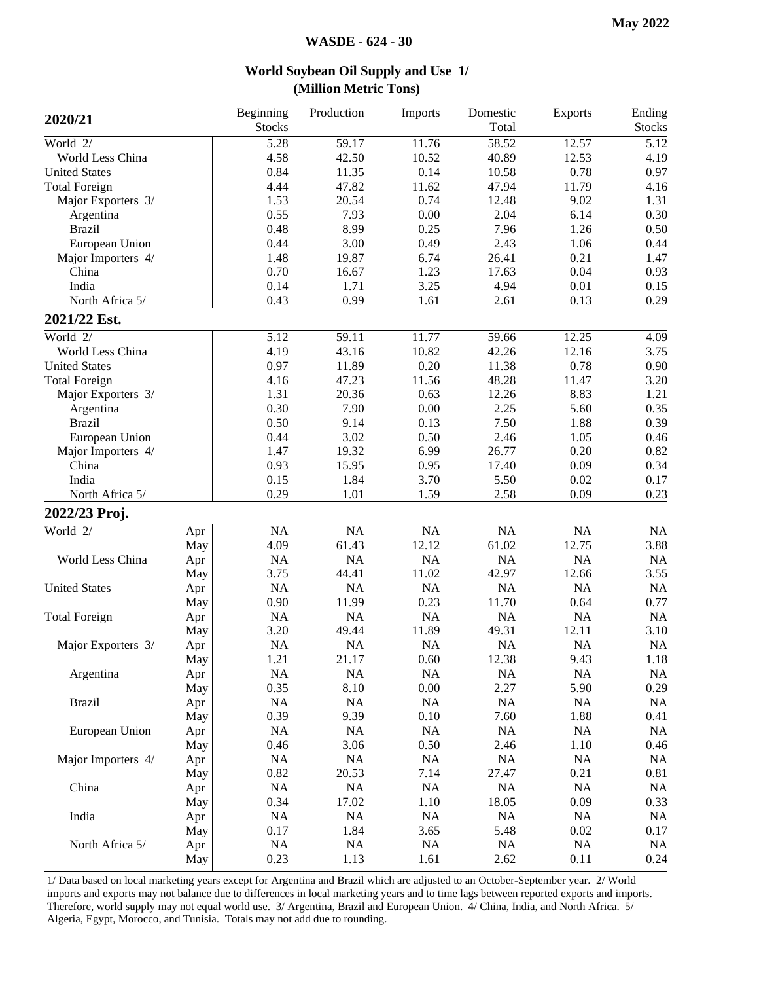| 2020/21              |     | Beginning<br><b>Stocks</b> | Production | Imports   | Domestic<br>Total | Exports   | Ending<br><b>Stocks</b> |
|----------------------|-----|----------------------------|------------|-----------|-------------------|-----------|-------------------------|
| World 2/             |     | 5.28                       | 59.17      | 11.76     | 58.52             | 12.57     | 5.12                    |
| World Less China     |     | 4.58                       | 42.50      | 10.52     | 40.89             | 12.53     | 4.19                    |
| <b>United States</b> |     | 0.84                       | 11.35      | 0.14      | 10.58             | 0.78      | 0.97                    |
| <b>Total Foreign</b> |     | 4.44                       | 47.82      | 11.62     | 47.94             | 11.79     | 4.16                    |
| Major Exporters 3/   |     | 1.53                       | 20.54      | 0.74      | 12.48             | 9.02      | 1.31                    |
| Argentina            |     | 0.55                       | 7.93       | 0.00      | 2.04              | 6.14      | 0.30                    |
| <b>Brazil</b>        |     | 0.48                       | 8.99       | 0.25      | 7.96              | 1.26      | 0.50                    |
| European Union       |     | 0.44                       | 3.00       | 0.49      | 2.43              | 1.06      | 0.44                    |
| Major Importers 4/   |     | 1.48                       | 19.87      | 6.74      | 26.41             | 0.21      | 1.47                    |
| China                |     | 0.70                       | 16.67      | 1.23      | 17.63             | 0.04      | 0.93                    |
| India                |     | 0.14                       | 1.71       | 3.25      | 4.94              | 0.01      | 0.15                    |
| North Africa 5/      |     | 0.43                       | 0.99       | 1.61      | 2.61              | 0.13      | 0.29                    |
| 2021/22 Est.         |     |                            |            |           |                   |           |                         |
| World 2/             |     | 5.12                       | 59.11      | 11.77     | 59.66             | 12.25     | 4.09                    |
| World Less China     |     | 4.19                       | 43.16      | 10.82     | 42.26             | 12.16     | 3.75                    |
| <b>United States</b> |     | 0.97                       | 11.89      | 0.20      | 11.38             | 0.78      | 0.90                    |
| <b>Total Foreign</b> |     | 4.16                       | 47.23      | 11.56     | 48.28             | 11.47     | 3.20                    |
| Major Exporters 3/   |     | 1.31                       | 20.36      | 0.63      | 12.26             | 8.83      | 1.21                    |
| Argentina            |     | 0.30                       | 7.90       | 0.00      | 2.25              | 5.60      | 0.35                    |
| <b>Brazil</b>        |     | 0.50                       | 9.14       | 0.13      | 7.50              | 1.88      | 0.39                    |
| European Union       |     | 0.44                       | 3.02       | 0.50      | 2.46              | 1.05      | 0.46                    |
| Major Importers 4/   |     | 1.47                       | 19.32      | 6.99      | 26.77             | 0.20      | 0.82                    |
| China                |     | 0.93                       | 15.95      | 0.95      | 17.40             | 0.09      | 0.34                    |
| India                |     | 0.15                       | 1.84       | 3.70      | 5.50              | 0.02      | 0.17                    |
| North Africa 5/      |     | 0.29                       | 1.01       | 1.59      | 2.58              | 0.09      | 0.23                    |
| 2022/23 Proj.        |     |                            |            |           |                   |           |                         |
| World $2/$           | Apr | <b>NA</b>                  | NA         | NA        | $\overline{NA}$   | NA        | $\overline{NA}$         |
|                      | May | 4.09                       | 61.43      | 12.12     | 61.02             | 12.75     | 3.88                    |
| World Less China     | Apr | <b>NA</b>                  | NA         | NA        | NA                | NA        | NA                      |
|                      | May | 3.75                       | 44.41      | 11.02     | 42.97             | 12.66     | 3.55                    |
| <b>United States</b> | Apr | NA                         | NA         | NA        | NA                | NA        | NA                      |
|                      | May | 0.90                       | 11.99      | 0.23      | 11.70             | 0.64      | 0.77                    |
| <b>Total Foreign</b> | Apr | NA                         | NA         | NA        | NA                | NA        | NA                      |
|                      | May | 3.20                       | 49.44      | 11.89     | 49.31             | 12.11     | 3.10                    |
| Major Exporters 3/   | Apr | <b>NA</b>                  | NA         | <b>NA</b> | NA                | NA        | <b>NA</b>               |
|                      | May | 1.21                       | 21.17      | 0.60      | 12.38             | 9.43      | 1.18                    |
| Argentina            | Apr | NA                         | $\rm NA$   | NA        | $\rm NA$          | NA        | $\rm NA$                |
|                      | May | 0.35                       | 8.10       | 0.00      | 2.27              | 5.90      | 0.29                    |
| <b>Brazil</b>        | Apr | <b>NA</b>                  | <b>NA</b>  | NA        | NA                | <b>NA</b> | <b>NA</b>               |
|                      | May | 0.39                       | 9.39       | 0.10      | 7.60              | 1.88      | 0.41                    |
| European Union       | Apr | NA                         | $\rm NA$   | NA        | NA                | <b>NA</b> | NA                      |
|                      | May | 0.46                       | 3.06       | 0.50      | 2.46              | 1.10      | 0.46                    |
| Major Importers 4/   | Apr | NA                         | NA         | NA        | $\rm NA$          | NA        | $\rm NA$                |
|                      | May | 0.82                       | 20.53      | 7.14      | 27.47             | 0.21      | 0.81                    |
| China                | Apr | NA                         | $\rm NA$   | NA        | $\rm NA$          | NA        | NA                      |
|                      | May | 0.34                       | 17.02      | 1.10      | 18.05             | 0.09      | 0.33                    |
| India                | Apr | <b>NA</b>                  | <b>NA</b>  | NA        | <b>NA</b>         | <b>NA</b> | <b>NA</b>               |
|                      | May | 0.17                       | 1.84       | 3.65      | 5.48              | $0.02\,$  | 0.17                    |
| North Africa 5/      | Apr | NA                         | NA         | NA        | <b>NA</b>         | NA        | <b>NA</b>               |
|                      | May | 0.23                       | 1.13       | 1.61      | 2.62              | 0.11      | 0.24                    |

**World Soybean Oil Supply and Use 1/ (Million Metric Tons)**

1/ Data based on local marketing years except for Argentina and Brazil which are adjusted to an October-September year. 2/ World imports and exports may not balance due to differences in local marketing years and to time lags between reported exports and imports. Therefore, world supply may not equal world use. 3/ Argentina, Brazil and European Union. 4/ China, India, and North Africa. 5/ Algeria, Egypt, Morocco, and Tunisia. Totals may not add due to rounding.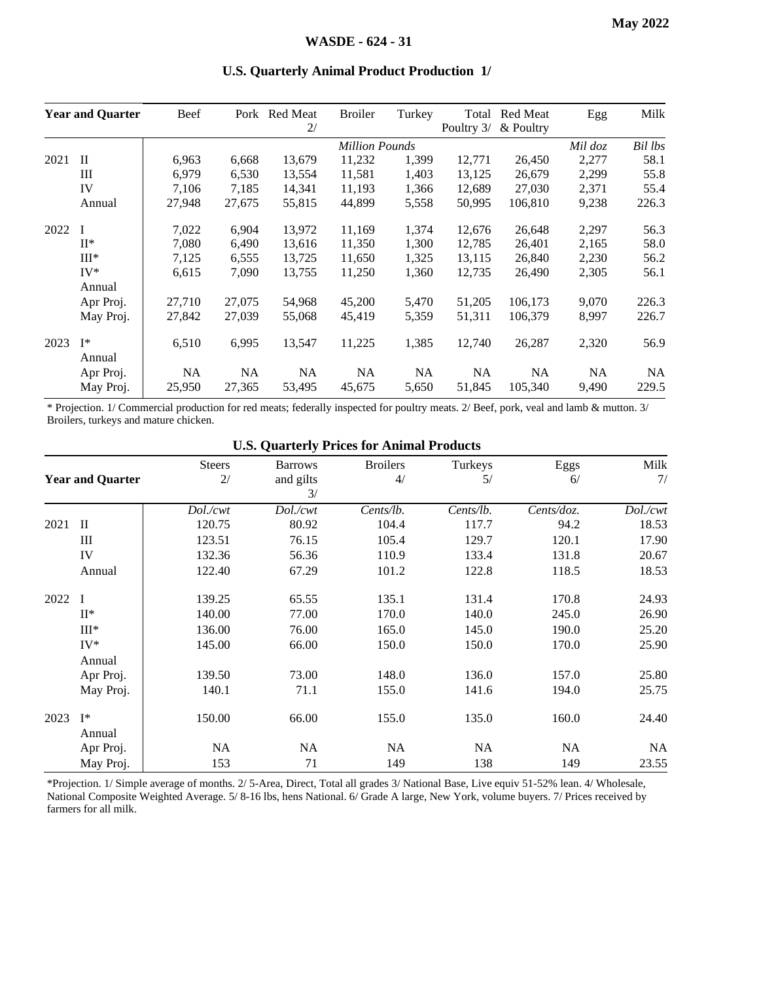|      | <b>Year and Quarter</b> | Beef   |           | Pork Red Meat<br>2/ | <b>Broiler</b>        | Turkey    | Total<br>Poultry 3/ | Red Meat<br>& Poultry | Egg     | Milk    |
|------|-------------------------|--------|-----------|---------------------|-----------------------|-----------|---------------------|-----------------------|---------|---------|
|      |                         |        |           |                     | <b>Million Pounds</b> |           |                     |                       | Mil doz | Bil lbs |
| 2021 | $\mathbf{I}$            | 6,963  | 6,668     | 13,679              | 11,232                | 1,399     | 12,771              | 26,450                | 2,277   | 58.1    |
|      | Ш                       | 6,979  | 6,530     | 13,554              | 11,581                | 1,403     | 13,125              | 26,679                | 2,299   | 55.8    |
|      | IV                      | 7.106  | 7.185     | 14,341              | 11.193                | 1,366     | 12.689              | 27,030                | 2,371   | 55.4    |
|      | Annual                  | 27,948 | 27,675    | 55,815              | 44,899                | 5,558     | 50,995              | 106,810               | 9,238   | 226.3   |
| 2022 |                         | 7,022  | 6,904     | 13,972              | 11.169                | 1,374     | 12,676              | 26,648                | 2,297   | 56.3    |
|      | $II^*$                  | 7,080  | 6,490     | 13,616              | 11,350                | 1,300     | 12,785              | 26,401                | 2,165   | 58.0    |
|      | $III*$                  | 7,125  | 6,555     | 13,725              | 11,650                | 1,325     | 13,115              | 26,840                | 2,230   | 56.2    |
|      | $IV^*$                  | 6,615  | 7.090     | 13,755              | 11,250                | 1,360     | 12,735              | 26,490                | 2,305   | 56.1    |
|      | Annual                  |        |           |                     |                       |           |                     |                       |         |         |
|      | Apr Proj.               | 27,710 | 27,075    | 54,968              | 45,200                | 5,470     | 51,205              | 106,173               | 9,070   | 226.3   |
|      | May Proj.               | 27,842 | 27,039    | 55,068              | 45,419                | 5,359     | 51,311              | 106,379               | 8,997   | 226.7   |
| 2023 | $I^*$<br>Annual         | 6,510  | 6,995     | 13,547              | 11,225                | 1,385     | 12,740              | 26,287                | 2,320   | 56.9    |
|      | Apr Proj.               | NA     | <b>NA</b> | NA.                 | NA.                   | <b>NA</b> | <b>NA</b>           | NA.                   | NA.     | NA.     |
|      | May Proj.               | 25,950 | 27,365    | 53,495              | 45,675                | 5,650     | 51,845              | 105,340               | 9,490   | 229.5   |

#### **U.S. Quarterly Animal Product Production 1/**

\* Projection. 1/ Commercial production for red meats; federally inspected for poultry meats. 2/ Beef, pork, veal and lamb & mutton. 3/ Broilers, turkeys and mature chicken.

|      |                          |               |                | <b>U.S. Quarterly Trices for Allinial Trouters</b> |           |            |          |
|------|--------------------------|---------------|----------------|----------------------------------------------------|-----------|------------|----------|
|      |                          | <b>Steers</b> | <b>Barrows</b> | <b>Broilers</b>                                    | Turkeys   | Eggs       | Milk     |
|      | <b>Year and Quarter</b>  | 2/            | and gilts      | 4/                                                 | 5/        | 6/         | 7/       |
|      |                          |               | 3/             |                                                    |           |            |          |
|      |                          | Dol./cwt      | Dol./cwt       | Cents/lb.                                          | Cents/lb. | Cents/doz. | Dol./cwt |
| 2021 | $\mathbf{I}$             | 120.75        | 80.92          | 104.4                                              | 117.7     | 94.2       | 18.53    |
|      | Ш                        | 123.51        | 76.15          | 105.4                                              | 129.7     | 120.1      | 17.90    |
|      | IV                       | 132.36        | 56.36          | 110.9                                              | 133.4     | 131.8      | 20.67    |
|      | Annual                   | 122.40        | 67.29          | 101.2                                              | 122.8     | 118.5      | 18.53    |
| 2022 | $\mathbf{I}$             | 139.25        | 65.55          | 135.1                                              | 131.4     | 170.8      | 24.93    |
|      | $II^*$                   | 140.00        | 77.00          | 170.0                                              | 140.0     | 245.0      | 26.90    |
|      | $III*$                   | 136.00        | 76.00          | 165.0                                              | 145.0     | 190.0      | 25.20    |
|      | $IV^*$                   | 145.00        | 66.00          | 150.0                                              | 150.0     | 170.0      | 25.90    |
|      | Annual                   |               |                |                                                    |           |            |          |
|      | Apr Proj.                | 139.50        | 73.00          | 148.0                                              | 136.0     | 157.0      | 25.80    |
|      | May Proj.                | 140.1         | 71.1           | 155.0                                              | 141.6     | 194.0      | 25.75    |
| 2023 | $\mathbf{I}^*$<br>Annual | 150.00        | 66.00          | 155.0                                              | 135.0     | 160.0      | 24.40    |
|      | Apr Proj.                | NA            | NA             | <b>NA</b>                                          | NA        | NA         | NA       |
|      | May Proj.                | 153           | 71             | 149                                                | 138       | 149        | 23.55    |

**U.S. Quarterly Prices for Animal Products**

\*Projection. 1/ Simple average of months. 2/ 5-Area, Direct, Total all grades 3/ National Base, Live equiv 51-52% lean. 4/ Wholesale, National Composite Weighted Average. 5/ 8-16 lbs, hens National. 6/ Grade A large, New York, volume buyers. 7/ Prices received by farmers for all milk.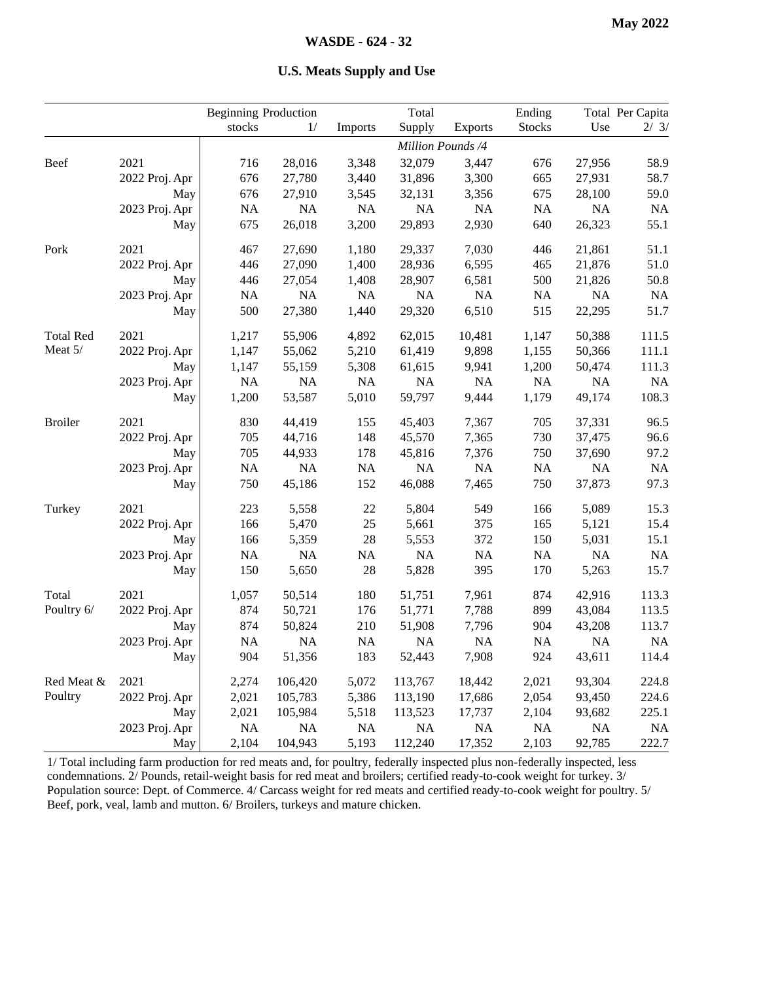|  |  | <b>U.S. Meats Supply and Use</b> |  |  |
|--|--|----------------------------------|--|--|
|--|--|----------------------------------|--|--|

|                  |                | <b>Beginning Production</b> |          |           | Total     |                   | Ending        |        | Total Per Capita |
|------------------|----------------|-----------------------------|----------|-----------|-----------|-------------------|---------------|--------|------------------|
|                  |                | stocks                      | 1/       | Imports   | Supply    | <b>Exports</b>    | <b>Stocks</b> | Use    | 2/3/             |
|                  |                |                             |          |           |           | Million Pounds /4 |               |        |                  |
| <b>Beef</b>      | 2021           | 716                         | 28,016   | 3,348     | 32,079    | 3,447             | 676           | 27,956 | 58.9             |
|                  | 2022 Proj. Apr | 676                         | 27,780   | 3,440     | 31,896    | 3,300             | 665           | 27,931 | 58.7             |
|                  | May            | 676                         | 27,910   | 3,545     | 32,131    | 3,356             | 675           | 28,100 | 59.0             |
|                  | 2023 Proj. Apr | NA                          | NA       | NA        | NA        | $\rm NA$          | NA            | NA     | <b>NA</b>        |
|                  | May            | 675                         | 26,018   | 3,200     | 29,893    | 2,930             | 640           | 26,323 | 55.1             |
| Pork             | 2021           | 467                         | 27,690   | 1,180     | 29,337    | 7,030             | 446           | 21,861 | 51.1             |
|                  | 2022 Proj. Apr | 446                         | 27,090   | 1,400     | 28,936    | 6,595             | 465           | 21,876 | 51.0             |
|                  | May            | 446                         | 27,054   | 1,408     | 28,907    | 6,581             | 500           | 21,826 | 50.8             |
|                  | 2023 Proj. Apr | NA                          | $\rm NA$ | NA        | NA        | NA                | NA            | NA     | NA               |
|                  | May            | 500                         | 27,380   | 1,440     | 29,320    | 6,510             | 515           | 22,295 | 51.7             |
| <b>Total Red</b> | 2021           | 1,217                       | 55,906   | 4,892     | 62,015    | 10,481            | 1,147         | 50,388 | 111.5            |
| Meat 5/          | 2022 Proj. Apr | 1,147                       | 55,062   | 5,210     | 61,419    | 9,898             | 1,155         | 50,366 | 111.1            |
|                  | May            | 1,147                       | 55,159   | 5,308     | 61,615    | 9,941             | 1,200         | 50,474 | 111.3            |
|                  | 2023 Proj. Apr | NA                          | NA       | NA        | NA        | $\rm NA$          | NA            | NA     | NA               |
|                  | May            | 1,200                       | 53,587   | 5,010     | 59,797    | 9,444             | 1,179         | 49,174 | 108.3            |
| <b>Broiler</b>   | 2021           | 830                         | 44,419   | 155       | 45,403    | 7,367             | 705           | 37,331 | 96.5             |
|                  | 2022 Proj. Apr | 705                         | 44,716   | 148       | 45,570    | 7,365             | 730           | 37,475 | 96.6             |
|                  | May            | 705                         | 44,933   | 178       | 45,816    | 7,376             | 750           | 37,690 | 97.2             |
|                  | 2023 Proj. Apr | $\rm NA$                    | $\rm NA$ | $\rm NA$  | NA        | $\rm NA$          | NA            | NA     | $\rm NA$         |
|                  | May            | 750                         | 45,186   | 152       | 46,088    | 7,465             | 750           | 37,873 | 97.3             |
| Turkey           | 2021           | 223                         | 5,558    | $22\,$    | 5,804     | 549               | 166           | 5,089  | 15.3             |
|                  | 2022 Proj. Apr | 166                         | 5,470    | 25        | 5,661     | 375               | 165           | 5,121  | 15.4             |
|                  | May            | 166                         | 5,359    | 28        | 5,553     | 372               | 150           | 5,031  | 15.1             |
|                  | 2023 Proj. Apr | $\rm NA$                    | $\rm NA$ | $\rm NA$  | NA        | $\rm NA$          | $\rm NA$      | NA     | <b>NA</b>        |
|                  | May            | 150                         | 5,650    | $28\,$    | 5,828     | 395               | 170           | 5,263  | 15.7             |
| Total            | 2021           | 1,057                       | 50,514   | 180       | 51,751    | 7,961             | 874           | 42,916 | 113.3            |
| Poultry 6/       | 2022 Proj. Apr | 874                         | 50,721   | 176       | 51,771    | 7,788             | 899           | 43,084 | 113.5            |
|                  | May            | 874                         | 50,824   | 210       | 51,908    | 7,796             | 904           | 43,208 | 113.7            |
|                  | 2023 Proj. Apr | NA                          | NA       | <b>NA</b> | <b>NA</b> | NA                | NA            | NA     | NA               |
|                  | May            | 904                         | 51,356   | 183       | 52,443    | 7,908             | 924           | 43,611 | 114.4            |
| Red Meat &       | 2021           | 2,274                       | 106,420  | 5,072     | 113,767   | 18,442            | 2,021         | 93,304 | 224.8            |
| Poultry          | 2022 Proj. Apr | 2,021                       | 105,783  | 5,386     | 113,190   | 17,686            | 2,054         | 93,450 | 224.6            |
|                  | May            | 2,021                       | 105,984  | 5,518     | 113,523   | 17,737            | 2,104         | 93,682 | 225.1            |
|                  | 2023 Proj. Apr | NA                          | NA       | NA        | NA        | NA                | $\rm NA$      | NA     | $\rm NA$         |
|                  | May            | 2,104                       | 104,943  | 5,193     | 112,240   | 17,352            | 2,103         | 92,785 | 222.7            |

1/ Total including farm production for red meats and, for poultry, federally inspected plus non-federally inspected, less condemnations. 2/ Pounds, retail-weight basis for red meat and broilers; certified ready-to-cook weight for turkey. 3/ Population source: Dept. of Commerce. 4/ Carcass weight for red meats and certified ready-to-cook weight for poultry. 5/ Beef, pork, veal, lamb and mutton. 6/ Broilers, turkeys and mature chicken.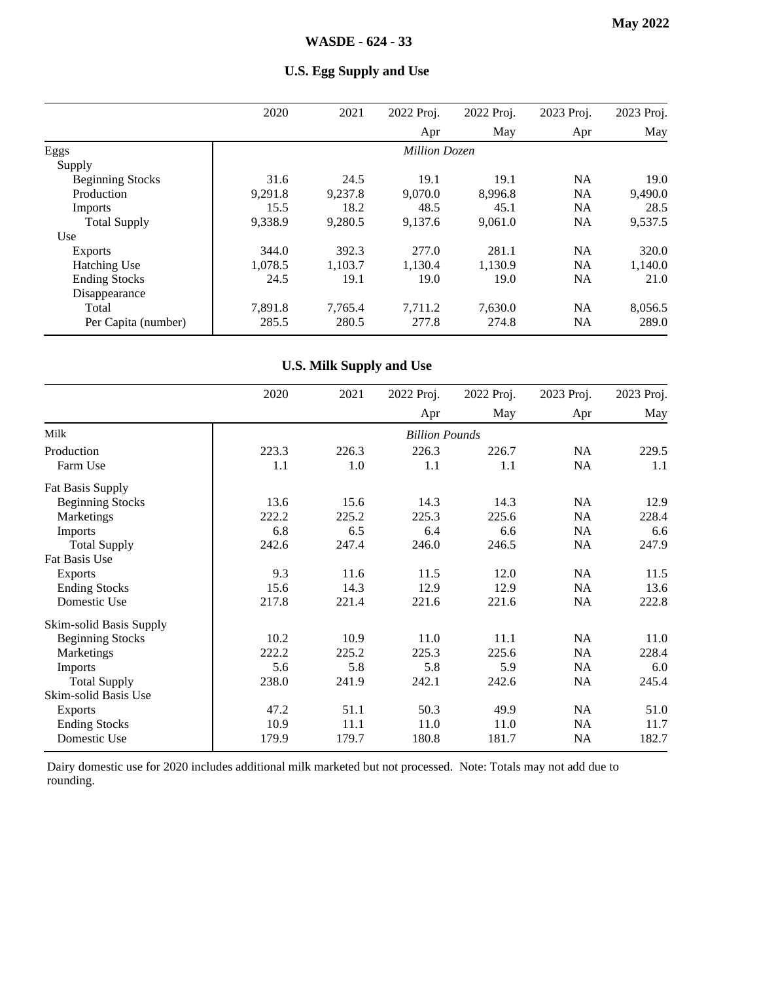|                         | 2020    | 2021    | 2022 Proj.           | 2022 Proj. | 2023 Proj. | 2023 Proj. |
|-------------------------|---------|---------|----------------------|------------|------------|------------|
|                         |         |         | Apr                  | May        | Apr        | May        |
| Eggs                    |         |         | <b>Million Dozen</b> |            |            |            |
| Supply                  |         |         |                      |            |            |            |
| <b>Beginning Stocks</b> | 31.6    | 24.5    | 19.1                 | 19.1       | <b>NA</b>  | 19.0       |
| Production              | 9,291.8 | 9,237.8 | 9,070.0              | 8,996.8    | <b>NA</b>  | 9,490.0    |
| Imports                 | 15.5    | 18.2    | 48.5                 | 45.1       | <b>NA</b>  | 28.5       |
| <b>Total Supply</b>     | 9,338.9 | 9,280.5 | 9,137.6              | 9,061.0    | <b>NA</b>  | 9,537.5    |
| Use                     |         |         |                      |            |            |            |
| <b>Exports</b>          | 344.0   | 392.3   | 277.0                | 281.1      | <b>NA</b>  | 320.0      |
| <b>Hatching Use</b>     | 1,078.5 | 1.103.7 | 1.130.4              | 1,130.9    | <b>NA</b>  | 1,140.0    |
| <b>Ending Stocks</b>    | 24.5    | 19.1    | 19.0                 | 19.0       | NA         | 21.0       |
| Disappearance           |         |         |                      |            |            |            |
| Total                   | 7,891.8 | 7.765.4 | 7.711.2              | 7,630.0    | <b>NA</b>  | 8,056.5    |
| Per Capita (number)     | 285.5   | 280.5   | 277.8                | 274.8      | <b>NA</b>  | 289.0      |

### **U.S. Egg Supply and Use**

### **U.S. Milk Supply and Use**

|                         | 2020  | 2021  | 2022 Proj.            | 2022 Proj. | 2023 Proj. | 2023 Proj. |
|-------------------------|-------|-------|-----------------------|------------|------------|------------|
|                         |       |       | Apr                   | May        | Apr        | May        |
| Milk                    |       |       | <b>Billion Pounds</b> |            |            |            |
| Production              | 223.3 | 226.3 | 226.3                 | 226.7      | <b>NA</b>  | 229.5      |
| Farm Use                | 1.1   | 1.0   | 1.1                   | 1.1        | NA         | 1.1        |
| <b>Fat Basis Supply</b> |       |       |                       |            |            |            |
| <b>Beginning Stocks</b> | 13.6  | 15.6  | 14.3                  | 14.3       | <b>NA</b>  | 12.9       |
| Marketings              | 222.2 | 225.2 | 225.3                 | 225.6      | <b>NA</b>  | 228.4      |
| Imports                 | 6.8   | 6.5   | 6.4                   | 6.6        | NA         | 6.6        |
| <b>Total Supply</b>     | 242.6 | 247.4 | 246.0                 | 246.5      | NA         | 247.9      |
| Fat Basis Use           |       |       |                       |            |            |            |
| <b>Exports</b>          | 9.3   | 11.6  | 11.5                  | 12.0       | <b>NA</b>  | 11.5       |
| <b>Ending Stocks</b>    | 15.6  | 14.3  | 12.9                  | 12.9       | <b>NA</b>  | 13.6       |
| Domestic Use            | 217.8 | 221.4 | 221.6                 | 221.6      | NA         | 222.8      |
| Skim-solid Basis Supply |       |       |                       |            |            |            |
| <b>Beginning Stocks</b> | 10.2  | 10.9  | 11.0                  | 11.1       | <b>NA</b>  | 11.0       |
| Marketings              | 222.2 | 225.2 | 225.3                 | 225.6      | <b>NA</b>  | 228.4      |
| Imports                 | 5.6   | 5.8   | 5.8                   | 5.9        | NA         | 6.0        |
| <b>Total Supply</b>     | 238.0 | 241.9 | 242.1                 | 242.6      | NA         | 245.4      |
| Skim-solid Basis Use    |       |       |                       |            |            |            |
| <b>Exports</b>          | 47.2  | 51.1  | 50.3                  | 49.9       | <b>NA</b>  | 51.0       |
| <b>Ending Stocks</b>    | 10.9  | 11.1  | 11.0                  | 11.0       | <b>NA</b>  | 11.7       |
| Domestic Use            | 179.9 | 179.7 | 180.8                 | 181.7      | NA         | 182.7      |

Dairy domestic use for 2020 includes additional milk marketed but not processed. Note: Totals may not add due to rounding.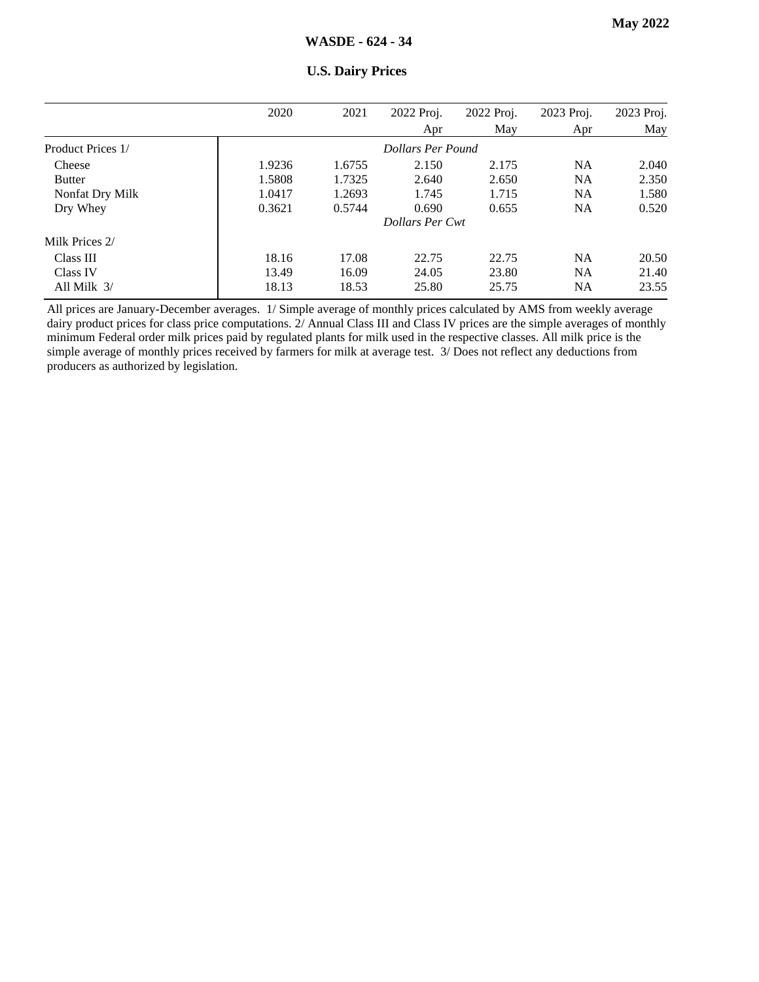|                   | 2020   | 2021   | 2022 Proj.             | 2022 Proj. | 2023 Proj. | 2023 Proj. |
|-------------------|--------|--------|------------------------|------------|------------|------------|
|                   |        |        | Apr                    | May        | Apr        | May        |
| Product Prices 1/ |        |        | Dollars Per Pound      |            |            |            |
| Cheese            | 1.9236 | 1.6755 | 2.150                  | 2.175      | <b>NA</b>  | 2.040      |
| <b>Butter</b>     | 1.5808 | 1.7325 | 2.640                  | 2.650      | <b>NA</b>  | 2.350      |
| Nonfat Dry Milk   | 1.0417 | 1.2693 | 1.745                  | 1.715      | <b>NA</b>  | 1.580      |
| Dry Whey          | 0.3621 | 0.5744 | 0.690                  | 0.655      | <b>NA</b>  | 0.520      |
|                   |        |        | <b>Dollars Per Cwt</b> |            |            |            |
| Milk Prices 2/    |        |        |                        |            |            |            |
| Class III         | 18.16  | 17.08  | 22.75                  | 22.75      | <b>NA</b>  | 20.50      |
| Class IV          | 13.49  | 16.09  | 24.05                  | 23.80      | <b>NA</b>  | 21.40      |
| All Milk $3/$     | 18.13  | 18.53  | 25.80                  | 25.75      | NA         | 23.55      |

#### **U.S. Dairy Prices**

All prices are January-December averages. 1/ Simple average of monthly prices calculated by AMS from weekly average dairy product prices for class price computations. 2/ Annual Class III and Class IV prices are the simple averages of monthly minimum Federal order milk prices paid by regulated plants for milk used in the respective classes. All milk price is the simple average of monthly prices received by farmers for milk at average test. 3/ Does not reflect any deductions from producers as authorized by legislation.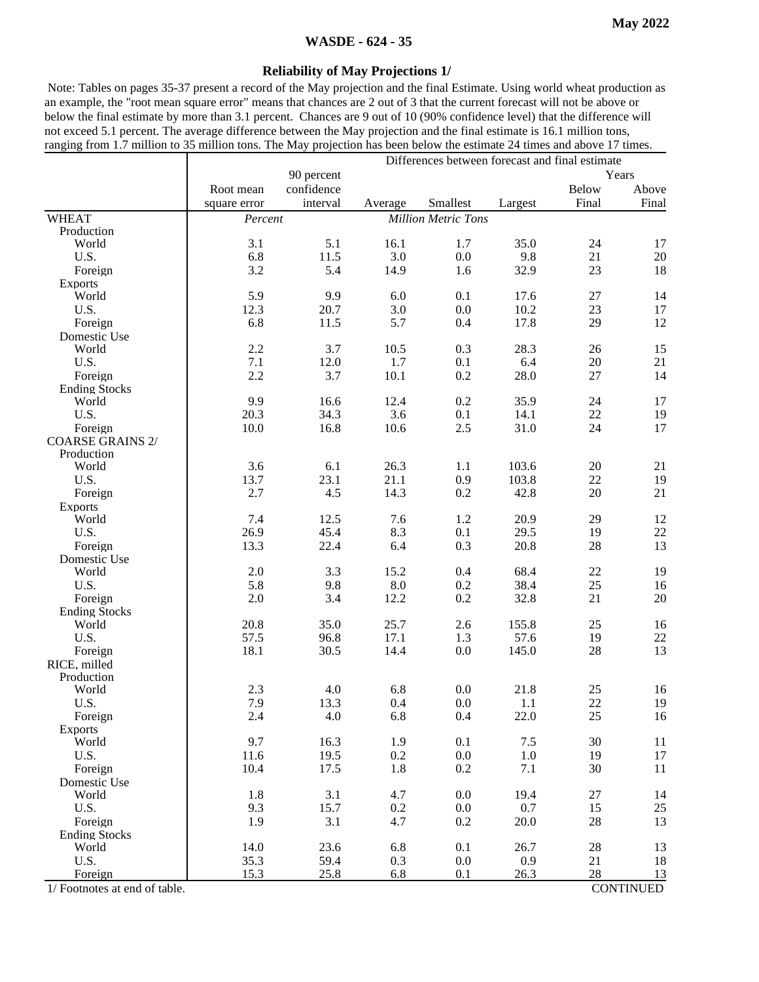#### **WASDE - 624 - 35**

#### **Reliability of May Projections 1/**

Note: Tables on pages 35-37 present a record of the May projection and the final Estimate. Using world wheat production as an example, the "root mean square error" means that chances are 2 out of 3 that the current forecast will not be above or below the final estimate by more than 3.1 percent. Chances are 9 out of 10 (90% confidence level) that the difference will not exceed 5.1 percent. The average difference between the May projection and the final estimate is 16.1 million tons, ranging from 1.7 million to 35 million tons. The May projection has been below the estimate 24 times and above 17 times.

|                                    |              |            | Differences between forecast and final estimate |                            |         |              |                  |  |
|------------------------------------|--------------|------------|-------------------------------------------------|----------------------------|---------|--------------|------------------|--|
|                                    |              | 90 percent |                                                 |                            |         |              | Years            |  |
|                                    | Root mean    | confidence |                                                 |                            |         | <b>Below</b> | Above            |  |
|                                    | square error | interval   | Average                                         | Smallest                   | Largest | Final        | Final            |  |
| <b>WHEAT</b>                       | Percent      |            |                                                 | <b>Million Metric Tons</b> |         |              |                  |  |
| Production                         |              |            |                                                 |                            |         |              |                  |  |
| World                              | 3.1          | 5.1        | 16.1                                            | 1.7                        | 35.0    | 24           | 17               |  |
| U.S.                               | 6.8          | 11.5       | 3.0                                             | 0.0                        | 9.8     | 21           | 20               |  |
| Foreign                            | 3.2          | 5.4        | 14.9                                            | 1.6                        | 32.9    | 23           | 18               |  |
| <b>Exports</b>                     |              |            |                                                 |                            |         |              |                  |  |
| World                              | 5.9          | 9.9        | 6.0                                             | 0.1                        | 17.6    | 27           | 14               |  |
| U.S.                               | 12.3         | 20.7       | 3.0                                             | 0.0                        | 10.2    | 23           | 17               |  |
| Foreign                            | 6.8          | 11.5       | 5.7                                             | 0.4                        | 17.8    | 29           | 12               |  |
| Domestic Use                       |              |            |                                                 |                            |         |              |                  |  |
| World                              | 2.2          | 3.7        | 10.5                                            | 0.3                        | 28.3    | 26           | 15               |  |
| U.S.                               | 7.1          | 12.0       | 1.7                                             | 0.1                        | 6.4     | 20           | 21               |  |
| Foreign                            | 2.2          | 3.7        | 10.1                                            | 0.2                        | 28.0    | 27           | 14               |  |
| <b>Ending Stocks</b><br>World      | 9.9          | 16.6       |                                                 |                            | 35.9    | 24           |                  |  |
| U.S.                               | 20.3         | 34.3       | 12.4<br>3.6                                     | 0.2<br>0.1                 | 14.1    | 22           | 17<br>19         |  |
|                                    |              | 16.8       | 10.6                                            | 2.5                        | 31.0    | 24           | 17               |  |
| Foreign<br><b>COARSE GRAINS 2/</b> | 10.0         |            |                                                 |                            |         |              |                  |  |
| Production                         |              |            |                                                 |                            |         |              |                  |  |
| World                              | 3.6          | 6.1        | 26.3                                            | 1.1                        | 103.6   | $20\,$       | 21               |  |
| U.S.                               | 13.7         | 23.1       | 21.1                                            | 0.9                        | 103.8   | $22\,$       | 19               |  |
| Foreign                            | 2.7          | 4.5        | 14.3                                            | 0.2                        | 42.8    | 20           | 21               |  |
| <b>Exports</b>                     |              |            |                                                 |                            |         |              |                  |  |
| World                              | 7.4          | 12.5       | 7.6                                             | 1.2                        | 20.9    | 29           | 12               |  |
| U.S.                               | 26.9         | 45.4       | 8.3                                             | 0.1                        | 29.5    | 19           | $22\,$           |  |
| Foreign                            | 13.3         | 22.4       | 6.4                                             | 0.3                        | 20.8    | 28           | 13               |  |
| Domestic Use                       |              |            |                                                 |                            |         |              |                  |  |
| World                              | $2.0\,$      | 3.3        | 15.2                                            | 0.4                        | 68.4    | 22           | 19               |  |
| U.S.                               | 5.8          | 9.8        | 8.0                                             | 0.2                        | 38.4    | 25           | 16               |  |
| Foreign                            | $2.0\,$      | 3.4        | 12.2                                            | $0.2\,$                    | 32.8    | 21           | $20\,$           |  |
| <b>Ending Stocks</b>               |              |            |                                                 |                            |         |              |                  |  |
| World                              | 20.8         | 35.0       | 25.7                                            | 2.6                        | 155.8   | 25           | 16               |  |
| U.S.                               | 57.5         | 96.8       | 17.1                                            | 1.3                        | 57.6    | 19           | $22\,$           |  |
| Foreign                            | 18.1         | 30.5       | 14.4                                            | 0.0                        | 145.0   | 28           | 13               |  |
| RICE, milled                       |              |            |                                                 |                            |         |              |                  |  |
| Production                         |              |            |                                                 |                            |         |              |                  |  |
| World                              | 2.3          | 4.0        | 6.8                                             | 0.0                        | 21.8    | 25           | 16               |  |
| U.S.                               | 7.9          | 13.3       | 0.4                                             | 0.0                        | 1.1     | 22           | 19               |  |
| Foreign                            | 2.4          | 4.0        | 6.8                                             | 0.4                        | 22.0    | 25           | $16\,$           |  |
| <b>Exports</b>                     |              |            |                                                 |                            |         |              |                  |  |
| World                              | 9.7          | 16.3       | 1.9                                             | 0.1                        | $7.5$   | 30           | 11               |  |
| U.S.                               | 11.6         | 19.5       | 0.2                                             | 0.0                        | 1.0     | 19           | 17               |  |
| Foreign                            | 10.4         | 17.5       | 1.8                                             | 0.2                        | 7.1     | 30           | 11               |  |
| Domestic Use<br>World              | 1.8          | 3.1        | 4.7                                             | 0.0                        | 19.4    | $27\,$       | 14               |  |
| U.S.                               | 9.3          | 15.7       | 0.2                                             | $0.0\,$                    | 0.7     | 15           | 25               |  |
| Foreign                            | 1.9          | 3.1        | 4.7                                             | 0.2                        | 20.0    | 28           | 13               |  |
| <b>Ending Stocks</b>               |              |            |                                                 |                            |         |              |                  |  |
| World                              | 14.0         | 23.6       | 6.8                                             | 0.1                        | 26.7    | 28           | 13               |  |
| U.S.                               | 35.3         | 59.4       | 0.3                                             | 0.0                        | 0.9     | 21           | 18               |  |
| Foreign                            | 15.3         | 25.8       | 6.8                                             | 0.1                        | 26.3    | 28           | 13               |  |
| 1/ Footnotes at end of table.      |              |            |                                                 |                            |         |              | <b>CONTINUED</b> |  |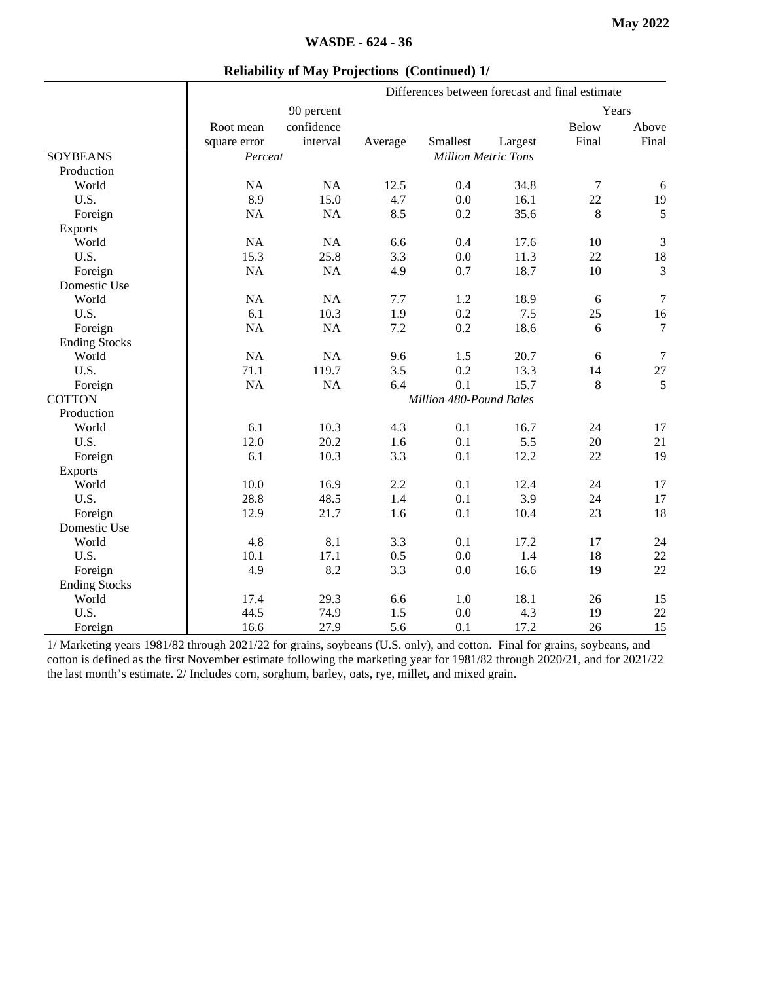|                      |              | Differences between forecast and final estimate |         |                            |         |       |                  |
|----------------------|--------------|-------------------------------------------------|---------|----------------------------|---------|-------|------------------|
|                      |              | 90 percent                                      |         |                            |         |       | Years            |
|                      | Root mean    | confidence                                      |         |                            |         | Below | Above            |
|                      | square error | interval                                        | Average | Smallest                   | Largest | Final | Final            |
| <b>SOYBEANS</b>      | Percent      |                                                 |         | <b>Million Metric Tons</b> |         |       |                  |
| Production           |              |                                                 |         |                            |         |       |                  |
| World                | NA           | NA                                              | 12.5    | 0.4                        | 34.8    | 7     | $\sqrt{6}$       |
| U.S.                 | 8.9          | 15.0                                            | 4.7     | 0.0                        | 16.1    | 22    | 19               |
| Foreign              | NA           | NA                                              | 8.5     | 0.2                        | 35.6    | 8     | 5                |
| Exports              |              |                                                 |         |                            |         |       |                  |
| World                | NA           | NA                                              | 6.6     | 0.4                        | 17.6    | 10    | $\mathfrak{Z}$   |
| U.S.                 | 15.3         | 25.8                                            | 3.3     | 0.0                        | 11.3    | 22    | 18               |
| Foreign              | NA           | NA                                              | 4.9     | 0.7                        | 18.7    | 10    | 3                |
| Domestic Use         |              |                                                 |         |                            |         |       |                  |
| World                | NA           | NA                                              | 7.7     | 1.2                        | 18.9    | 6     | $\tau$           |
| U.S.                 | 6.1          | 10.3                                            | 1.9     | 0.2                        | 7.5     | 25    | 16               |
| Foreign              | NA           | NA                                              | 7.2     | 0.2                        | 18.6    | 6     | $\overline{7}$   |
| <b>Ending Stocks</b> |              |                                                 |         |                            |         |       |                  |
| World                | <b>NA</b>    | NA                                              | 9.6     | 1.5                        | 20.7    | 6     | $\boldsymbol{7}$ |
| U.S.                 | 71.1         | 119.7                                           | 3.5     | 0.2                        | 13.3    | 14    | $27\,$           |
| Foreign              | NA           | NA                                              | 6.4     | 0.1                        | 15.7    | 8     | 5                |
| <b>COTTON</b>        |              | Million 480-Pound Bales                         |         |                            |         |       |                  |
| Production           |              |                                                 |         |                            |         |       |                  |
| World                | 6.1          | 10.3                                            | 4.3     | 0.1                        | 16.7    | 24    | 17               |
| U.S.                 | 12.0         | 20.2                                            | 1.6     | 0.1                        | 5.5     | 20    | 21               |
| Foreign              | 6.1          | 10.3                                            | 3.3     | 0.1                        | 12.2    | 22    | 19               |
| Exports              |              |                                                 |         |                            |         |       |                  |
| World                | 10.0         | 16.9                                            | 2.2     | 0.1                        | 12.4    | 24    | 17               |
| U.S.                 | 28.8         | 48.5                                            | 1.4     | 0.1                        | 3.9     | 24    | 17               |
| Foreign              | 12.9         | 21.7                                            | 1.6     | 0.1                        | 10.4    | 23    | 18               |
| Domestic Use         |              |                                                 |         |                            |         |       |                  |
| World                | 4.8          | 8.1                                             | 3.3     | 0.1                        | 17.2    | 17    | 24               |
| U.S.                 | 10.1         | 17.1                                            | 0.5     | 0.0                        | 1.4     | 18    | $22\,$           |
| Foreign              | 4.9          | 8.2                                             | 3.3     | 0.0                        | 16.6    | 19    | 22               |
| <b>Ending Stocks</b> |              |                                                 |         |                            |         |       |                  |
| World                | 17.4         | 29.3                                            | 6.6     | 1.0                        | 18.1    | 26    | 15               |
| U.S.                 | 44.5         | 74.9                                            | 1.5     | 0.0                        | 4.3     | 19    | $22\,$           |
| Foreign              | 16.6         | 27.9                                            | 5.6     | 0.1                        | 17.2    | 26    | 15               |

1/ Marketing years 1981/82 through 2021/22 for grains, soybeans (U.S. only), and cotton. Final for grains, soybeans, and cotton is defined as the first November estimate following the marketing year for 1981/82 through 2020/21, and for 2021/22 the last month's estimate. 2/ Includes corn, sorghum, barley, oats, rye, millet, and mixed grain.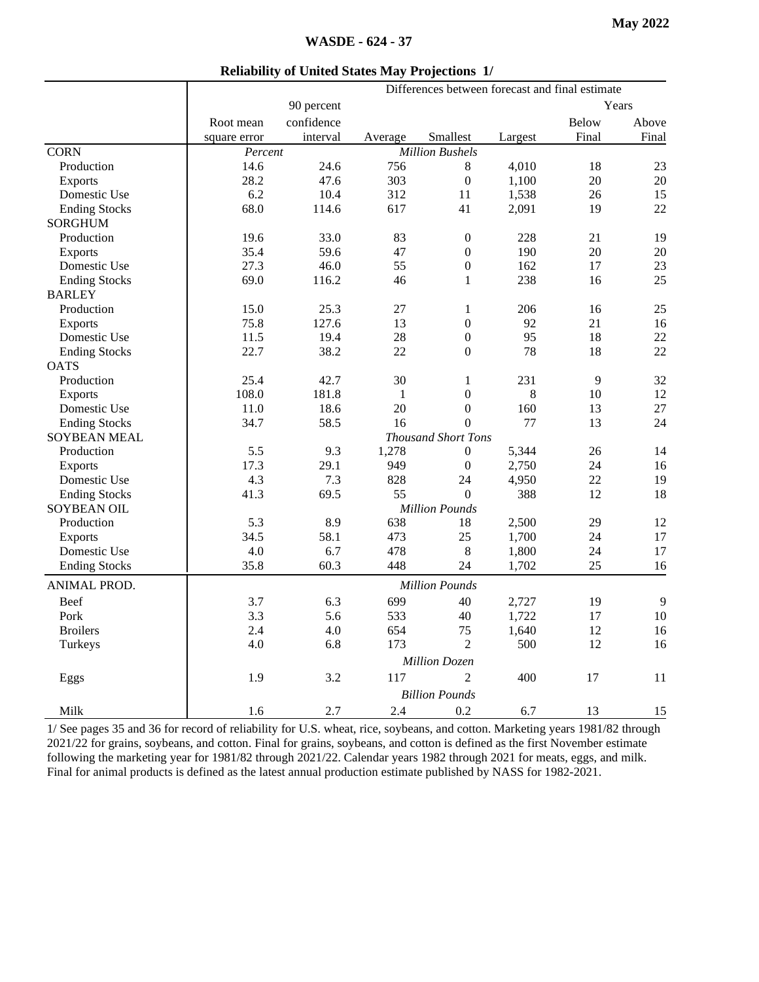| <b>Reliability of United States May Projections 1/</b> |  |  |
|--------------------------------------------------------|--|--|
|                                                        |  |  |

|                      | Differences between forecast and final estimate |                            |              |                        |         |              |       |
|----------------------|-------------------------------------------------|----------------------------|--------------|------------------------|---------|--------------|-------|
|                      |                                                 | 90 percent                 |              |                        | Years   |              |       |
|                      | Root mean                                       | confidence                 |              |                        |         | <b>Below</b> | Above |
|                      | square error                                    | interval                   | Average      | Smallest               | Largest | Final        | Final |
| <b>CORN</b>          | Percent                                         |                            |              | <b>Million Bushels</b> |         |              |       |
| Production           | 14.6                                            | 24.6                       | 756          | 8                      | 4,010   | 18           | 23    |
| Exports              | 28.2                                            | 47.6                       | 303          | $\overline{0}$         | 1,100   | 20           | 20    |
| Domestic Use         | 6.2                                             | 10.4                       | 312          | 11                     | 1,538   | 26           | 15    |
| <b>Ending Stocks</b> | 68.0                                            | 114.6                      | 617          | 41                     | 2,091   | 19           | 22    |
| <b>SORGHUM</b>       |                                                 |                            |              |                        |         |              |       |
| Production           | 19.6                                            | 33.0                       | 83           | $\boldsymbol{0}$       | 228     | 21           | 19    |
| <b>Exports</b>       | 35.4                                            | 59.6                       | 47           | $\mathbf{0}$           | 190     | 20           | 20    |
| Domestic Use         | 27.3                                            | 46.0                       | 55           | $\boldsymbol{0}$       | 162     | 17           | 23    |
| <b>Ending Stocks</b> | 69.0                                            | 116.2                      | 46           | $\mathbf{1}$           | 238     | 16           | 25    |
| <b>BARLEY</b>        |                                                 |                            |              |                        |         |              |       |
| Production           | 15.0                                            | 25.3                       | 27           | 1                      | 206     | 16           | 25    |
| Exports              | 75.8                                            | 127.6                      | 13           | $\boldsymbol{0}$       | 92      | 21           | 16    |
| Domestic Use         | 11.5                                            | 19.4                       | 28           | $\boldsymbol{0}$       | 95      | 18           | 22    |
| <b>Ending Stocks</b> | 22.7                                            | 38.2                       | 22           | $\overline{0}$         | 78      | 18           | 22    |
| <b>OATS</b>          |                                                 |                            |              |                        |         |              |       |
| Production           | 25.4                                            | 42.7                       | 30           | 1                      | 231     | 9            | 32    |
| <b>Exports</b>       | 108.0                                           | 181.8                      | $\mathbf{1}$ | $\mathbf{0}$           | 8       | 10           | 12    |
| Domestic Use         | 11.0                                            | 18.6                       | 20           | $\Omega$               | 160     | 13           | 27    |
| <b>Ending Stocks</b> | 34.7                                            | 58.5                       | 16           | $\overline{0}$         | 77      | 13           | 24    |
| <b>SOYBEAN MEAL</b>  |                                                 | <b>Thousand Short Tons</b> |              |                        |         |              |       |
| Production           | 5.5                                             | 9.3                        | 1,278        | $\overline{0}$         | 5,344   | 26           | 14    |
| <b>Exports</b>       | 17.3                                            | 29.1                       | 949          | $\overline{0}$         | 2,750   | 24           | 16    |
| Domestic Use         | 4.3                                             | 7.3                        | 828          | 24                     | 4,950   | 22           | 19    |
| <b>Ending Stocks</b> | 41.3                                            | 69.5                       | 55           | $\Omega$               | 388     | 12           | 18    |
| <b>SOYBEAN OIL</b>   | <b>Million Pounds</b>                           |                            |              |                        |         |              |       |
| Production           | 5.3                                             | 8.9                        | 638          | 18                     | 2,500   | 29           | 12    |
| <b>Exports</b>       | 34.5                                            | 58.1                       | 473          | 25                     | 1,700   | 24           | 17    |
| Domestic Use         | 4.0                                             | 6.7                        | 478          | 8                      | 1,800   | 24           | 17    |
| <b>Ending Stocks</b> | 35.8                                            | 60.3                       | 448          | 24                     | 1,702   | 25           | 16    |
| ANIMAL PROD.         | <b>Million Pounds</b>                           |                            |              |                        |         |              |       |
| Beef                 | 3.7                                             | 6.3                        | 699          | 40                     | 2,727   | 19           | 9     |
| Pork                 | 3.3                                             | 5.6                        | 533          | 40                     | 1,722   | 17           | 10    |
| <b>Broilers</b>      | 2.4                                             | 4.0                        | 654          | 75                     | 1,640   | 12           | 16    |
| Turkeys              | 4.0                                             | 6.8                        | 173          | $\overline{c}$         | 500     | 12           | 16    |
|                      |                                                 |                            |              |                        |         |              |       |
|                      |                                                 |                            |              | <b>Million Dozen</b>   |         |              |       |
| Eggs                 | 1.9                                             | 3.2                        | 117          | $\mathfrak{D}$         | 400     | 17           | 11    |
|                      |                                                 |                            |              | <b>Billion Pounds</b>  |         |              |       |
| Milk                 | 1.6                                             | 2.7                        | 2.4          | 0.2                    | 6.7     | 13           | 15    |

1/ See pages 35 and 36 for record of reliability for U.S. wheat, rice, soybeans, and cotton. Marketing years 1981/82 through 2021/22 for grains, soybeans, and cotton. Final for grains, soybeans, and cotton is defined as the first November estimate following the marketing year for 1981/82 through 2021/22. Calendar years 1982 through 2021 for meats, eggs, and milk. Final for animal products is defined as the latest annual production estimate published by NASS for 1982-2021.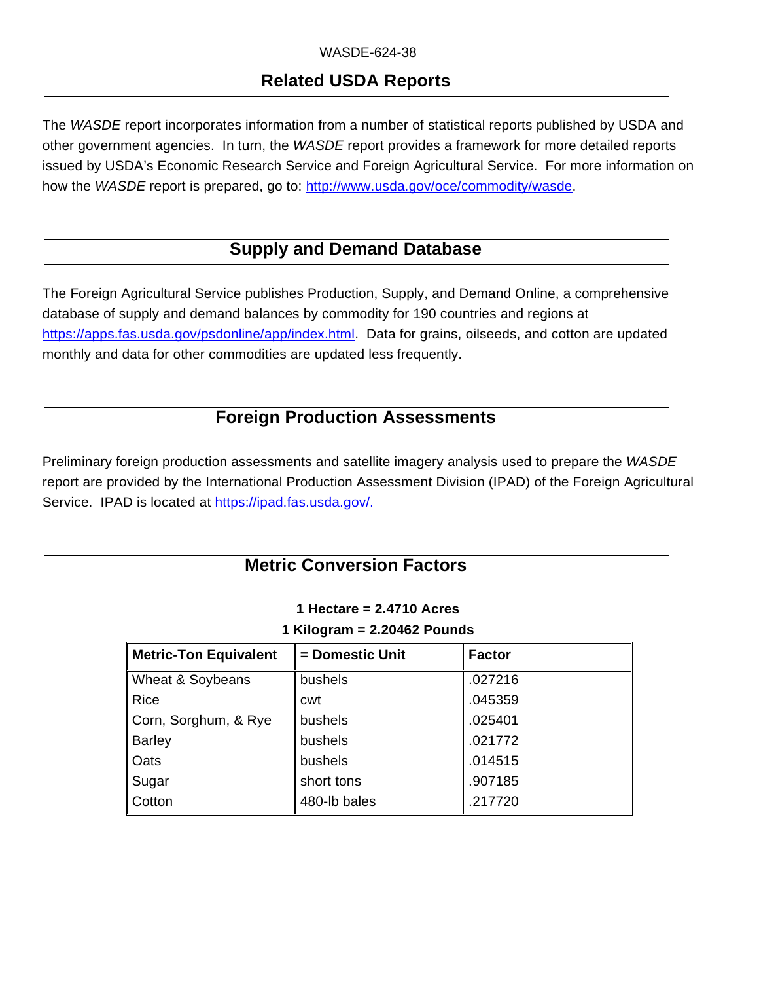## **Related USDA Reports**

The *WASDE* report incorporates information from a number of statistical reports published by USDA and other government agencies. In turn, the *WASDE* report provides a framework for more detailed reports issued by USDA's Economic Research Service and Foreign Agricultural Service. For more information on how the *WASDE* report is prepared, go to: http://www.usda.gov/oce/commodity/wasde.

## **Supply and Demand Database**

The Foreign Agricultural Service publishes Production, Supply, and Demand Online, a comprehensive database of supply and demand balances by commodity for 190 countries and regions at https://apps.fas.usda.gov/psdonline/app/index.html. Data for grains, oilseeds, and cotton are updated monthly and data for other commodities are updated less frequently.

## **Foreign Production Assessments**

Preliminary foreign production assessments and satellite imagery analysis used to prepare the *WASDE* report are provided by the International Production Assessment Division (IPAD) of the Foreign Agricultural Service. IPAD is located at [https://ipad.fas.usda.gov/.](https://gcc02.safelinks.protection.outlook.com/?url=https%3A%2F%2Fipad.fas.usda.gov%2F&data=02%7C01%7C%7C29f32aed80ba45f7952b08d7f1b5f50f%7Ced5b36e701ee4ebc867ee03cfa0d4697%7C0%7C0%7C637243636109752291&sdata=9IpKngEdDfYDP0LIFS2E3Ke9krbVRVdzQF28Zshdfys%3D&reserved=0)

## **Metric Conversion Factors**

| $\mathsf{I}$ Niloyi dili = 2.20402 Founds |               |  |  |  |  |
|-------------------------------------------|---------------|--|--|--|--|
| = Domestic Unit                           | <b>Factor</b> |  |  |  |  |
| bushels                                   | .027216       |  |  |  |  |
| cwt                                       | .045359       |  |  |  |  |
| bushels                                   | .025401       |  |  |  |  |
| bushels                                   | .021772       |  |  |  |  |
| bushels                                   | .014515       |  |  |  |  |
| short tons                                | .907185       |  |  |  |  |
| 480-lb bales                              | .217720       |  |  |  |  |
|                                           |               |  |  |  |  |

#### **1 Hectare = 2.4710 Acres 1 Kilogram = 2.20462 Pounds**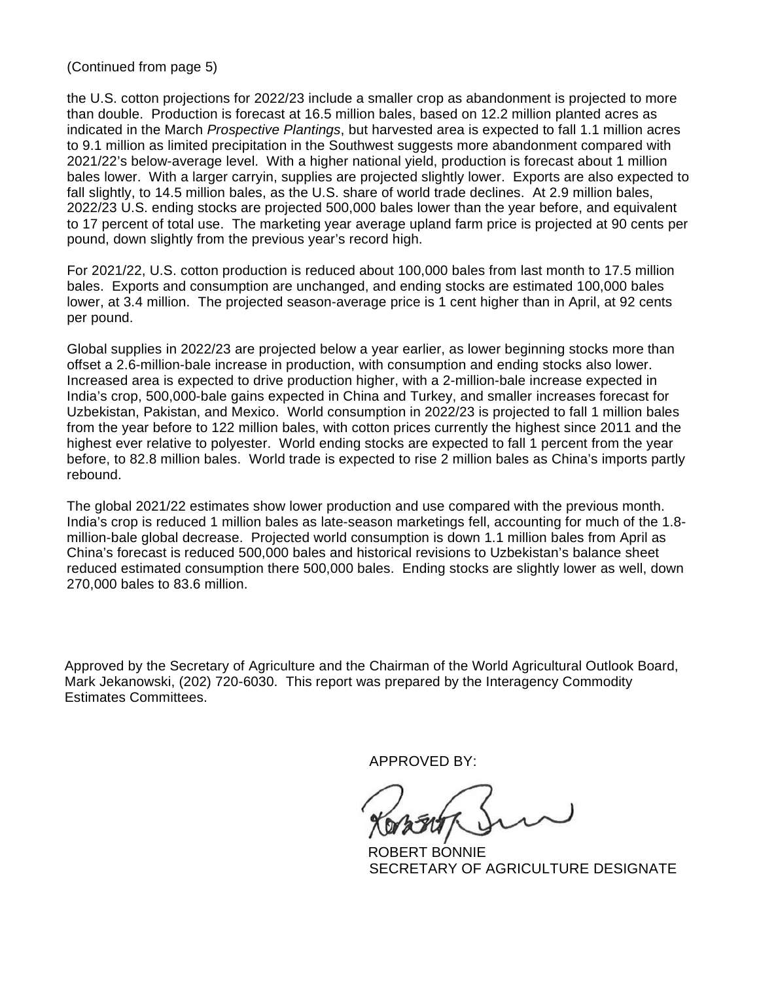(Continued from page 5)

the U.S. cotton projections for 2022/23 include a smaller crop as abandonment is projected to more than double. Production is forecast at 16.5 million bales, based on 12.2 million planted acres as indicated in the March *Prospective Plantings*, but harvested area is expected to fall 1.1 million acres to 9.1 million as limited precipitation in the Southwest suggests more abandonment compared with 2021/22's below-average level. With a higher national yield, production is forecast about 1 million bales lower. With a larger carryin, supplies are projected slightly lower. Exports are also expected to fall slightly, to 14.5 million bales, as the U.S. share of world trade declines. At 2.9 million bales, 2022/23 U.S. ending stocks are projected 500,000 bales lower than the year before, and equivalent to 17 percent of total use. The marketing year average upland farm price is projected at 90 cents per pound, down slightly from the previous year's record high.

For 2021/22, U.S. cotton production is reduced about 100,000 bales from last month to 17.5 million bales. Exports and consumption are unchanged, and ending stocks are estimated 100,000 bales lower, at 3.4 million. The projected season-average price is 1 cent higher than in April, at 92 cents per pound.

Global supplies in 2022/23 are projected below a year earlier, as lower beginning stocks more than offset a 2.6-million-bale increase in production, with consumption and ending stocks also lower. Increased area is expected to drive production higher, with a 2-million-bale increase expected in India's crop, 500,000-bale gains expected in China and Turkey, and smaller increases forecast for Uzbekistan, Pakistan, and Mexico. World consumption in 2022/23 is projected to fall 1 million bales from the year before to 122 million bales, with cotton prices currently the highest since 2011 and the highest ever relative to polyester. World ending stocks are expected to fall 1 percent from the year before, to 82.8 million bales. World trade is expected to rise 2 million bales as China's imports partly rebound.

The global 2021/22 estimates show lower production and use compared with the previous month. India's crop is reduced 1 million bales as late-season marketings fell, accounting for much of the 1.8 million-bale global decrease. Projected world consumption is down 1.1 million bales from April as China's forecast is reduced 500,000 bales and historical revisions to Uzbekistan's balance sheet reduced estimated consumption there 500,000 bales. Ending stocks are slightly lower as well, down 270,000 bales to 83.6 million.

Approved by the Secretary of Agriculture and the Chairman of the World Agricultural Outlook Board, Mark Jekanowski, (202) 720-6030. This report was prepared by the Interagency Commodity Estimates Committees.

APPROVED BY:

 ROBERT BONNIE SECRETARY OF AGRICULTURE DESIGNATE